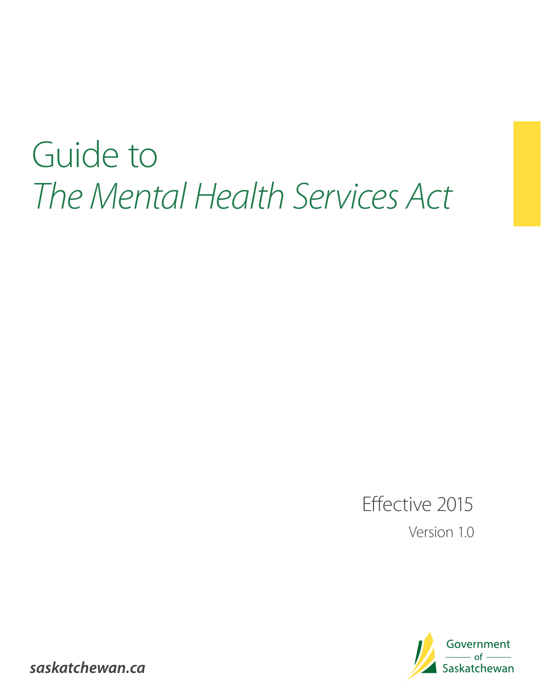# Guide to *The Mental Health Services Act*

Effective 2015

Version 1.0



saskatchewan.ca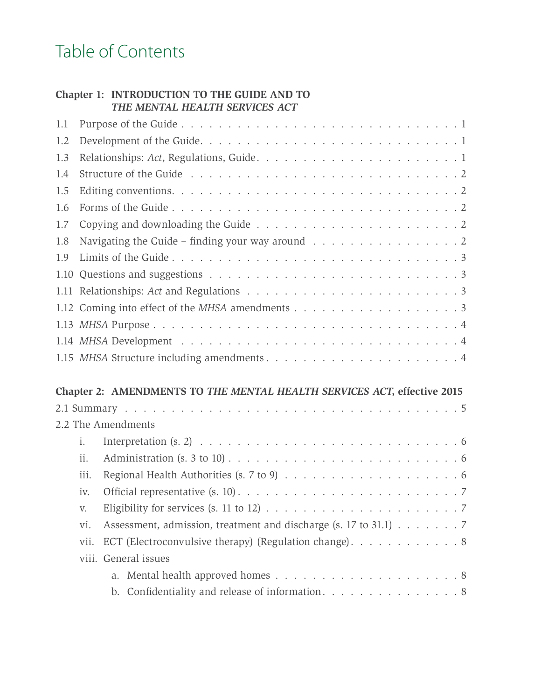# Table of Contents

### **Chapter 1: INTRODUCTION TO THE GUIDE AND TO**  *THE MENTAL HEALTH SERVICES ACT*

| 1.1 |                                                                                     |                                                                         |  |  |
|-----|-------------------------------------------------------------------------------------|-------------------------------------------------------------------------|--|--|
| 1.2 |                                                                                     |                                                                         |  |  |
| 1.3 |                                                                                     |                                                                         |  |  |
| 1.4 |                                                                                     |                                                                         |  |  |
| 1.5 |                                                                                     |                                                                         |  |  |
| 1.6 |                                                                                     |                                                                         |  |  |
| 1.7 |                                                                                     |                                                                         |  |  |
| 1.8 | Navigating the Guide – finding your way around $\ldots \ldots \ldots \ldots \ldots$ |                                                                         |  |  |
| 1.9 |                                                                                     |                                                                         |  |  |
|     |                                                                                     |                                                                         |  |  |
|     |                                                                                     |                                                                         |  |  |
|     |                                                                                     | 1.12 Coming into effect of the MHSA amendments 3                        |  |  |
|     |                                                                                     |                                                                         |  |  |
|     |                                                                                     |                                                                         |  |  |
|     |                                                                                     |                                                                         |  |  |
|     |                                                                                     |                                                                         |  |  |
|     |                                                                                     | Chapter 2: AMENDMENTS TO THE MENTAL HEALTH SERVICES ACT, effective 2015 |  |  |
|     |                                                                                     |                                                                         |  |  |
|     |                                                                                     | 2.2 The Amendments                                                      |  |  |
|     | $\mathbf{i}$ .                                                                      |                                                                         |  |  |
|     | ii.                                                                                 |                                                                         |  |  |
|     | iii.                                                                                |                                                                         |  |  |
|     | iv.                                                                                 |                                                                         |  |  |
|     | V.                                                                                  |                                                                         |  |  |
|     | vi.                                                                                 | Assessment, admission, treatment and discharge (s. 17 to 31.1) 7        |  |  |
|     | vii.                                                                                | ECT (Electroconvulsive therapy) (Regulation change). 8                  |  |  |
|     |                                                                                     | viii. General issues                                                    |  |  |
|     |                                                                                     | a. Mental health approved homes $\ldots$ 8                              |  |  |
|     |                                                                                     | Confidentiality and release of information. 8<br>b.                     |  |  |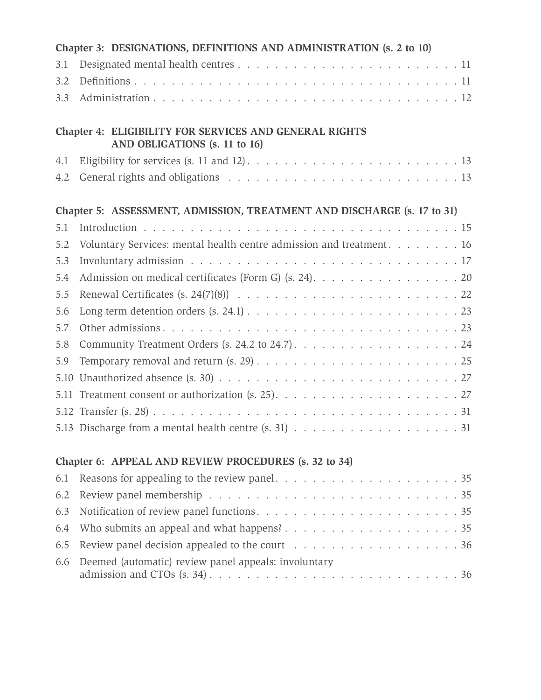| Chapter 3: DESIGNATIONS, DEFINITIONS AND ADMINISTRATION (s. 2 to 10) |                                                                                                |  |  |  |
|----------------------------------------------------------------------|------------------------------------------------------------------------------------------------|--|--|--|
| 3.1                                                                  |                                                                                                |  |  |  |
| 3.2                                                                  |                                                                                                |  |  |  |
| 3.3                                                                  |                                                                                                |  |  |  |
|                                                                      | <b>Chapter 4: ELIGIBILITY FOR SERVICES AND GENERAL RIGHTS</b><br>AND OBLIGATIONS (s. 11 to 16) |  |  |  |
| 4.1                                                                  |                                                                                                |  |  |  |
| 4.2                                                                  |                                                                                                |  |  |  |
|                                                                      | Chapter 5: ASSESSMENT, ADMISSION, TREATMENT AND DISCHARGE (s. 17 to 31)                        |  |  |  |
| 5.1                                                                  |                                                                                                |  |  |  |
| 5.2                                                                  | Voluntary Services: mental health centre admission and treatment. 16                           |  |  |  |
| 5.3                                                                  |                                                                                                |  |  |  |
| 5.4                                                                  | Admission on medical certificates (Form G) (s. 24). 20                                         |  |  |  |
| 5.5                                                                  |                                                                                                |  |  |  |
| 5.6                                                                  |                                                                                                |  |  |  |
| 5.7                                                                  |                                                                                                |  |  |  |
| 5.8                                                                  |                                                                                                |  |  |  |
| 5.9                                                                  |                                                                                                |  |  |  |
| 5.10                                                                 |                                                                                                |  |  |  |
| 5.11                                                                 |                                                                                                |  |  |  |
|                                                                      |                                                                                                |  |  |  |
|                                                                      |                                                                                                |  |  |  |
|                                                                      | Chapter 6: APPEAL AND REVIEW PROCEDURES (s. 32 to 34)                                          |  |  |  |
| 6.1                                                                  |                                                                                                |  |  |  |
| 6.2                                                                  |                                                                                                |  |  |  |
| 6.3                                                                  |                                                                                                |  |  |  |
| 6.4                                                                  |                                                                                                |  |  |  |

| 6.6 Deemed (automatic) review panel appeals: involuntary |  |
|----------------------------------------------------------|--|
|                                                          |  |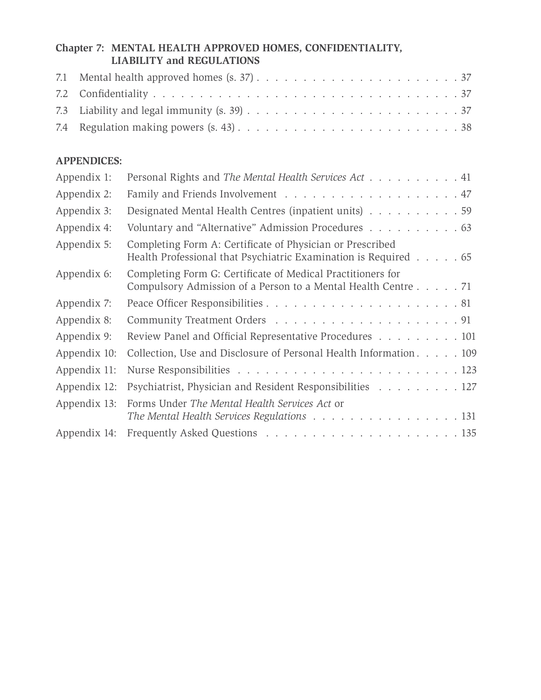### **Chapter 7: MENTAL HEALTH APPROVED HOMES, CONFIDENTIALITY, LIABILITY and REGULATIONS**

### **APPENDICES:**

| Appendix 1:  | Personal Rights and The Mental Health Services Act 41                                                                        |
|--------------|------------------------------------------------------------------------------------------------------------------------------|
| Appendix 2:  |                                                                                                                              |
| Appendix 3:  | Designated Mental Health Centres (inpatient units) 59                                                                        |
| Appendix 4:  | Voluntary and "Alternative" Admission Procedures 63                                                                          |
| Appendix 5:  | Completing Form A: Certificate of Physician or Prescribed<br>Health Professional that Psychiatric Examination is Required 65 |
| Appendix 6:  | Completing Form G: Certificate of Medical Practitioners for<br>Compulsory Admission of a Person to a Mental Health Centre 71 |
| Appendix 7:  |                                                                                                                              |
| Appendix 8:  |                                                                                                                              |
| Appendix 9:  | Review Panel and Official Representative Procedures 101                                                                      |
| Appendix 10: | Collection, Use and Disclosure of Personal Health Information 109                                                            |
| Appendix 11: |                                                                                                                              |
| Appendix 12: | Psychiatrist, Physician and Resident Responsibilities 127                                                                    |
| Appendix 13: | Forms Under The Mental Health Services Act or<br>The Mental Health Services Regulations 131                                  |
| Appendix 14: |                                                                                                                              |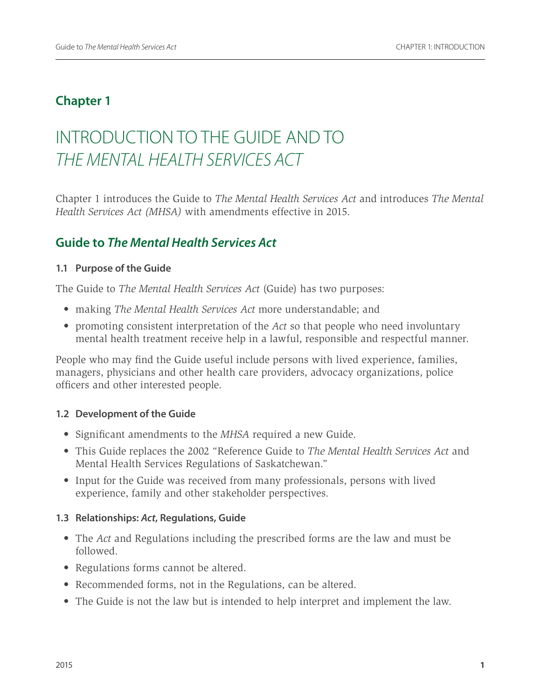### **Chapter 1**

# INTRODUCTION TO THE GUIDE AND TO *THE MENTAL HEALTH SERVICES ACT*

Chapter 1 introduces the Guide to *The Mental Health Services Act* and introduces *The Mental Health Services Act (MHSA)* with amendments effective in 2015.

### **Guide to** *The Mental Health Services Act*

### **1.1 Purpose of the Guide**

The Guide to *The Mental Health Services Act* (Guide) has two purposes:

- making *The Mental Health Services Act* more understandable; and
- promoting consistent interpretation of the *Act* so that people who need involuntary mental health treatment receive help in a lawful, responsible and respectful manner.

People who may find the Guide useful include persons with lived experience, families, managers, physicians and other health care providers, advocacy organizations, police officers and other interested people.

### **1.2 Development of the Guide**

- Significant amendments to the *MHSA* required a new Guide.
- This Guide replaces the 2002 "Reference Guide to *The Mental Health Services Act* and Mental Health Services Regulations of Saskatchewan."
- Input for the Guide was received from many professionals, persons with lived experience, family and other stakeholder perspectives.

### **1.3 Relationships:** *Act***, Regulations, Guide**

- The *Act* and Regulations including the prescribed forms are the law and must be followed.
- Regulations forms cannot be altered.
- Recommended forms, not in the Regulations, can be altered.
- The Guide is not the law but is intended to help interpret and implement the law.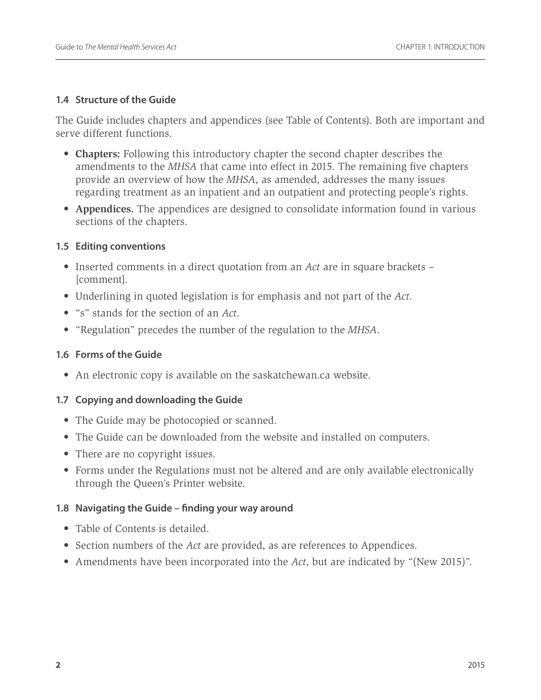### **1.4 Structure of the Guide**

The Guide includes chapters and appendices (see Table of Contents). Both are important and serve different functions.

- **Chapters:** Following this introductory chapter the second chapter describes the amendments to the *MHSA* that came into effect in 2015. The remaining five chapters provide an overview of how the *MHSA*, as amended, addresses the many issues regarding treatment as an inpatient and an outpatient and protecting people's rights.
- **Appendices.** The appendices are designed to consolidate information found in various sections of the chapters.

### **1.5 Editing conventions**

- Inserted comments in a direct quotation from an *Act* are in square brackets [comment].
- Underlining in quoted legislation is for emphasis and not part of the *Act*.
- "s" stands for the section of an *Act*.
- "Regulation" precedes the number of the regulation to the *MHSA*.

### **1.6 Forms of the Guide**

• An electronic copy is available on the [saskatchewan.ca website](http://www.saskatchewan.ca/live/health-and-healthy-living/health-care-provider-resources/ministry-of-health-forms#ccb---mental-health-forms).

### **1.7 Copying and downloading the Guide**

- The Guide may be photocopied or scanned.
- The Guide can be downloaded from the website and installed on computers.
- There are no copyright issues.
- Forms under the Regulations must not be altered and are only available electronically through the [Queen's Printer website](http://www.publications.gov.sk.ca/prdtermlist.cfm?t=1802&cl=2&p=626).

### **1.8 Navigating the Guide – finding your way around**

- Table of Contents is detailed.
- Section numbers of the *Act* are provided, as are references to Appendices.
- Amendments have been incorporated into the *Act*, but are indicated by "(New 2015)".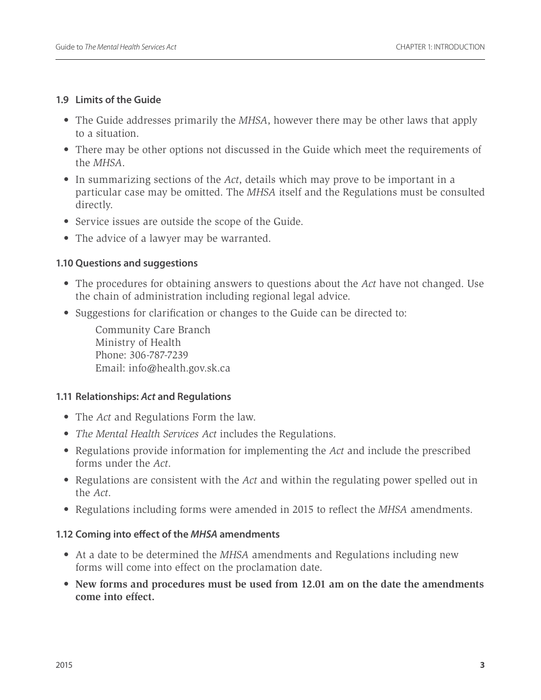### **1.9 Limits of the Guide**

- The Guide addresses primarily the *MHSA*, however there may be other laws that apply to a situation.
- There may be other options not discussed in the Guide which meet the requirements of the *MHSA*.
- In summarizing sections of the *Act*, details which may prove to be important in a particular case may be omitted. The *MHSA* itself and the Regulations must be consulted directly.
- Service issues are outside the scope of the Guide.
- The advice of a lawyer may be warranted.

### **1.10 Questions and suggestions**

- The procedures for obtaining answers to questions about the *Act* have not changed. Use the chain of administration including regional legal advice.
- Suggestions for clarification or changes to the Guide can be directed to:

Community Care Branch Ministry of Health Phone: 306-787-7239 Email: info@health.gov.sk.ca

### **1.11 Relationships:** *Act* **and Regulations**

- The *Act* and Regulations Form the law.
- *The Mental Health Services Act* includes the Regulations.
- Regulations provide information for implementing the *Act* and include the prescribed forms under the *Act*.
- Regulations are consistent with the *Act* and within the regulating power spelled out in the *Act*.
- Regulations including forms were amended in 2015 to reflect the *MHSA* amendments.

### **1.12 Coming into effect of the** *MHSA* **amendments**

- At a date to be determined the *MHSA* amendments and Regulations including new forms will come into effect on the proclamation date.
- **New forms and procedures must be used from 12.01 am on the date the amendments come into effect.**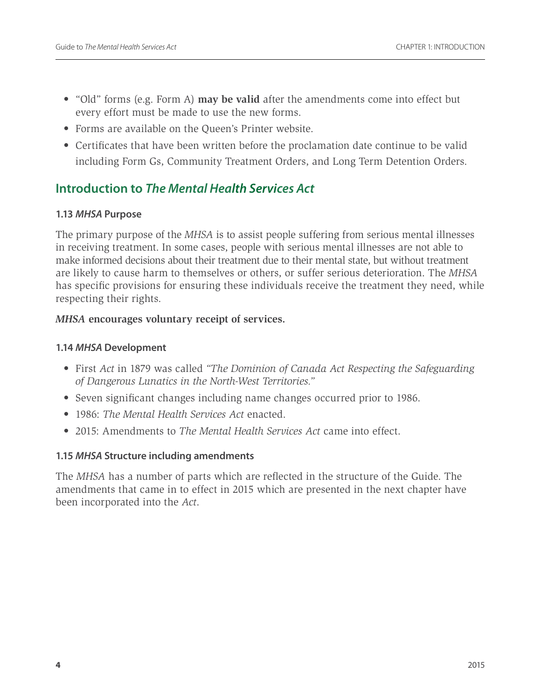- "Old" forms (e.g. Form A) **may be valid** after the amendments come into effect but every effort must be made to use the new forms.
- Forms are available on the [Queen's Printer website](http://www.publications.gov.sk.ca/prdtermlist.cfm?t=1802&cl=2&p=626address).
- Certificates that have been written before the proclamation date continue to be valid including Form Gs, Community Treatment Orders, and Long Term Detention Orders.

### **Introduction to** *The Mental Health Services Act*

### **1.13** *MHSA* **Purpose**

The primary purpose of the *MHSA* is to assist people suffering from serious mental illnesses in receiving treatment. In some cases, people with serious mental illnesses are not able to make informed decisions about their treatment due to their mental state, but without treatment are likely to cause harm to themselves or others, or suffer serious deterioration. The *MHSA* has specific provisions for ensuring these individuals receive the treatment they need, while respecting their rights.

### *MHSA* **encourages voluntary receipt of services.**

### **1.14** *MHSA* **Development**

- First *Act* in 1879 was called *"The Dominion of Canada Act Respecting the Safeguarding of Dangerous Lunatics in the North-West Territories."*
- Seven significant changes including name changes occurred prior to 1986.
- 1986: *The Mental Health Services Act* enacted.
- 2015: Amendments to *The Mental Health Services Act* came into effect.

### **1.15** *MHSA* **Structure including amendments**

The *MHSA* has a number of parts which are reflected in the structure of the Guide. The amendments that came in to effect in 2015 which are presented in the next chapter have been incorporated into the *Act*.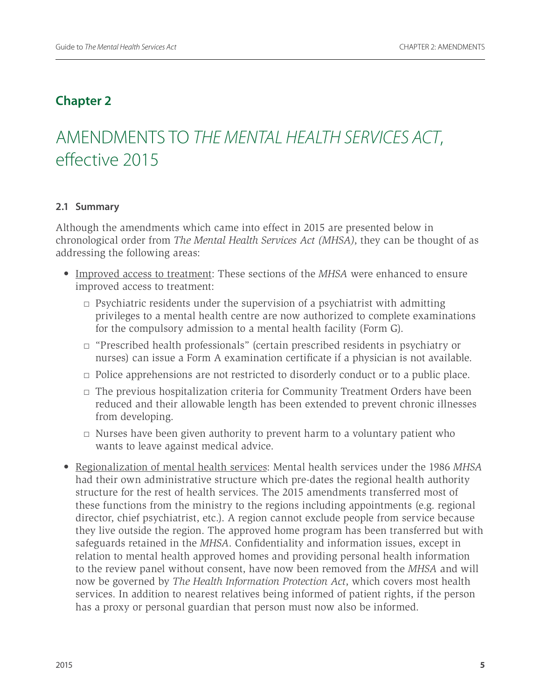### **Chapter 2**

# AMENDMENTS TO *THE MENTAL HEALTH SERVICES ACT*, effective 2015

### **2.1 Summary**

Although the amendments which came into effect in 2015 are presented below in chronological order from *The Mental Health Services Act (MHSA)*, they can be thought of as addressing the following areas:

- Improved access to treatment: These sections of the *MHSA* were enhanced to ensure improved access to treatment:
	- $\Box$  Psychiatric residents under the supervision of a psychiatrist with admitting privileges to a mental health centre are now authorized to complete examinations for the compulsory admission to a mental health facility (Form G).
	- □ "Prescribed health professionals" (certain prescribed residents in psychiatry or nurses) can issue a Form A examination certificate if a physician is not available.
	- □ Police apprehensions are not restricted to disorderly conduct or to a public place.
	- $\Box$  The previous hospitalization criteria for Community Treatment Orders have been reduced and their allowable length has been extended to prevent chronic illnesses from developing.
	- $\Box$  Nurses have been given authority to prevent harm to a voluntary patient who wants to leave against medical advice.
- Regionalization of mental health services: Mental health services under the 1986 *MHSA* had their own administrative structure which pre-dates the regional health authority structure for the rest of health services. The 2015 amendments transferred most of these functions from the ministry to the regions including appointments (e.g. regional director, chief psychiatrist, etc.). A region cannot exclude people from service because they live outside the region. The approved home program has been transferred but with safeguards retained in the *MHSA*. Confidentiality and information issues, except in relation to mental health approved homes and providing personal health information to the review panel without consent, have now been removed from the *MHSA* and will now be governed by *The Health Information Protection Act*, which covers most health services. In addition to nearest relatives being informed of patient rights, if the person has a proxy or personal guardian that person must now also be informed.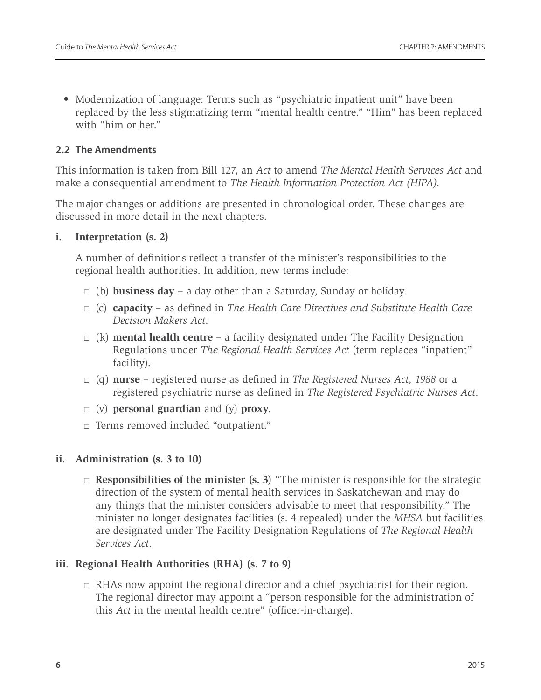• Modernization of language: Terms such as "psychiatric inpatient unit" have been replaced by the less stigmatizing term "mental health centre." "Him" has been replaced with "him or her."

### **2.2 The Amendments**

This information is taken from Bill 127, an *Act* to amend *The Mental Health Services Act* and make a consequential amendment to *The Health Information Protection Act (HIPA)*.

The major changes or additions are presented in chronological order. These changes are discussed in more detail in the next chapters.

#### **i. Interpretation (s. 2)**

A number of definitions reflect a transfer of the minister's responsibilities to the regional health authorities. In addition, new terms include:

- □ (b) **business day** a day other than a Saturday, Sunday or holiday.
- □ (c) **capacity** as defined in *The Health Care Directives and Substitute Health Care Decision Makers Act*.
- □ (k) **mental health centre** a facility designated under The Facility Designation Regulations under *The Regional Health Services Act* (term replaces "inpatient" facility).
- □ (q) **nurse** registered nurse as defined in *The Registered Nurses Act, 1988* or a registered psychiatric nurse as defined in *The Registered Psychiatric Nurses Act*.
- □ (v) **personal guardian** and (y) **proxy**.
- □ Terms removed included "outpatient."

### **ii. Administration (s. 3 to 10)**

□ **Responsibilities of the minister (s. 3)** "The minister is responsible for the strategic direction of the system of mental health services in Saskatchewan and may do any things that the minister considers advisable to meet that responsibility." The minister no longer designates facilities (s. 4 repealed) under the *MHSA* but facilities are designated under The Facility Designation Regulations of *The Regional Health Services Act*.

### **iii. Regional Health Authorities (RHA) (s. 7 to 9)**

 $\Box$  RHAs now appoint the regional director and a chief psychiatrist for their region. The regional director may appoint a "person responsible for the administration of this *Act* in the mental health centre" (officer-in-charge).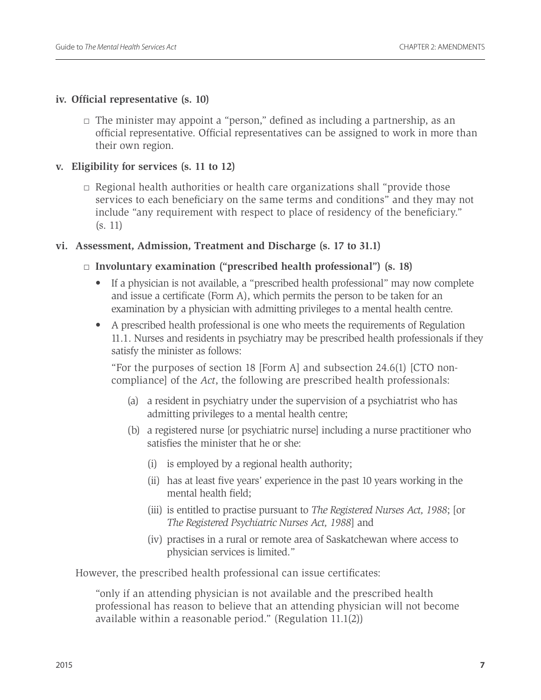#### **iv. Official representative (s. 10)**

□ The minister may appoint a "person," defined as including a partnership, as an official representative. Official representatives can be assigned to work in more than their own region.

### **v. Eligibility for services (s. 11 to 12)**

□ Regional health authorities or health care organizations shall "provide those services to each beneficiary on the same terms and conditions" and they may not include "any requirement with respect to place of residency of the beneficiary." (s. 11)

### **vi. Assessment, Admission, Treatment and Discharge (s. 17 to 31.1)**

### □ **Involuntary examination ("prescribed health professional") (s. 18)**

- If a physician is not available, a "prescribed health professional" may now complete and issue a certificate (Form A), which permits the person to be taken for an examination by a physician with admitting privileges to a mental health centre.
- A prescribed health professional is one who meets the requirements of Regulation 11.1. Nurses and residents in psychiatry may be prescribed health professionals if they satisfy the minister as follows:

"For the purposes of section 18 [Form A] and subsection 24.6(1) [CTO noncompliance] of the *Act*, the following are prescribed health professionals:

- (a) a resident in psychiatry under the supervision of a psychiatrist who has admitting privileges to a mental health centre;
- (b) a registered nurse [or psychiatric nurse] including a nurse practitioner who satisfies the minister that he or she:
	- (i) is employed by a regional health authority;
	- (ii) has at least five years' experience in the past 10 years working in the mental health field;
	- (iii) is entitled to practise pursuant to *The Registered Nurses Act, 1988*; [or *The Registered Psychiatric Nurses Act, 1988*] and
	- (iv) practises in a rural or remote area of Saskatchewan where access to physician services is limited."

However, the prescribed health professional can issue certificates:

"only if an attending physician is not available and the prescribed health professional has reason to believe that an attending physician will not become available within a reasonable period." (Regulation 11.1(2))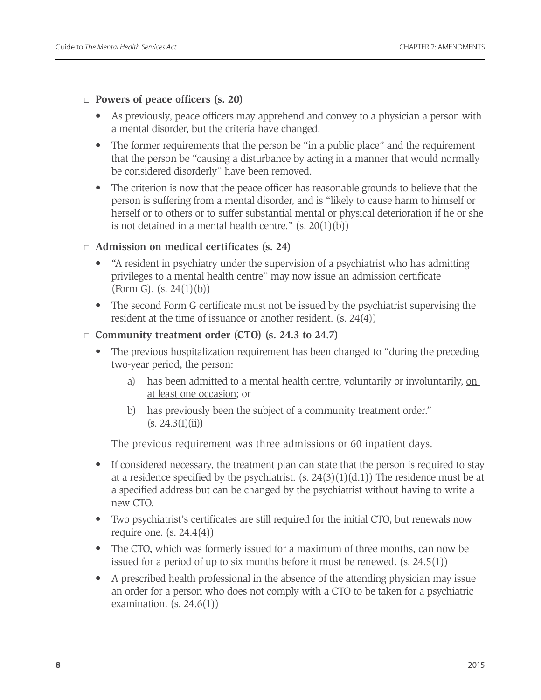□ **Powers of peace officers (s. 20)**

- As previously, peace officers may apprehend and convey to a physician a person with a mental disorder, but the criteria have changed.
- The former requirements that the person be "in a public place" and the requirement that the person be "causing a disturbance by acting in a manner that would normally be considered disorderly" have been removed.
- The criterion is now that the peace officer has reasonable grounds to believe that the person is suffering from a mental disorder, and is "likely to cause harm to himself or herself or to others or to suffer substantial mental or physical deterioration if he or she is not detained in a mental health centre."  $(s, 20(1)(b))$

### □ **Admission on medical certificates (s. 24)**

- "A resident in psychiatry under the supervision of a psychiatrist who has admitting privileges to a mental health centre" may now issue an admission certificate  $(Form G)$ .  $(s. 24(1)(b))$
- The second Form G certificate must not be issued by the psychiatrist supervising the resident at the time of issuance or another resident. (s. 24(4))

### □ **Community treatment order (CTO) (s. 24.3 to 24.7)**

- The previous hospitalization requirement has been changed to "during the preceding two-year period, the person:
	- a) has been admitted to a mental health centre, voluntarily or involuntarily, on at least one occasion; or
	- b) has previously been the subject of a community treatment order."  $(s. 24.3(1)(ii))$

The previous requirement was three admissions or 60 inpatient days.

- If considered necessary, the treatment plan can state that the person is required to stay at a residence specified by the psychiatrist.  $(s. 24(3)(1)(d.1))$  The residence must be at a specified address but can be changed by the psychiatrist without having to write a new CTO.
- Two psychiatrist's certificates are still required for the initial CTO, but renewals now require one.  $(s, 24.4(4))$
- The CTO, which was formerly issued for a maximum of three months, can now be issued for a period of up to six months before it must be renewed. (s. 24.5(1))
- A prescribed health professional in the absence of the attending physician may issue an order for a person who does not comply with a CTO to be taken for a psychiatric examination.  $(s, 24.6(1))$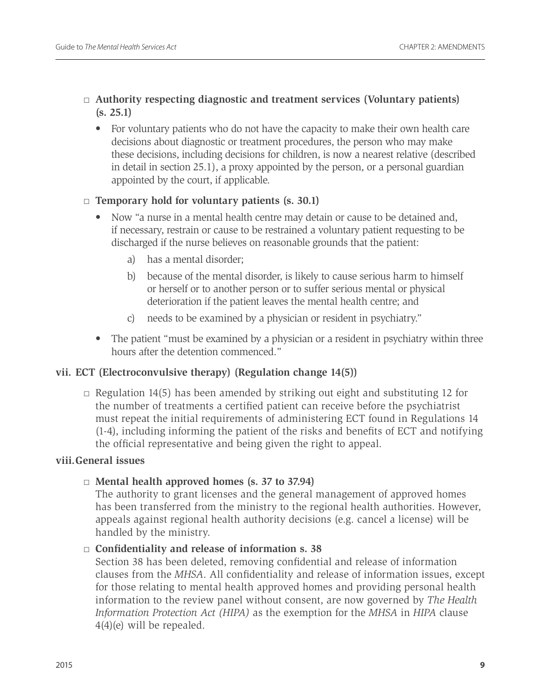### □ **Authority respecting diagnostic and treatment services (Voluntary patients) (s. 25.1)**

• For voluntary patients who do not have the capacity to make their own health care decisions about diagnostic or treatment procedures, the person who may make these decisions, including decisions for children, is now a nearest relative (described in detail in section 25.1), a proxy appointed by the person, or a personal guardian appointed by the court, if applicable.

### □ **Temporary hold for voluntary patients (s. 30.1)**

- Now "a nurse in a mental health centre may detain or cause to be detained and, if necessary, restrain or cause to be restrained a voluntary patient requesting to be discharged if the nurse believes on reasonable grounds that the patient:
	- a) has a mental disorder;
	- b) because of the mental disorder, is likely to cause serious harm to himself or herself or to another person or to suffer serious mental or physical deterioration if the patient leaves the mental health centre; and
	- c) needs to be examined by a physician or resident in psychiatry."
- The patient "must be examined by a physician or a resident in psychiatry within three hours after the detention commenced."

### **vii. ECT (Electroconvulsive therapy) (Regulation change 14(5))**

 $\Box$  Regulation 14(5) has been amended by striking out eight and substituting 12 for the number of treatments a certified patient can receive before the psychiatrist must repeat the initial requirements of administering ECT found in Regulations 14 (1-4), including informing the patient of the risks and benefits of ECT and notifying the official representative and being given the right to appeal.

### **viii.General issues**

### □ **Mental health approved homes (s. 37 to 37.94)**

The authority to grant licenses and the general management of approved homes has been transferred from the ministry to the regional health authorities. However, appeals against regional health authority decisions (e.g. cancel a license) will be handled by the ministry.

□ **Confidentiality and release of information s. 38**

Section 38 has been deleted, removing confidential and release of information clauses from the *MHSA*. All confidentiality and release of information issues, except for those relating to mental health approved homes and providing personal health information to the review panel without consent, are now governed by *The Health Information Protection Act (HIPA)* as the exemption for the *MHSA* in *HIPA* clause 4(4)(e) will be repealed.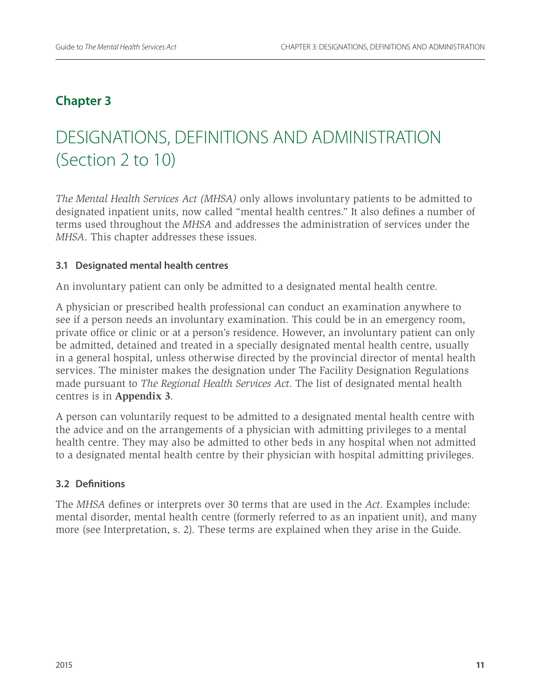## **Chapter 3**

# DESIGNATIONS, DEFINITIONS AND ADMINISTRATION (Section 2 to 10)

*The Mental Health Services Act (MHSA)* only allows involuntary patients to be admitted to designated inpatient units, now called "mental health centres." It also defines a number of terms used throughout the *MHSA* and addresses the administration of services under the *MHSA*. This chapter addresses these issues.

### **3.1 Designated mental health centres**

An involuntary patient can only be admitted to a designated mental health centre.

A physician or prescribed health professional can conduct an examination anywhere to see if a person needs an involuntary examination. This could be in an emergency room, private office or clinic or at a person's residence. However, an involuntary patient can only be admitted, detained and treated in a specially designated mental health centre, usually in a general hospital, unless otherwise directed by the provincial director of mental health services. The minister makes the designation under The Facility Designation Regulations made pursuant to *The Regional Health Services Act*. The list of designated mental health centres is in **Appendix 3**.

A person can voluntarily request to be admitted to a designated mental health centre with the advice and on the arrangements of a physician with admitting privileges to a mental health centre. They may also be admitted to other beds in any hospital when not admitted to a designated mental health centre by their physician with hospital admitting privileges.

### **3.2 Definitions**

The *MHSA* defines or interprets over 30 terms that are used in the *Act*. Examples include: mental disorder, mental health centre (formerly referred to as an inpatient unit), and many more (see Interpretation, s. 2). These terms are explained when they arise in the Guide.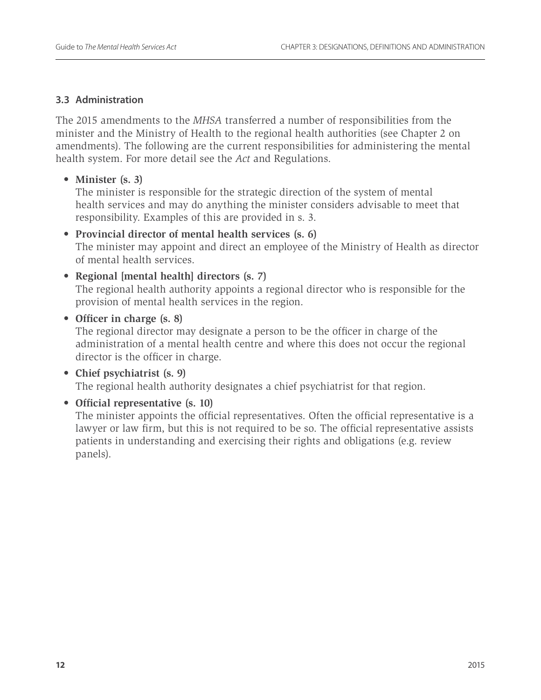### **3.3 Administration**

The 2015 amendments to the *MHSA* transferred a number of responsibilities from the minister and the Ministry of Health to the regional health authorities (see Chapter 2 on amendments). The following are the current responsibilities for administering the mental health system. For more detail see the *Act* and Regulations.

### • **Minister (s. 3)**

The minister is responsible for the strategic direction of the system of mental health services and may do anything the minister considers advisable to meet that responsibility. Examples of this are provided in s. 3.

- **Provincial director of mental health services (s. 6)** The minister may appoint and direct an employee of the Ministry of Health as director of mental health services.
- **Regional [mental health] directors (s. 7)** The regional health authority appoints a regional director who is responsible for the provision of mental health services in the region.
- **Officer in charge (s. 8)**

The regional director may designate a person to be the officer in charge of the administration of a mental health centre and where this does not occur the regional director is the officer in charge.

- **Chief psychiatrist (s. 9)** The regional health authority designates a chief psychiatrist for that region.
- **Official representative (s. 10)**

The minister appoints the official representatives. Often the official representative is a lawyer or law firm, but this is not required to be so. The official representative assists patients in understanding and exercising their rights and obligations (e.g. review panels).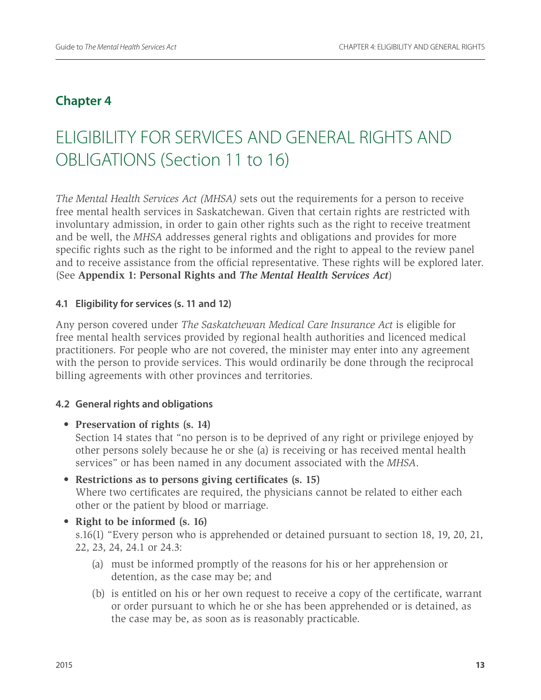### **Chapter 4**

# ELIGIBILITY FOR SERVICES AND GENERAL RIGHTS AND OBLIGATIONS (Section 11 to 16)

*The Mental Health Services Act (MHSA)* sets out the requirements for a person to receive free mental health services in Saskatchewan. Given that certain rights are restricted with involuntary admission, in order to gain other rights such as the right to receive treatment and be well, the *MHSA* addresses general rights and obligations and provides for more specific rights such as the right to be informed and the right to appeal to the review panel and to receive assistance from the official representative. These rights will be explored later. (See **Appendix 1: Personal Rights and** *The Mental Health Services Act*)

### **4.1 Eligibility for services (s. 11 and 12)**

Any person covered under *The Saskatchewan Medical Care Insurance Act* is eligible for free mental health services provided by regional health authorities and licenced medical practitioners. For people who are not covered, the minister may enter into any agreement with the person to provide services. This would ordinarily be done through the reciprocal billing agreements with other provinces and territories.

### **4.2 General rights and obligations**

• **Preservation of rights (s. 14)**

Section 14 states that "no person is to be deprived of any right or privilege enjoyed by other persons solely because he or she (a) is receiving or has received mental health services" or has been named in any document associated with the *MHSA*.

- **Restrictions as to persons giving certificates (s. 15)** Where two certificates are required, the physicians cannot be related to either each other or the patient by blood or marriage.
- **Right to be informed (s. 16)** s.16(1) "Every person who is apprehended or detained pursuant to section 18, 19, 20, 21, 22, 23, 24, 24.1 or 24.3:
	- (a) must be informed promptly of the reasons for his or her apprehension or detention, as the case may be; and
	- (b) is entitled on his or her own request to receive a copy of the certificate, warrant or order pursuant to which he or she has been apprehended or is detained, as the case may be, as soon as is reasonably practicable.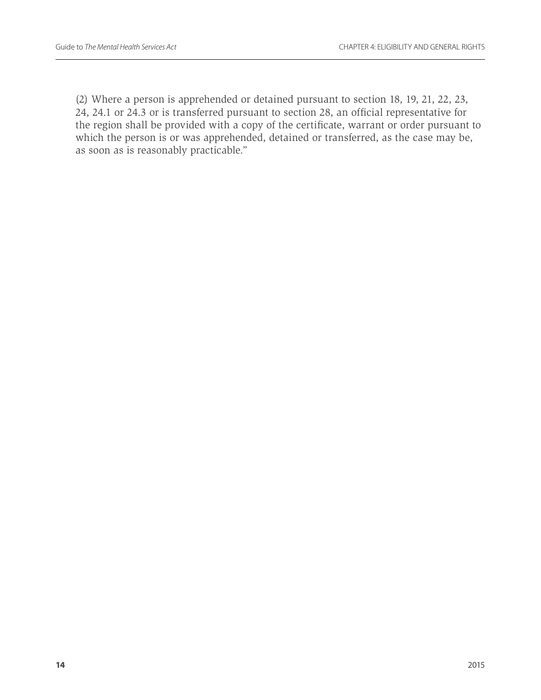(2) Where a person is apprehended or detained pursuant to section 18, 19, 21, 22, 23, 24, 24.1 or 24.3 or is transferred pursuant to section 28, an official representative for the region shall be provided with a copy of the certificate, warrant or order pursuant to which the person is or was apprehended, detained or transferred, as the case may be, as soon as is reasonably practicable."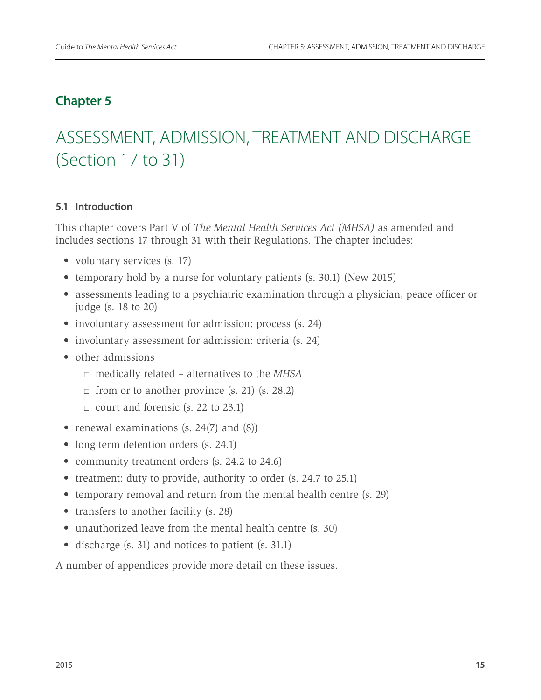### **Chapter 5**

# ASSESSMENT, ADMISSION, TREATMENT AND DISCHARGE (Section 17 to 31)

### **5.1 Introduction**

This chapter covers Part V of *The Mental Health Services Act (MHSA)* as amended and includes sections 17 through 31 with their Regulations. The chapter includes:

- voluntary services (s. 17)
- temporary hold by a nurse for voluntary patients (s. 30.1) (New 2015)
- assessments leading to a psychiatric examination through a physician, peace officer or judge (s. 18 to 20)
- involuntary assessment for admission: process (s. 24)
- involuntary assessment for admission: criteria (s. 24)
- other admissions
	- □ medically related alternatives to the *MHSA*
	- $\Box$  from or to another province (s. 21) (s. 28.2)
	- $\Box$  court and forensic (s. 22 to 23.1)
- renewal examinations (s. 24(7) and (8))
- long term detention orders (s. 24.1)
- community treatment orders (s. 24.2 to 24.6)
- treatment: duty to provide, authority to order (s. 24.7 to 25.1)
- temporary removal and return from the mental health centre (s. 29)
- transfers to another facility (s. 28)
- unauthorized leave from the mental health centre (s. 30)
- discharge (s. 31) and notices to patient (s. 31.1)

A number of appendices provide more detail on these issues.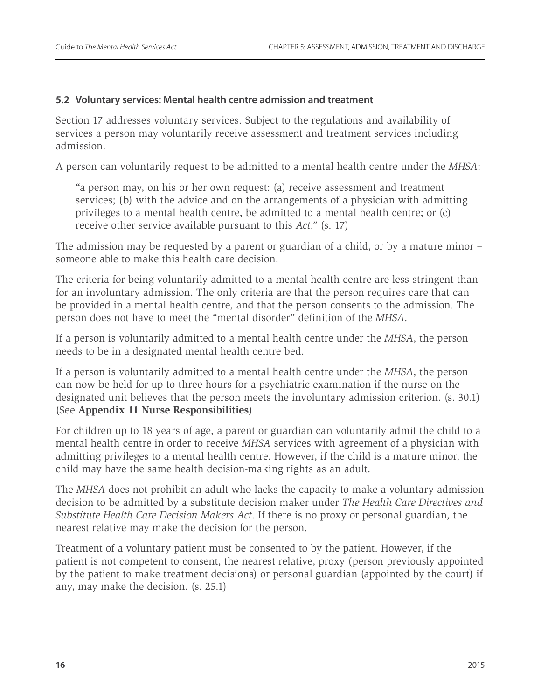#### **5.2 Voluntary services: Mental health centre admission and treatment**

Section 17 addresses voluntary services. Subject to the regulations and availability of services a person may voluntarily receive assessment and treatment services including admission.

A person can voluntarily request to be admitted to a mental health centre under the *MHSA*:

"a person may, on his or her own request: (a) receive assessment and treatment services; (b) with the advice and on the arrangements of a physician with admitting privileges to a mental health centre, be admitted to a mental health centre; or (c) receive other service available pursuant to this *Act*." (s. 17)

The admission may be requested by a parent or guardian of a child, or by a mature minor – someone able to make this health care decision.

The criteria for being voluntarily admitted to a mental health centre are less stringent than for an involuntary admission. The only criteria are that the person requires care that can be provided in a mental health centre, and that the person consents to the admission. The person does not have to meet the "mental disorder" definition of the *MHSA*.

If a person is voluntarily admitted to a mental health centre under the *MHSA*, the person needs to be in a designated mental health centre bed.

If a person is voluntarily admitted to a mental health centre under the *MHSA*, the person can now be held for up to three hours for a psychiatric examination if the nurse on the designated unit believes that the person meets the involuntary admission criterion. (s. 30.1) (See **Appendix 11 Nurse Responsibilities**)

For children up to 18 years of age, a parent or guardian can voluntarily admit the child to a mental health centre in order to receive *MHSA* services with agreement of a physician with admitting privileges to a mental health centre. However, if the child is a mature minor, the child may have the same health decision-making rights as an adult.

The *MHSA* does not prohibit an adult who lacks the capacity to make a voluntary admission decision to be admitted by a substitute decision maker under *The Health Care Directives and Substitute Health Care Decision Makers Act*. If there is no proxy or personal guardian, the nearest relative may make the decision for the person.

Treatment of a voluntary patient must be consented to by the patient. However, if the patient is not competent to consent, the nearest relative, proxy (person previously appointed by the patient to make treatment decisions) or personal guardian (appointed by the court) if any, may make the decision. (s. 25.1)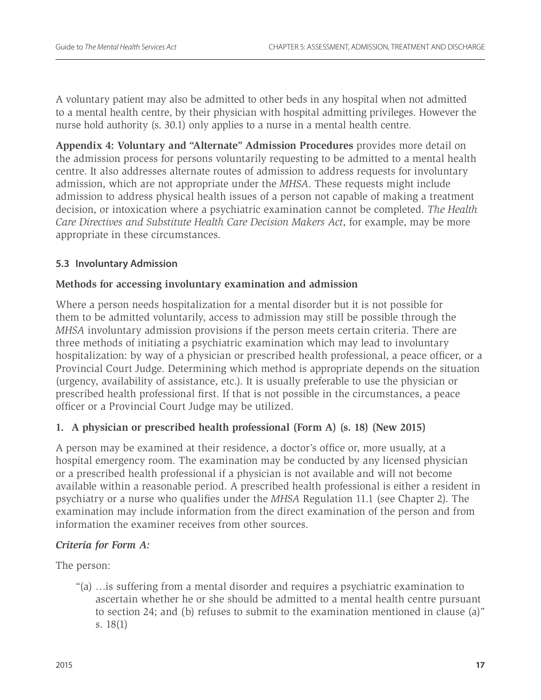A voluntary patient may also be admitted to other beds in any hospital when not admitted to a mental health centre, by their physician with hospital admitting privileges. However the nurse hold authority (s. 30.1) only applies to a nurse in a mental health centre.

**Appendix 4: Voluntary and "Alternate" Admission Procedures** provides more detail on the admission process for persons voluntarily requesting to be admitted to a mental health centre. It also addresses alternate routes of admission to address requests for involuntary admission, which are not appropriate under the *MHSA*. These requests might include admission to address physical health issues of a person not capable of making a treatment decision, or intoxication where a psychiatric examination cannot be completed. *The Health Care Directives and Substitute Health Care Decision Makers Act*, for example, may be more appropriate in these circumstances.

### **5.3 Involuntary Admission**

### **Methods for accessing involuntary examination and admission**

Where a person needs hospitalization for a mental disorder but it is not possible for them to be admitted voluntarily, access to admission may still be possible through the *MHSA* involuntary admission provisions if the person meets certain criteria. There are three methods of initiating a psychiatric examination which may lead to involuntary hospitalization: by way of a physician or prescribed health professional, a peace officer, or a Provincial Court Judge. Determining which method is appropriate depends on the situation (urgency, availability of assistance, etc.). It is usually preferable to use the physician or prescribed health professional first. If that is not possible in the circumstances, a peace officer or a Provincial Court Judge may be utilized.

### **1. A physician or prescribed health professional (Form A) (s. 18) (New 2015)**

A person may be examined at their residence, a doctor's office or, more usually, at a hospital emergency room. The examination may be conducted by any licensed physician or a prescribed health professional if a physician is not available and will not become available within a reasonable period. A prescribed health professional is either a resident in psychiatry or a nurse who qualifies under the *MHSA* Regulation 11.1 (see Chapter 2). The examination may include information from the direct examination of the person and from information the examiner receives from other sources.

### *Criteria for Form A:*

The person:

"(a) …is suffering from a mental disorder and requires a psychiatric examination to ascertain whether he or she should be admitted to a mental health centre pursuant to section 24; and (b) refuses to submit to the examination mentioned in clause (a)" s. 18(1)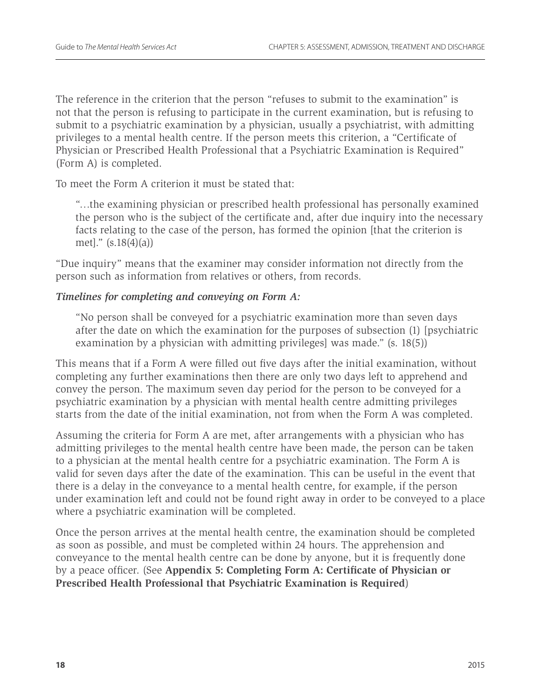The reference in the criterion that the person "refuses to submit to the examination" is not that the person is refusing to participate in the current examination, but is refusing to submit to a psychiatric examination by a physician, usually a psychiatrist, with admitting privileges to a mental health centre. If the person meets this criterion, a "Certificate of Physician or Prescribed Health Professional that a Psychiatric Examination is Required" (Form A) is completed.

To meet the Form A criterion it must be stated that:

"…the examining physician or prescribed health professional has personally examined the person who is the subject of the certificate and, after due inquiry into the necessary facts relating to the case of the person, has formed the opinion [that the criterion is met]." (s.18(4)(a))

"Due inquiry" means that the examiner may consider information not directly from the person such as information from relatives or others, from records.

### *Timelines for completing and conveying on Form A:*

"No person shall be conveyed for a psychiatric examination more than seven days after the date on which the examination for the purposes of subsection (1) [psychiatric examination by a physician with admitting privileges] was made." (s. 18(5))

This means that if a Form A were filled out five days after the initial examination, without completing any further examinations then there are only two days left to apprehend and convey the person. The maximum seven day period for the person to be conveyed for a psychiatric examination by a physician with mental health centre admitting privileges starts from the date of the initial examination, not from when the Form A was completed.

Assuming the criteria for Form A are met, after arrangements with a physician who has admitting privileges to the mental health centre have been made, the person can be taken to a physician at the mental health centre for a psychiatric examination. The Form A is valid for seven days after the date of the examination. This can be useful in the event that there is a delay in the conveyance to a mental health centre, for example, if the person under examination left and could not be found right away in order to be conveyed to a place where a psychiatric examination will be completed.

Once the person arrives at the mental health centre, the examination should be completed as soon as possible, and must be completed within 24 hours. The apprehension and conveyance to the mental health centre can be done by anyone, but it is frequently done by a peace officer. (See **Appendix 5: Completing Form A: Certificate of Physician or Prescribed Health Professional that Psychiatric Examination is Required**)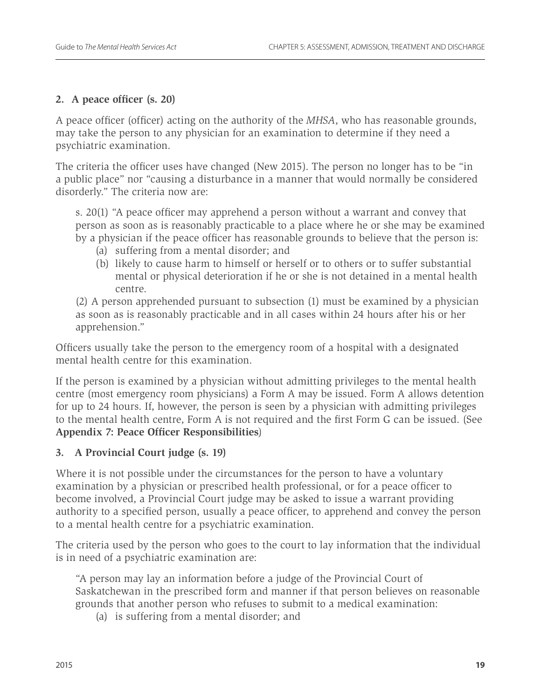### **2. A peace officer (s. 20)**

A peace officer (officer) acting on the authority of the *MHSA*, who has reasonable grounds, may take the person to any physician for an examination to determine if they need a psychiatric examination.

The criteria the officer uses have changed (New 2015). The person no longer has to be "in a public place" nor "causing a disturbance in a manner that would normally be considered disorderly." The criteria now are:

s. 20(1) "A peace officer may apprehend a person without a warrant and convey that person as soon as is reasonably practicable to a place where he or she may be examined by a physician if the peace officer has reasonable grounds to believe that the person is:

- (a) suffering from a mental disorder; and
- (b) likely to cause harm to himself or herself or to others or to suffer substantial mental or physical deterioration if he or she is not detained in a mental health centre.

(2) A person apprehended pursuant to subsection (1) must be examined by a physician as soon as is reasonably practicable and in all cases within 24 hours after his or her apprehension."

Officers usually take the person to the emergency room of a hospital with a designated mental health centre for this examination.

If the person is examined by a physician without admitting privileges to the mental health centre (most emergency room physicians) a Form A may be issued. Form A allows detention for up to 24 hours. If, however, the person is seen by a physician with admitting privileges to the mental health centre, Form A is not required and the first Form G can be issued. (See **Appendix 7: Peace Officer Responsibilities**)

### **3. A Provincial Court judge (s. 19)**

Where it is not possible under the circumstances for the person to have a voluntary examination by a physician or prescribed health professional, or for a peace officer to become involved, a Provincial Court judge may be asked to issue a warrant providing authority to a specified person, usually a peace officer, to apprehend and convey the person to a mental health centre for a psychiatric examination.

The criteria used by the person who goes to the court to lay information that the individual is in need of a psychiatric examination are:

"A person may lay an information before a judge of the Provincial Court of Saskatchewan in the prescribed form and manner if that person believes on reasonable grounds that another person who refuses to submit to a medical examination:

(a) is suffering from a mental disorder; and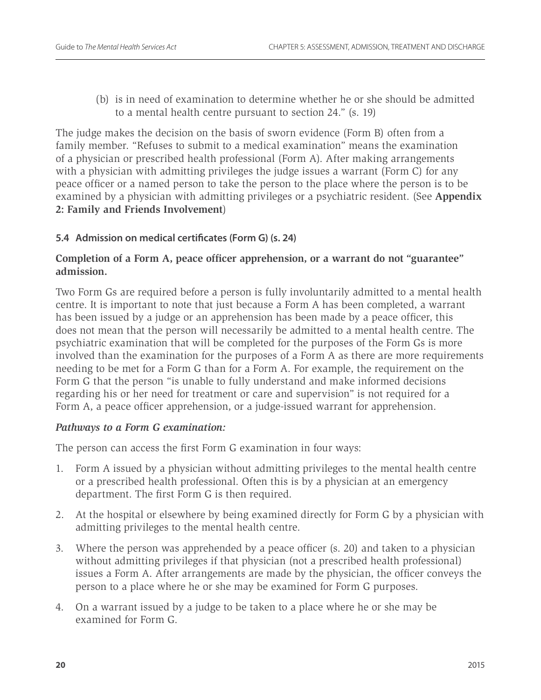(b) is in need of examination to determine whether he or she should be admitted to a mental health centre pursuant to section 24." (s. 19)

The judge makes the decision on the basis of sworn evidence (Form B) often from a family member. "Refuses to submit to a medical examination" means the examination of a physician or prescribed health professional (Form A). After making arrangements with a physician with admitting privileges the judge issues a warrant (Form C) for any peace officer or a named person to take the person to the place where the person is to be examined by a physician with admitting privileges or a psychiatric resident. (See **Appendix 2: Family and Friends Involvement**)

### **5.4 Admission on medical certificates (Form G) (s. 24)**

### **Completion of a Form A, peace officer apprehension, or a warrant do not "guarantee" admission.**

Two Form Gs are required before a person is fully involuntarily admitted to a mental health centre. It is important to note that just because a Form A has been completed, a warrant has been issued by a judge or an apprehension has been made by a peace officer, this does not mean that the person will necessarily be admitted to a mental health centre. The psychiatric examination that will be completed for the purposes of the Form Gs is more involved than the examination for the purposes of a Form A as there are more requirements needing to be met for a Form G than for a Form A. For example, the requirement on the Form G that the person "is unable to fully understand and make informed decisions regarding his or her need for treatment or care and supervision" is not required for a Form A, a peace officer apprehension, or a judge-issued warrant for apprehension.

### *Pathways to a Form G examination:*

The person can access the first Form G examination in four ways:

- 1. Form A issued by a physician without admitting privileges to the mental health centre or a prescribed health professional. Often this is by a physician at an emergency department. The first Form G is then required.
- 2. At the hospital or elsewhere by being examined directly for Form G by a physician with admitting privileges to the mental health centre.
- 3. Where the person was apprehended by a peace officer (s. 20) and taken to a physician without admitting privileges if that physician (not a prescribed health professional) issues a Form A. After arrangements are made by the physician, the officer conveys the person to a place where he or she may be examined for Form G purposes.
- 4. On a warrant issued by a judge to be taken to a place where he or she may be examined for Form G.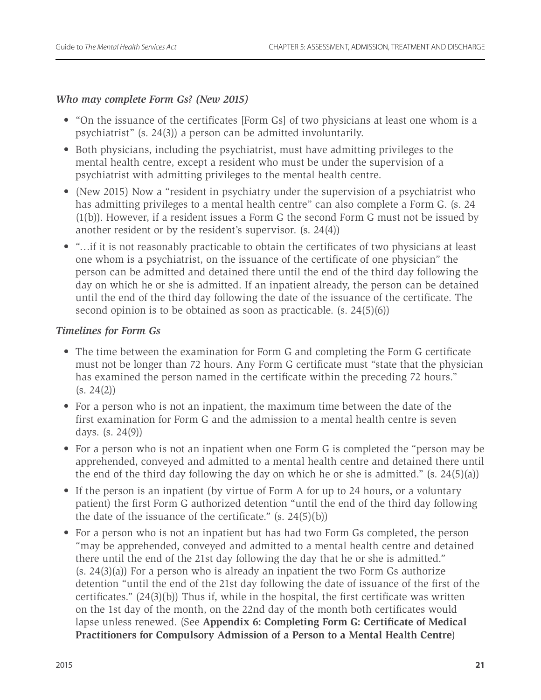### *Who may complete Form Gs? (New 2015)*

- "On the issuance of the certificates [Form Gs] of two physicians at least one whom is a psychiatrist" (s. 24(3)) a person can be admitted involuntarily.
- Both physicians, including the psychiatrist, must have admitting privileges to the mental health centre, except a resident who must be under the supervision of a psychiatrist with admitting privileges to the mental health centre.
- (New 2015) Now a "resident in psychiatry under the supervision of a psychiatrist who has admitting privileges to a mental health centre" can also complete a Form G. (s. 24 (1(b)). However, if a resident issues a Form G the second Form G must not be issued by another resident or by the resident's supervisor. (s. 24(4))
- "…if it is not reasonably practicable to obtain the certificates of two physicians at least one whom is a psychiatrist, on the issuance of the certificate of one physician" the person can be admitted and detained there until the end of the third day following the day on which he or she is admitted. If an inpatient already, the person can be detained until the end of the third day following the date of the issuance of the certificate. The second opinion is to be obtained as soon as practicable. (s. 24(5)(6))

### *Timelines for Form Gs*

- The time between the examination for Form G and completing the Form G certificate must not be longer than 72 hours. Any Form G certificate must "state that the physician has examined the person named in the certificate within the preceding 72 hours." (s. 24(2))
- For a person who is not an inpatient, the maximum time between the date of the first examination for Form G and the admission to a mental health centre is seven days. (s. 24(9))
- For a person who is not an inpatient when one Form G is completed the "person may be apprehended, conveyed and admitted to a mental health centre and detained there until the end of the third day following the day on which he or she is admitted."  $(s. 24(5)(a))$
- If the person is an inpatient (by virtue of Form A for up to 24 hours, or a voluntary patient) the first Form G authorized detention "until the end of the third day following the date of the issuance of the certificate." (s. 24(5)(b))
- For a person who is not an inpatient but has had two Form Gs completed, the person "may be apprehended, conveyed and admitted to a mental health centre and detained there until the end of the 21st day following the day that he or she is admitted." (s. 24(3)(a)) For a person who is already an inpatient the two Form Gs authorize detention "until the end of the 21st day following the date of issuance of the first of the certificates." (24(3)(b)) Thus if, while in the hospital, the first certificate was written on the 1st day of the month, on the 22nd day of the month both certificates would lapse unless renewed. (See **Appendix 6: Completing Form G: Certificate of Medical Practitioners for Compulsory Admission of a Person to a Mental Health Centre**)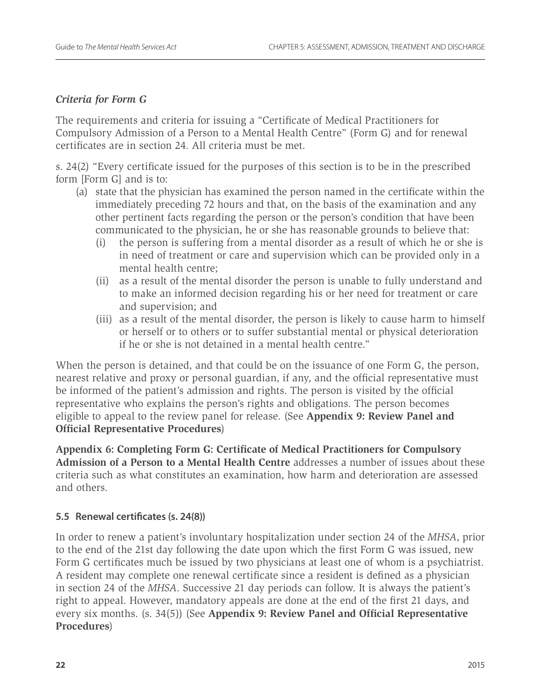### *Criteria for Form G*

The requirements and criteria for issuing a "Certificate of Medical Practitioners for Compulsory Admission of a Person to a Mental Health Centre" (Form G) and for renewal certificates are in section 24. All criteria must be met.

s. 24(2) "Every certificate issued for the purposes of this section is to be in the prescribed form [Form G] and is to:

- (a) state that the physician has examined the person named in the certificate within the immediately preceding 72 hours and that, on the basis of the examination and any other pertinent facts regarding the person or the person's condition that have been communicated to the physician, he or she has reasonable grounds to believe that:
	- (i) the person is suffering from a mental disorder as a result of which he or she is in need of treatment or care and supervision which can be provided only in a mental health centre;
	- (ii) as a result of the mental disorder the person is unable to fully understand and to make an informed decision regarding his or her need for treatment or care and supervision; and
	- (iii) as a result of the mental disorder, the person is likely to cause harm to himself or herself or to others or to suffer substantial mental or physical deterioration if he or she is not detained in a mental health centre."

When the person is detained, and that could be on the issuance of one Form G, the person, nearest relative and proxy or personal guardian, if any, and the official representative must be informed of the patient's admission and rights. The person is visited by the official representative who explains the person's rights and obligations. The person becomes eligible to appeal to the review panel for release. (See **Appendix 9: Review Panel and Official Representative Procedures**)

**Appendix 6: Completing Form G: Certificate of Medical Practitioners for Compulsory Admission of a Person to a Mental Health Centre** addresses a number of issues about these criteria such as what constitutes an examination, how harm and deterioration are assessed and others.

### **5.5 Renewal certificates (s. 24(8))**

In order to renew a patient's involuntary hospitalization under section 24 of the *MHSA*, prior to the end of the 21st day following the date upon which the first Form G was issued, new Form G certificates much be issued by two physicians at least one of whom is a psychiatrist. A resident may complete one renewal certificate since a resident is defined as a physician in section 24 of the *MHSA*. Successive 21 day periods can follow. It is always the patient's right to appeal. However, mandatory appeals are done at the end of the first 21 days, and every six months. (s. 34(5)) (See **Appendix 9: Review Panel and Official Representative Procedures**)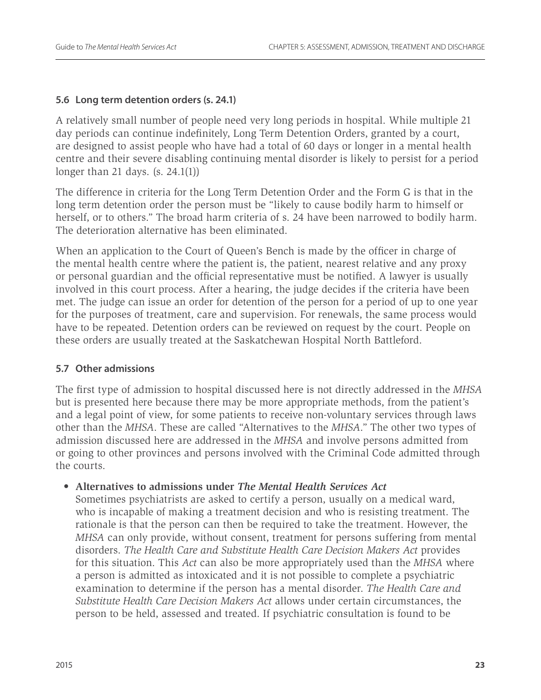### **5.6 Long term detention orders (s. 24.1)**

A relatively small number of people need very long periods in hospital. While multiple 21 day periods can continue indefinitely, Long Term Detention Orders, granted by a court, are designed to assist people who have had a total of 60 days or longer in a mental health centre and their severe disabling continuing mental disorder is likely to persist for a period longer than 21 days. (s. 24.1(1))

The difference in criteria for the Long Term Detention Order and the Form G is that in the long term detention order the person must be "likely to cause bodily harm to himself or herself, or to others." The broad harm criteria of s. 24 have been narrowed to bodily harm. The deterioration alternative has been eliminated.

When an application to the Court of Queen's Bench is made by the officer in charge of the mental health centre where the patient is, the patient, nearest relative and any proxy or personal guardian and the official representative must be notified. A lawyer is usually involved in this court process. After a hearing, the judge decides if the criteria have been met. The judge can issue an order for detention of the person for a period of up to one year for the purposes of treatment, care and supervision. For renewals, the same process would have to be repeated. Detention orders can be reviewed on request by the court. People on these orders are usually treated at the Saskatchewan Hospital North Battleford.

### **5.7 Other admissions**

The first type of admission to hospital discussed here is not directly addressed in the *MHSA* but is presented here because there may be more appropriate methods, from the patient's and a legal point of view, for some patients to receive non-voluntary services through laws other than the *MHSA*. These are called "Alternatives to the *MHSA*." The other two types of admission discussed here are addressed in the *MHSA* and involve persons admitted from or going to other provinces and persons involved with the Criminal Code admitted through the courts.

### • **Alternatives to admissions under** *The Mental Health Services Act*

Sometimes psychiatrists are asked to certify a person, usually on a medical ward, who is incapable of making a treatment decision and who is resisting treatment. The rationale is that the person can then be required to take the treatment. However, the *MHSA* can only provide, without consent, treatment for persons suffering from mental disorders. *The Health Care and Substitute Health Care Decision Makers Act* provides for this situation. This *Act* can also be more appropriately used than the *MHSA* where a person is admitted as intoxicated and it is not possible to complete a psychiatric examination to determine if the person has a mental disorder. *The Health Care and Substitute Health Care Decision Makers Act* allows under certain circumstances, the person to be held, assessed and treated. If psychiatric consultation is found to be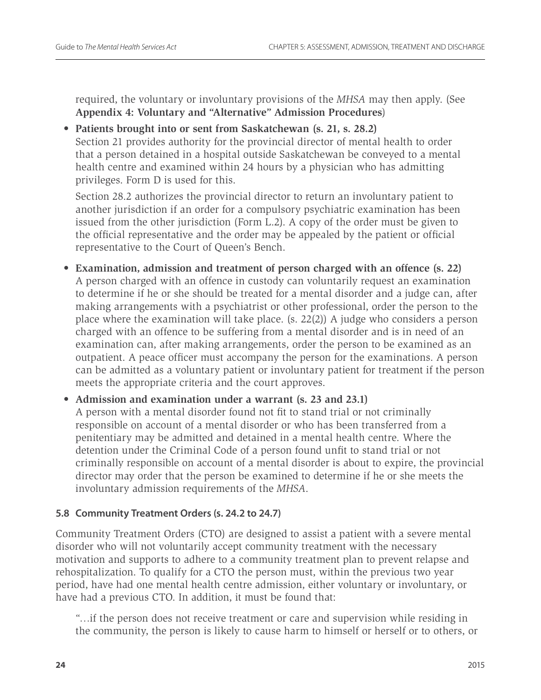required, the voluntary or involuntary provisions of the *MHSA* may then apply. (See **Appendix 4: Voluntary and "Alternative" Admission Procedures**)

### • **Patients brought into or sent from Saskatchewan (s. 21, s. 28.2)**

Section 21 provides authority for the provincial director of mental health to order that a person detained in a hospital outside Saskatchewan be conveyed to a mental health centre and examined within 24 hours by a physician who has admitting privileges. Form D is used for this.

Section 28.2 authorizes the provincial director to return an involuntary patient to another jurisdiction if an order for a compulsory psychiatric examination has been issued from the other jurisdiction (Form L.2). A copy of the order must be given to the official representative and the order may be appealed by the patient or official representative to the Court of Queen's Bench.

• **Examination, admission and treatment of person charged with an offence (s. 22)** A person charged with an offence in custody can voluntarily request an examination to determine if he or she should be treated for a mental disorder and a judge can, after making arrangements with a psychiatrist or other professional, order the person to the place where the examination will take place. (s. 22(2)) A judge who considers a person charged with an offence to be suffering from a mental disorder and is in need of an examination can, after making arrangements, order the person to be examined as an outpatient. A peace officer must accompany the person for the examinations. A person can be admitted as a voluntary patient or involuntary patient for treatment if the person meets the appropriate criteria and the court approves.

• **Admission and examination under a warrant (s. 23 and 23.1)** A person with a mental disorder found not fit to stand trial or not criminally responsible on account of a mental disorder or who has been transferred from a penitentiary may be admitted and detained in a mental health centre. Where the detention under the Criminal Code of a person found unfit to stand trial or not criminally responsible on account of a mental disorder is about to expire, the provincial director may order that the person be examined to determine if he or she meets the involuntary admission requirements of the *MHSA*.

### **5.8 Community Treatment Orders (s. 24.2 to 24.7)**

Community Treatment Orders (CTO) are designed to assist a patient with a severe mental disorder who will not voluntarily accept community treatment with the necessary motivation and supports to adhere to a community treatment plan to prevent relapse and rehospitalization. To qualify for a CTO the person must, within the previous two year period, have had one mental health centre admission, either voluntary or involuntary, or have had a previous CTO. In addition, it must be found that:

"…if the person does not receive treatment or care and supervision while residing in the community, the person is likely to cause harm to himself or herself or to others, or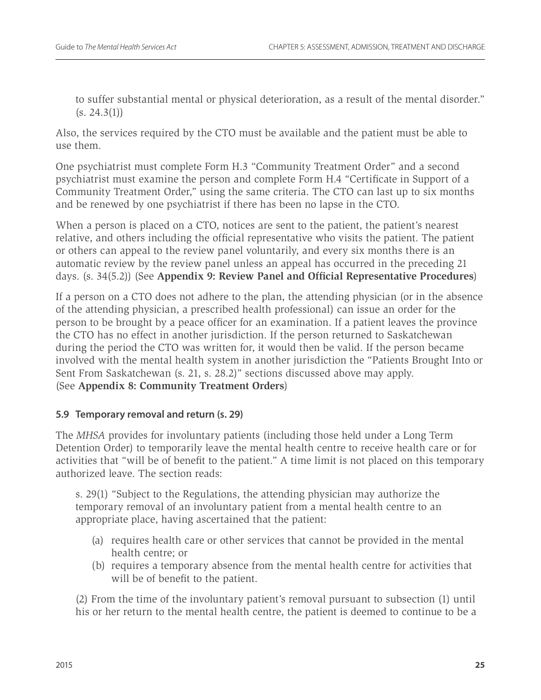to suffer substantial mental or physical deterioration, as a result of the mental disorder."  $(s. 24.3(1))$ 

Also, the services required by the CTO must be available and the patient must be able to use them.

One psychiatrist must complete Form H.3 "Community Treatment Order" and a second psychiatrist must examine the person and complete Form H.4 "Certificate in Support of a Community Treatment Order," using the same criteria. The CTO can last up to six months and be renewed by one psychiatrist if there has been no lapse in the CTO.

When a person is placed on a CTO, notices are sent to the patient, the patient's nearest relative, and others including the official representative who visits the patient. The patient or others can appeal to the review panel voluntarily, and every six months there is an automatic review by the review panel unless an appeal has occurred in the preceding 21 days. (s. 34(5.2)) (See **Appendix 9: Review Panel and Official Representative Procedures**)

If a person on a CTO does not adhere to the plan, the attending physician (or in the absence of the attending physician, a prescribed health professional) can issue an order for the person to be brought by a peace officer for an examination. If a patient leaves the province the CTO has no effect in another jurisdiction. If the person returned to Saskatchewan during the period the CTO was written for, it would then be valid. If the person became involved with the mental health system in another jurisdiction the "Patients Brought Into or Sent From Saskatchewan (s. 21, s. 28.2)" sections discussed above may apply. (See **Appendix 8: Community Treatment Orders**)

### **5.9 Temporary removal and return (s. 29)**

The *MHSA* provides for involuntary patients (including those held under a Long Term Detention Order) to temporarily leave the mental health centre to receive health care or for activities that "will be of benefit to the patient." A time limit is not placed on this temporary authorized leave. The section reads:

s. 29(1) "Subject to the Regulations, the attending physician may authorize the temporary removal of an involuntary patient from a mental health centre to an appropriate place, having ascertained that the patient:

- (a) requires health care or other services that cannot be provided in the mental health centre; or
- (b) requires a temporary absence from the mental health centre for activities that will be of benefit to the patient.

(2) From the time of the involuntary patient's removal pursuant to subsection (1) until his or her return to the mental health centre, the patient is deemed to continue to be a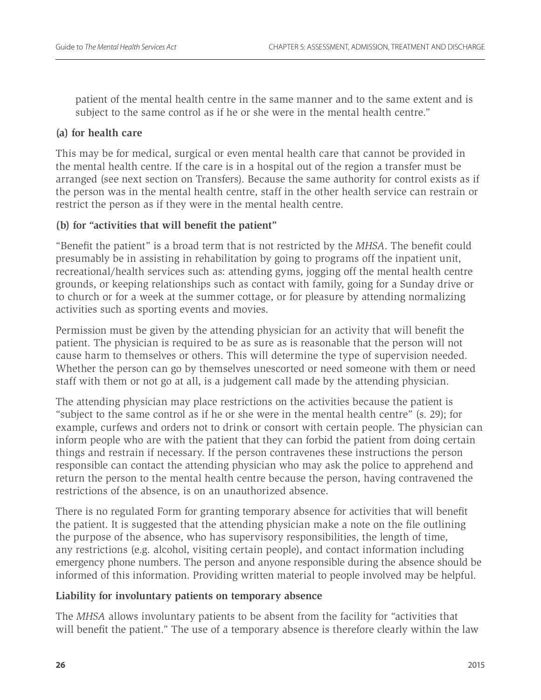patient of the mental health centre in the same manner and to the same extent and is subject to the same control as if he or she were in the mental health centre."

### **(a) for health care**

This may be for medical, surgical or even mental health care that cannot be provided in the mental health centre. If the care is in a hospital out of the region a transfer must be arranged (see next section on Transfers). Because the same authority for control exists as if the person was in the mental health centre, staff in the other health service can restrain or restrict the person as if they were in the mental health centre.

### **(b) for "activities that will benefit the patient"**

"Benefit the patient" is a broad term that is not restricted by the *MHSA*. The benefit could presumably be in assisting in rehabilitation by going to programs off the inpatient unit, recreational/health services such as: attending gyms, jogging off the mental health centre grounds, or keeping relationships such as contact with family, going for a Sunday drive or to church or for a week at the summer cottage, or for pleasure by attending normalizing activities such as sporting events and movies.

Permission must be given by the attending physician for an activity that will benefit the patient. The physician is required to be as sure as is reasonable that the person will not cause harm to themselves or others. This will determine the type of supervision needed. Whether the person can go by themselves unescorted or need someone with them or need staff with them or not go at all, is a judgement call made by the attending physician.

The attending physician may place restrictions on the activities because the patient is "subject to the same control as if he or she were in the mental health centre" (s. 29); for example, curfews and orders not to drink or consort with certain people. The physician can inform people who are with the patient that they can forbid the patient from doing certain things and restrain if necessary. If the person contravenes these instructions the person responsible can contact the attending physician who may ask the police to apprehend and return the person to the mental health centre because the person, having contravened the restrictions of the absence, is on an unauthorized absence.

There is no regulated Form for granting temporary absence for activities that will benefit the patient. It is suggested that the attending physician make a note on the file outlining the purpose of the absence, who has supervisory responsibilities, the length of time, any restrictions (e.g. alcohol, visiting certain people), and contact information including emergency phone numbers. The person and anyone responsible during the absence should be informed of this information. Providing written material to people involved may be helpful.

### **Liability for involuntary patients on temporary absence**

The *MHSA* allows involuntary patients to be absent from the facility for "activities that will benefit the patient." The use of a temporary absence is therefore clearly within the law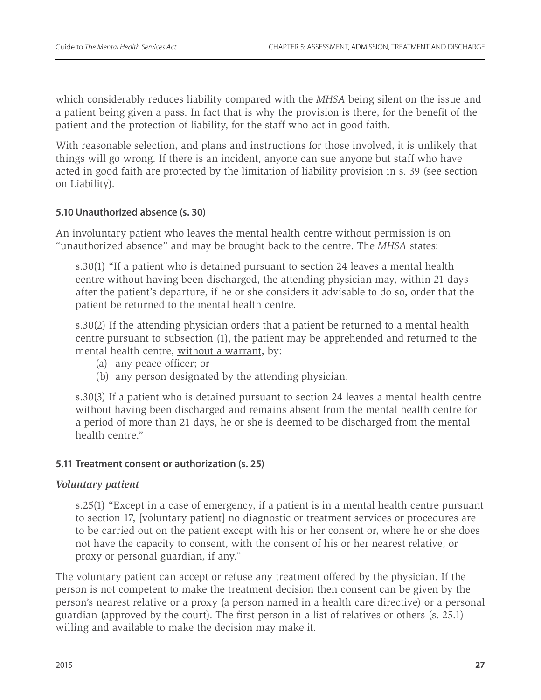which considerably reduces liability compared with the *MHSA* being silent on the issue and a patient being given a pass. In fact that is why the provision is there, for the benefit of the patient and the protection of liability, for the staff who act in good faith.

With reasonable selection, and plans and instructions for those involved, it is unlikely that things will go wrong. If there is an incident, anyone can sue anyone but staff who have acted in good faith are protected by the limitation of liability provision in s. 39 (see section on Liability).

### **5.10 Unauthorized absence (s. 30)**

An involuntary patient who leaves the mental health centre without permission is on "unauthorized absence" and may be brought back to the centre. The *MHSA* states:

s.30(1) "If a patient who is detained pursuant to section 24 leaves a mental health centre without having been discharged, the attending physician may, within 21 days after the patient's departure, if he or she considers it advisable to do so, order that the patient be returned to the mental health centre.

s.30(2) If the attending physician orders that a patient be returned to a mental health centre pursuant to subsection (1), the patient may be apprehended and returned to the mental health centre, without a warrant, by:

- (a) any peace officer; or
- (b) any person designated by the attending physician.

s.30(3) If a patient who is detained pursuant to section 24 leaves a mental health centre without having been discharged and remains absent from the mental health centre for a period of more than 21 days, he or she is deemed to be discharged from the mental health centre."

### **5.11 Treatment consent or authorization (s. 25)**

### *Voluntary patient*

s.25(1) "Except in a case of emergency, if a patient is in a mental health centre pursuant to section 17, [voluntary patient] no diagnostic or treatment services or procedures are to be carried out on the patient except with his or her consent or, where he or she does not have the capacity to consent, with the consent of his or her nearest relative, or proxy or personal guardian, if any."

The voluntary patient can accept or refuse any treatment offered by the physician. If the person is not competent to make the treatment decision then consent can be given by the person's nearest relative or a proxy (a person named in a health care directive) or a personal guardian (approved by the court). The first person in a list of relatives or others (s. 25.1) willing and available to make the decision may make it.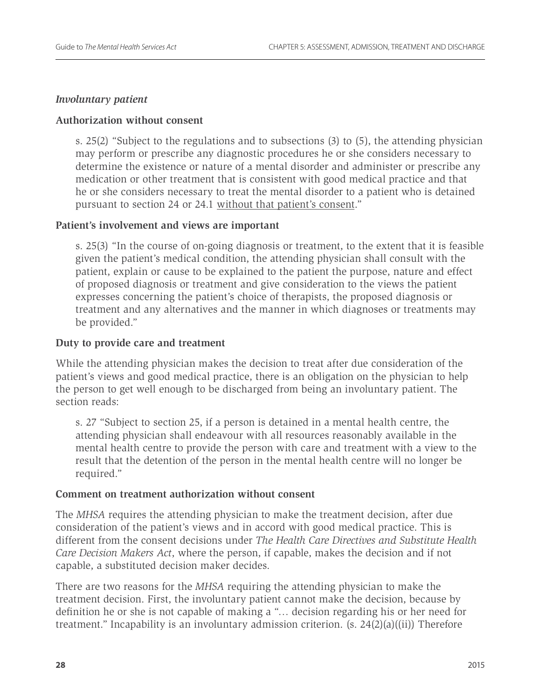### *Involuntary patient*

### **Authorization without consent**

s. 25(2) "Subject to the regulations and to subsections (3) to (5), the attending physician may perform or prescribe any diagnostic procedures he or she considers necessary to determine the existence or nature of a mental disorder and administer or prescribe any medication or other treatment that is consistent with good medical practice and that he or she considers necessary to treat the mental disorder to a patient who is detained pursuant to section 24 or 24.1 without that patient's consent."

### **Patient's involvement and views are important**

s. 25(3) "In the course of on-going diagnosis or treatment, to the extent that it is feasible given the patient's medical condition, the attending physician shall consult with the patient, explain or cause to be explained to the patient the purpose, nature and effect of proposed diagnosis or treatment and give consideration to the views the patient expresses concerning the patient's choice of therapists, the proposed diagnosis or treatment and any alternatives and the manner in which diagnoses or treatments may be provided."

### **Duty to provide care and treatment**

While the attending physician makes the decision to treat after due consideration of the patient's views and good medical practice, there is an obligation on the physician to help the person to get well enough to be discharged from being an involuntary patient. The section reads:

s. 27 "Subject to section 25, if a person is detained in a mental health centre, the attending physician shall endeavour with all resources reasonably available in the mental health centre to provide the person with care and treatment with a view to the result that the detention of the person in the mental health centre will no longer be required."

### **Comment on treatment authorization without consent**

The *MHSA* requires the attending physician to make the treatment decision, after due consideration of the patient's views and in accord with good medical practice. This is different from the consent decisions under *The Health Care Directives and Substitute Health Care Decision Makers Act*, where the person, if capable, makes the decision and if not capable, a substituted decision maker decides.

There are two reasons for the *MHSA* requiring the attending physician to make the treatment decision. First, the involuntary patient cannot make the decision, because by definition he or she is not capable of making a "… decision regarding his or her need for treatment." Incapability is an involuntary admission criterion. (s. 24(2)(a)((ii)) Therefore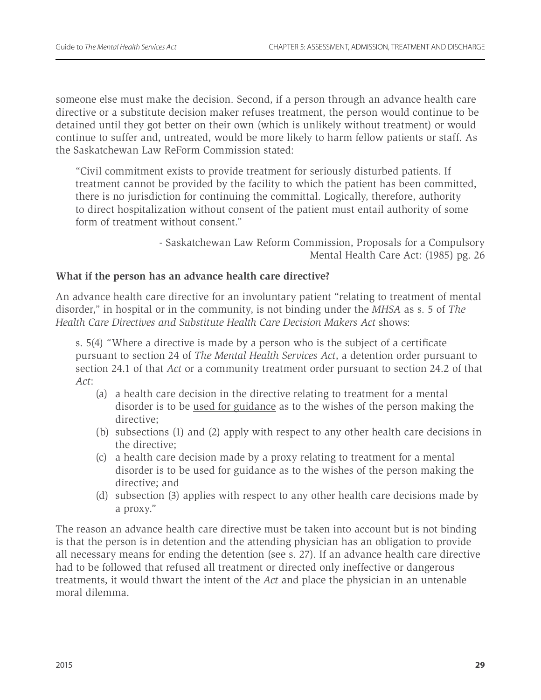someone else must make the decision. Second, if a person through an advance health care directive or a substitute decision maker refuses treatment, the person would continue to be detained until they got better on their own (which is unlikely without treatment) or would continue to suffer and, untreated, would be more likely to harm fellow patients or staff. As the Saskatchewan Law ReForm Commission stated:

"Civil commitment exists to provide treatment for seriously disturbed patients. If treatment cannot be provided by the facility to which the patient has been committed, there is no jurisdiction for continuing the committal. Logically, therefore, authority to direct hospitalization without consent of the patient must entail authority of some form of treatment without consent."

> - Saskatchewan Law Reform Commission, Proposals for a Compulsory Mental Health Care Act: (1985) pg. 26

### **What if the person has an advance health care directive?**

An advance health care directive for an involuntary patient "relating to treatment of mental disorder," in hospital or in the community, is not binding under the *MHSA* as s. 5 of *The Health Care Directives and Substitute Health Care Decision Makers Act* shows:

s. 5(4) "Where a directive is made by a person who is the subject of a certificate pursuant to section 24 of *The Mental Health Services Act*, a detention order pursuant to section 24.1 of that *Act* or a community treatment order pursuant to section 24.2 of that *Act*:

- (a) a health care decision in the directive relating to treatment for a mental disorder is to be used for guidance as to the wishes of the person making the directive;
- (b) subsections (1) and (2) apply with respect to any other health care decisions in the directive;
- (c) a health care decision made by a proxy relating to treatment for a mental disorder is to be used for guidance as to the wishes of the person making the directive; and
- (d) subsection (3) applies with respect to any other health care decisions made by a proxy."

The reason an advance health care directive must be taken into account but is not binding is that the person is in detention and the attending physician has an obligation to provide all necessary means for ending the detention (see s. 27). If an advance health care directive had to be followed that refused all treatment or directed only ineffective or dangerous treatments, it would thwart the intent of the *Act* and place the physician in an untenable moral dilemma.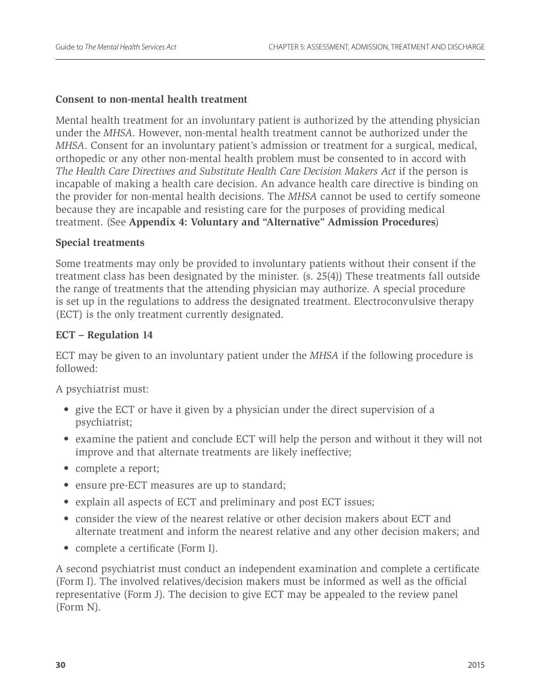### **Consent to non-mental health treatment**

Mental health treatment for an involuntary patient is authorized by the attending physician under the *MHSA*. However, non-mental health treatment cannot be authorized under the *MHSA*. Consent for an involuntary patient's admission or treatment for a surgical, medical, orthopedic or any other non-mental health problem must be consented to in accord with *The Health Care Directives and Substitute Health Care Decision Makers Act* if the person is incapable of making a health care decision. An advance health care directive is binding on the provider for non-mental health decisions. The *MHSA* cannot be used to certify someone because they are incapable and resisting care for the purposes of providing medical treatment. (See **Appendix 4: Voluntary and "Alternative" Admission Procedures**)

### **Special treatments**

Some treatments may only be provided to involuntary patients without their consent if the treatment class has been designated by the minister. (s. 25(4)) These treatments fall outside the range of treatments that the attending physician may authorize. A special procedure is set up in the regulations to address the designated treatment. Electroconvulsive therapy (ECT) is the only treatment currently designated.

### **ECT – Regulation 14**

ECT may be given to an involuntary patient under the *MHSA* if the following procedure is followed:

A psychiatrist must:

- give the ECT or have it given by a physician under the direct supervision of a psychiatrist;
- examine the patient and conclude ECT will help the person and without it they will not improve and that alternate treatments are likely ineffective;
- complete a report;
- ensure pre-ECT measures are up to standard;
- explain all aspects of ECT and preliminary and post ECT issues;
- consider the view of the nearest relative or other decision makers about ECT and alternate treatment and inform the nearest relative and any other decision makers; and
- complete a certificate (Form I).

A second psychiatrist must conduct an independent examination and complete a certificate (Form I). The involved relatives/decision makers must be informed as well as the official representative (Form J). The decision to give ECT may be appealed to the review panel (Form N).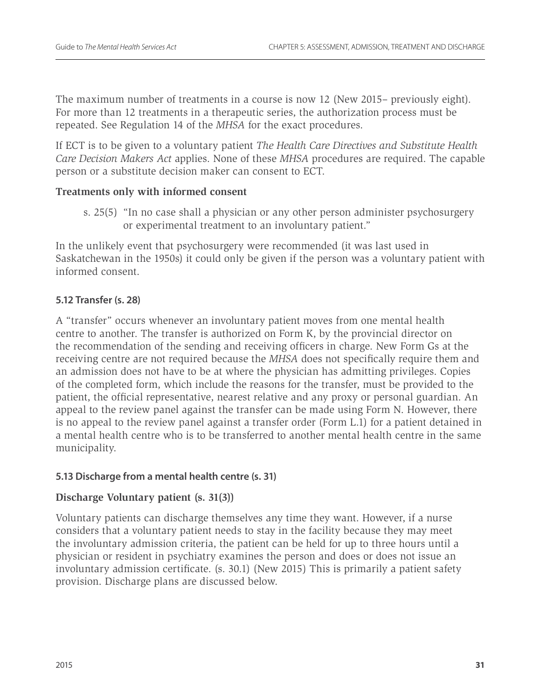The maximum number of treatments in a course is now 12 (New 2015– previously eight). For more than 12 treatments in a therapeutic series, the authorization process must be repeated. See Regulation 14 of the *MHSA* for the exact procedures.

If ECT is to be given to a voluntary patient *The Health Care Directives and Substitute Health Care Decision Makers Act* applies. None of these *MHSA* procedures are required. The capable person or a substitute decision maker can consent to ECT.

## **Treatments only with informed consent**

s. 25(5) "In no case shall a physician or any other person administer psychosurgery or experimental treatment to an involuntary patient."

In the unlikely event that psychosurgery were recommended (it was last used in Saskatchewan in the 1950s) it could only be given if the person was a voluntary patient with informed consent.

## **5.12 Transfer (s. 28)**

A "transfer" occurs whenever an involuntary patient moves from one mental health centre to another. The transfer is authorized on Form K, by the provincial director on the recommendation of the sending and receiving officers in charge. New Form Gs at the receiving centre are not required because the *MHSA* does not specifically require them and an admission does not have to be at where the physician has admitting privileges. Copies of the completed form, which include the reasons for the transfer, must be provided to the patient, the official representative, nearest relative and any proxy or personal guardian. An appeal to the review panel against the transfer can be made using Form N. However, there is no appeal to the review panel against a transfer order (Form L.1) for a patient detained in a mental health centre who is to be transferred to another mental health centre in the same municipality.

## **5.13 Discharge from a mental health centre (s. 31)**

## **Discharge Voluntary patient (s. 31(3))**

Voluntary patients can discharge themselves any time they want. However, if a nurse considers that a voluntary patient needs to stay in the facility because they may meet the involuntary admission criteria, the patient can be held for up to three hours until a physician or resident in psychiatry examines the person and does or does not issue an involuntary admission certificate. (s. 30.1) (New 2015) This is primarily a patient safety provision. Discharge plans are discussed below.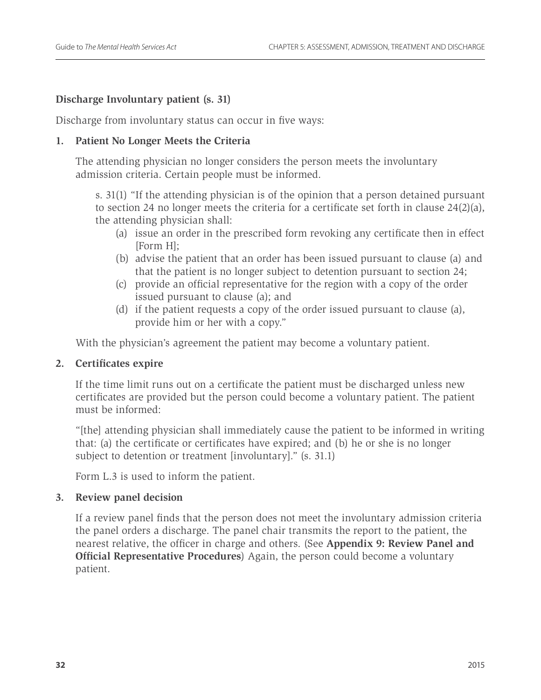## **Discharge Involuntary patient (s. 31)**

Discharge from involuntary status can occur in five ways:

### **1. Patient No Longer Meets the Criteria**

The attending physician no longer considers the person meets the involuntary admission criteria. Certain people must be informed.

s. 31(1) "If the attending physician is of the opinion that a person detained pursuant to section 24 no longer meets the criteria for a certificate set forth in clause 24(2)(a), the attending physician shall:

- (a) issue an order in the prescribed form revoking any certificate then in effect [Form H];
- (b) advise the patient that an order has been issued pursuant to clause (a) and that the patient is no longer subject to detention pursuant to section 24;
- (c) provide an official representative for the region with a copy of the order issued pursuant to clause (a); and
- (d) if the patient requests a copy of the order issued pursuant to clause (a), provide him or her with a copy."

With the physician's agreement the patient may become a voluntary patient.

## **2. Certificates expire**

If the time limit runs out on a certificate the patient must be discharged unless new certificates are provided but the person could become a voluntary patient. The patient must be informed:

"[the] attending physician shall immediately cause the patient to be informed in writing that: (a) the certificate or certificates have expired; and (b) he or she is no longer subject to detention or treatment [involuntary]." (s. 31.1)

Form L.3 is used to inform the patient.

#### **3. Review panel decision**

If a review panel finds that the person does not meet the involuntary admission criteria the panel orders a discharge. The panel chair transmits the report to the patient, the nearest relative, the officer in charge and others. (See **Appendix 9: Review Panel and Official Representative Procedures**) Again, the person could become a voluntary patient.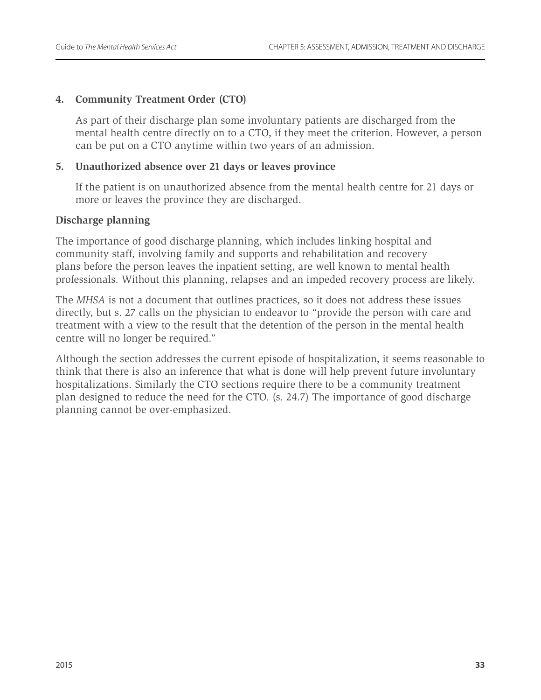#### **4. Community Treatment Order (CTO)**

As part of their discharge plan some involuntary patients are discharged from the mental health centre directly on to a CTO, if they meet the criterion. However, a person can be put on a CTO anytime within two years of an admission.

#### **5. Unauthorized absence over 21 days or leaves province**

If the patient is on unauthorized absence from the mental health centre for 21 days or more or leaves the province they are discharged.

#### **Discharge planning**

The importance of good discharge planning, which includes linking hospital and community staff, involving family and supports and rehabilitation and recovery plans before the person leaves the inpatient setting, are well known to mental health professionals. Without this planning, relapses and an impeded recovery process are likely.

The *MHSA* is not a document that outlines practices, so it does not address these issues directly, but s. 27 calls on the physician to endeavor to "provide the person with care and treatment with a view to the result that the detention of the person in the mental health centre will no longer be required."

Although the section addresses the current episode of hospitalization, it seems reasonable to think that there is also an inference that what is done will help prevent future involuntary hospitalizations. Similarly the CTO sections require there to be a community treatment plan designed to reduce the need for the CTO. (s. 24.7) The importance of good discharge planning cannot be over-emphasized.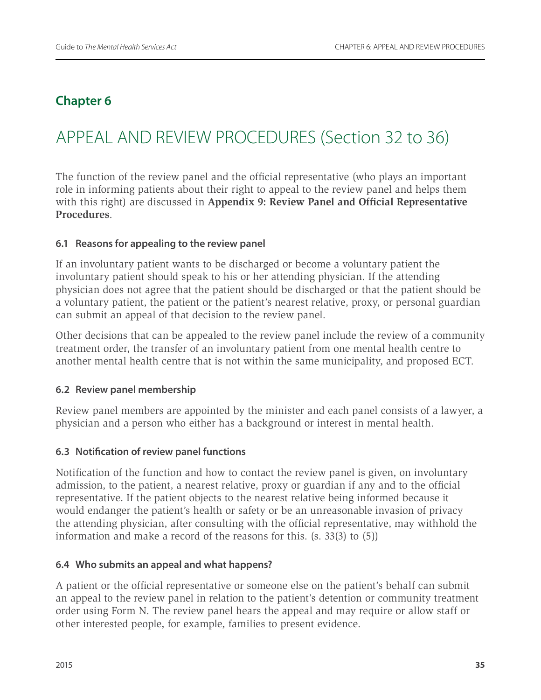## **Chapter 6**

# APPEAL AND REVIEW PROCEDURES (Section 32 to 36)

The function of the review panel and the official representative (who plays an important role in informing patients about their right to appeal to the review panel and helps them with this right) are discussed in **Appendix 9: Review Panel and Official Representative Procedures**.

## **6.1 Reasons for appealing to the review panel**

If an involuntary patient wants to be discharged or become a voluntary patient the involuntary patient should speak to his or her attending physician. If the attending physician does not agree that the patient should be discharged or that the patient should be a voluntary patient, the patient or the patient's nearest relative, proxy, or personal guardian can submit an appeal of that decision to the review panel.

Other decisions that can be appealed to the review panel include the review of a community treatment order, the transfer of an involuntary patient from one mental health centre to another mental health centre that is not within the same municipality, and proposed ECT.

## **6.2 Review panel membership**

Review panel members are appointed by the minister and each panel consists of a lawyer, a physician and a person who either has a background or interest in mental health.

## **6.3 Notification of review panel functions**

Notification of the function and how to contact the review panel is given, on involuntary admission, to the patient, a nearest relative, proxy or guardian if any and to the official representative. If the patient objects to the nearest relative being informed because it would endanger the patient's health or safety or be an unreasonable invasion of privacy the attending physician, after consulting with the official representative, may withhold the information and make a record of the reasons for this. (s. 33(3) to (5))

## **6.4 Who submits an appeal and what happens?**

A patient or the official representative or someone else on the patient's behalf can submit an appeal to the review panel in relation to the patient's detention or community treatment order using Form N. The review panel hears the appeal and may require or allow staff or other interested people, for example, families to present evidence.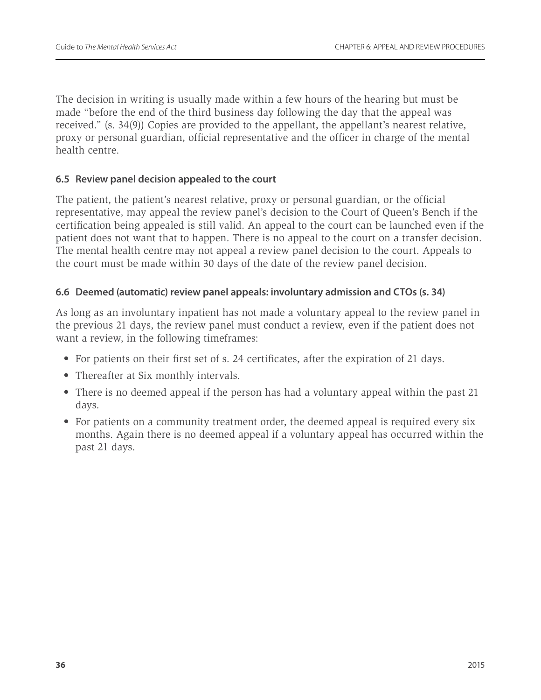The decision in writing is usually made within a few hours of the hearing but must be made "before the end of the third business day following the day that the appeal was received." (s. 34(9)) Copies are provided to the appellant, the appellant's nearest relative, proxy or personal guardian, official representative and the officer in charge of the mental health centre.

## **6.5 Review panel decision appealed to the court**

The patient, the patient's nearest relative, proxy or personal guardian, or the official representative, may appeal the review panel's decision to the Court of Queen's Bench if the certification being appealed is still valid. An appeal to the court can be launched even if the patient does not want that to happen. There is no appeal to the court on a transfer decision. The mental health centre may not appeal a review panel decision to the court. Appeals to the court must be made within 30 days of the date of the review panel decision.

## **6.6 Deemed (automatic) review panel appeals: involuntary admission and CTOs (s. 34)**

As long as an involuntary inpatient has not made a voluntary appeal to the review panel in the previous 21 days, the review panel must conduct a review, even if the patient does not want a review, in the following timeframes:

- For patients on their first set of s. 24 certificates, after the expiration of 21 days.
- Thereafter at Six monthly intervals.
- There is no deemed appeal if the person has had a voluntary appeal within the past 21 days.
- For patients on a community treatment order, the deemed appeal is required every six months. Again there is no deemed appeal if a voluntary appeal has occurred within the past 21 days.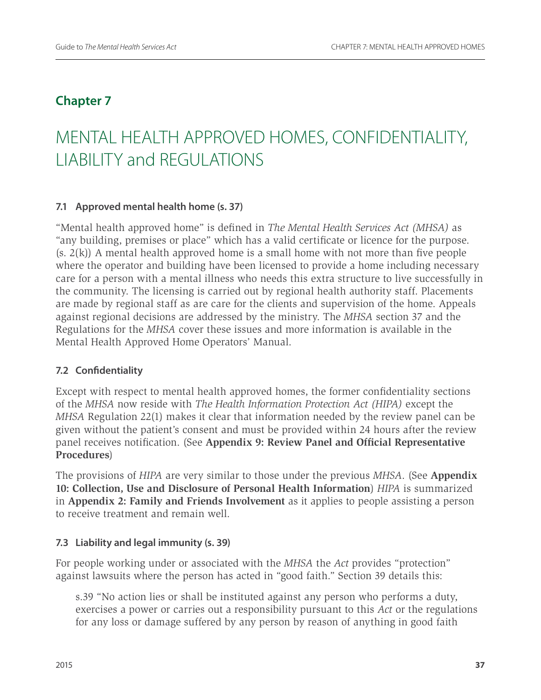## **Chapter 7**

# MENTAL HEALTH APPROVED HOMES, CONFIDENTIALITY, LIABILITY and REGULATIONS

## **7.1 Approved mental health home (s. 37)**

"Mental health approved home" is defined in *The Mental Health Services Act (MHSA)* as "any building, premises or place" which has a valid certificate or licence for the purpose. (s. 2(k)) A mental health approved home is a small home with not more than five people where the operator and building have been licensed to provide a home including necessary care for a person with a mental illness who needs this extra structure to live successfully in the community. The licensing is carried out by regional health authority staff. Placements are made by regional staff as are care for the clients and supervision of the home. Appeals against regional decisions are addressed by the ministry. The *MHSA* section 37 and the Regulations for the *MHSA* cover these issues and more information is available in the Mental Health Approved Home Operators' Manual.

## **7.2 Confidentiality**

Except with respect to mental health approved homes, the former confidentiality sections of the *MHSA* now reside with *The Health Information Protection Act (HIPA)* except the *MHSA* Regulation 22(1) makes it clear that information needed by the review panel can be given without the patient's consent and must be provided within 24 hours after the review panel receives notification. (See **Appendix 9: Review Panel and Official Representative Procedures**)

The provisions of *HIPA* are very similar to those under the previous *MHSA*. (See **Appendix 10: Collection, Use and Disclosure of Personal Health Information**) *HIPA* is summarized in **Appendix 2: Family and Friends Involvement** as it applies to people assisting a person to receive treatment and remain well.

## **7.3 Liability and legal immunity (s. 39)**

For people working under or associated with the *MHSA* the *Act* provides "protection" against lawsuits where the person has acted in "good faith." Section 39 details this:

s.39 "No action lies or shall be instituted against any person who performs a duty, exercises a power or carries out a responsibility pursuant to this *Act* or the regulations for any loss or damage suffered by any person by reason of anything in good faith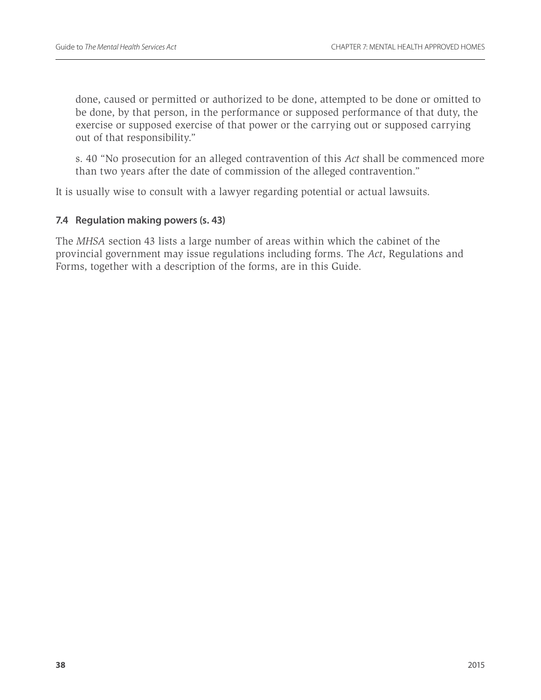done, caused or permitted or authorized to be done, attempted to be done or omitted to be done, by that person, in the performance or supposed performance of that duty, the exercise or supposed exercise of that power or the carrying out or supposed carrying out of that responsibility."

s. 40 "No prosecution for an alleged contravention of this *Act* shall be commenced more than two years after the date of commission of the alleged contravention."

It is usually wise to consult with a lawyer regarding potential or actual lawsuits.

### **7.4 Regulation making powers (s. 43)**

The *MHSA* section 43 lists a large number of areas within which the cabinet of the provincial government may issue regulations including forms. The *Act*, Regulations and Forms, together with a description of the forms, are in this Guide.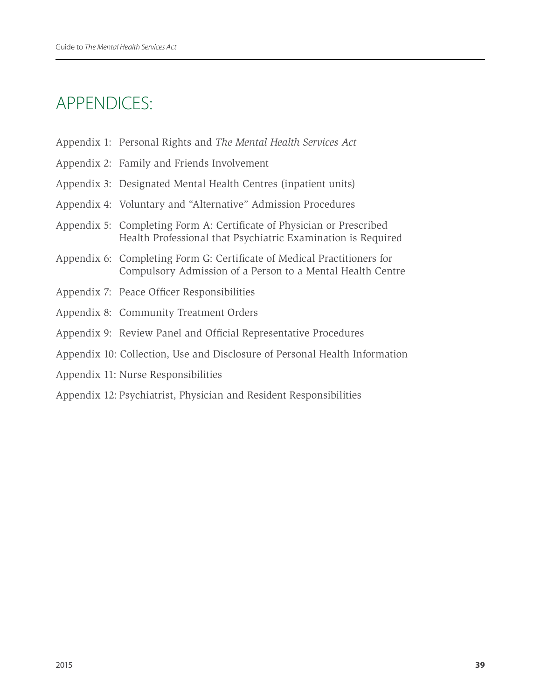# APPENDICES:

- Appendix 1: Personal Rights and *The Mental Health Services Act*
- Appendix 2: Family and Friends Involvement
- Appendix 3: Designated Mental Health Centres (inpatient units)
- Appendix 4: Voluntary and "Alternative" Admission Procedures
- Appendix 5: Completing Form A: Certificate of Physician or Prescribed Health Professional that Psychiatric Examination is Required
- Appendix 6: Completing Form G: Certificate of Medical Practitioners for Compulsory Admission of a Person to a Mental Health Centre
- Appendix 7: Peace Officer Responsibilities
- Appendix 8: Community Treatment Orders
- Appendix 9: Review Panel and Official Representative Procedures
- Appendix 10: Collection, Use and Disclosure of Personal Health Information
- Appendix 11: Nurse Responsibilities
- Appendix 12: Psychiatrist, Physician and Resident Responsibilities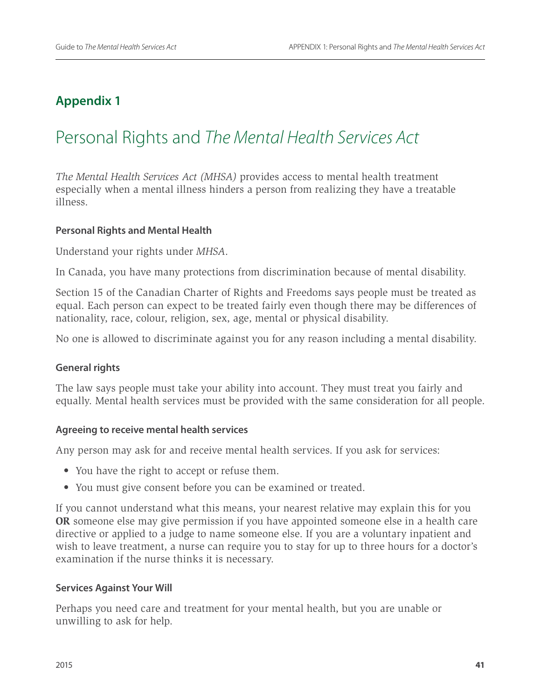## **Appendix 1**

# Personal Rights and *The Mental Health Services Act*

*The Mental Health Services Act (MHSA)* provides access to mental health treatment especially when a mental illness hinders a person from realizing they have a treatable illness.

## **Personal Rights and Mental Health**

Understand your rights under *MHSA*.

In Canada, you have many protections from discrimination because of mental disability.

Section 15 of the Canadian Charter of Rights and Freedoms says people must be treated as equal. Each person can expect to be treated fairly even though there may be differences of nationality, race, colour, religion, sex, age, mental or physical disability.

No one is allowed to discriminate against you for any reason including a mental disability.

#### **General rights**

The law says people must take your ability into account. They must treat you fairly and equally. Mental health services must be provided with the same consideration for all people.

#### **Agreeing to receive mental health services**

Any person may ask for and receive mental health services. If you ask for services:

- You have the right to accept or refuse them.
- You must give consent before you can be examined or treated.

If you cannot understand what this means, your nearest relative may explain this for you **OR** someone else may give permission if you have appointed someone else in a health care directive or applied to a judge to name someone else. If you are a voluntary inpatient and wish to leave treatment, a nurse can require you to stay for up to three hours for a doctor's examination if the nurse thinks it is necessary.

#### **Services Against Your Will**

Perhaps you need care and treatment for your mental health, but you are unable or unwilling to ask for help.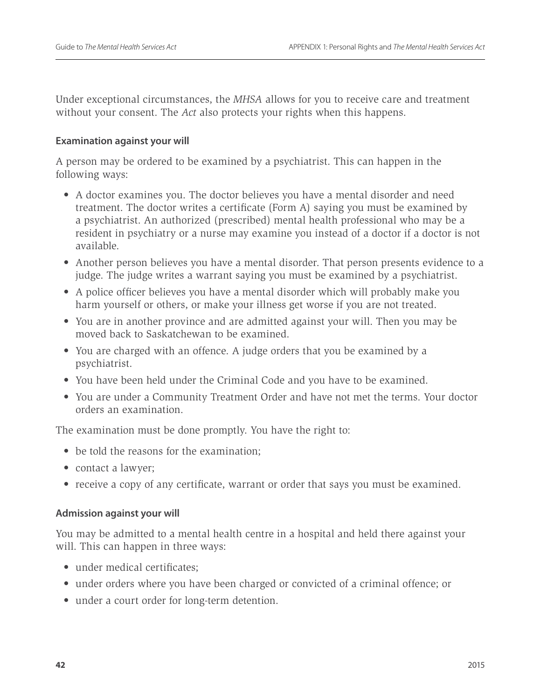Under exceptional circumstances, the *MHSA* allows for you to receive care and treatment without your consent. The *Act* also protects your rights when this happens.

### **Examination against your will**

A person may be ordered to be examined by a psychiatrist. This can happen in the following ways:

- A doctor examines you. The doctor believes you have a mental disorder and need treatment. The doctor writes a certificate (Form A) saying you must be examined by a psychiatrist. An authorized (prescribed) mental health professional who may be a resident in psychiatry or a nurse may examine you instead of a doctor if a doctor is not available.
- Another person believes you have a mental disorder. That person presents evidence to a judge. The judge writes a warrant saying you must be examined by a psychiatrist.
- A police officer believes you have a mental disorder which will probably make you harm yourself or others, or make your illness get worse if you are not treated.
- You are in another province and are admitted against your will. Then you may be moved back to Saskatchewan to be examined.
- You are charged with an offence. A judge orders that you be examined by a psychiatrist.
- You have been held under the Criminal Code and you have to be examined.
- You are under a Community Treatment Order and have not met the terms. Your doctor orders an examination.

The examination must be done promptly. You have the right to:

- be told the reasons for the examination:
- contact a lawyer;
- receive a copy of any certificate, warrant or order that says you must be examined.

#### **Admission against your will**

You may be admitted to a mental health centre in a hospital and held there against your will. This can happen in three ways:

- under medical certificates:
- under orders where you have been charged or convicted of a criminal offence; or
- under a court order for long-term detention.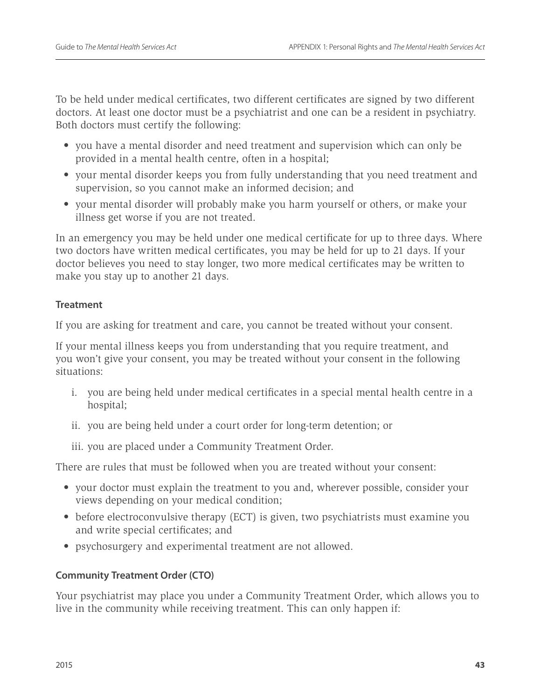To be held under medical certificates, two different certificates are signed by two different doctors. At least one doctor must be a psychiatrist and one can be a resident in psychiatry. Both doctors must certify the following:

- you have a mental disorder and need treatment and supervision which can only be provided in a mental health centre, often in a hospital;
- your mental disorder keeps you from fully understanding that you need treatment and supervision, so you cannot make an informed decision; and
- your mental disorder will probably make you harm yourself or others, or make your illness get worse if you are not treated.

In an emergency you may be held under one medical certificate for up to three days. Where two doctors have written medical certificates, you may be held for up to 21 days. If your doctor believes you need to stay longer, two more medical certificates may be written to make you stay up to another 21 days.

## **Treatment**

If you are asking for treatment and care, you cannot be treated without your consent.

If your mental illness keeps you from understanding that you require treatment, and you won't give your consent, you may be treated without your consent in the following situations:

- i. you are being held under medical certificates in a special mental health centre in a hospital;
- ii. you are being held under a court order for long-term detention; or
- iii. you are placed under a Community Treatment Order.

There are rules that must be followed when you are treated without your consent:

- your doctor must explain the treatment to you and, wherever possible, consider your views depending on your medical condition;
- before electroconvulsive therapy (ECT) is given, two psychiatrists must examine you and write special certificates; and
- psychosurgery and experimental treatment are not allowed.

## **Community Treatment Order (CTO)**

Your psychiatrist may place you under a Community Treatment Order, which allows you to live in the community while receiving treatment. This can only happen if: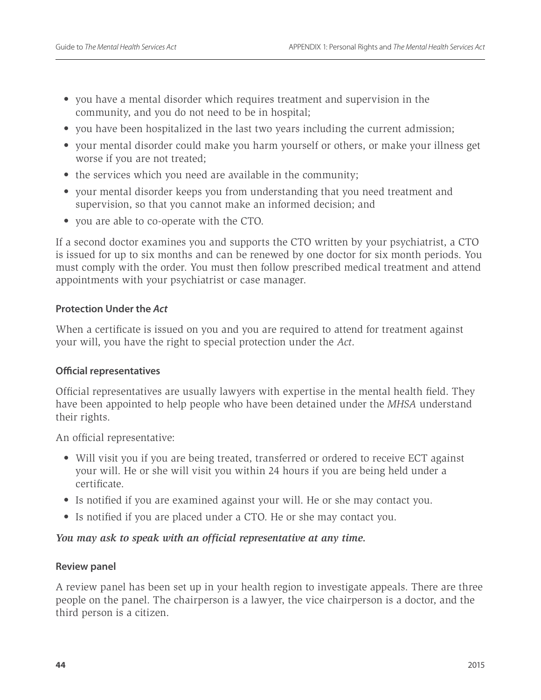- you have a mental disorder which requires treatment and supervision in the community, and you do not need to be in hospital;
- you have been hospitalized in the last two years including the current admission;
- your mental disorder could make you harm yourself or others, or make your illness get worse if you are not treated;
- the services which you need are available in the community;
- your mental disorder keeps you from understanding that you need treatment and supervision, so that you cannot make an informed decision; and
- you are able to co-operate with the CTO.

If a second doctor examines you and supports the CTO written by your psychiatrist, a CTO is issued for up to six months and can be renewed by one doctor for six month periods. You must comply with the order. You must then follow prescribed medical treatment and attend appointments with your psychiatrist or case manager.

## **Protection Under the** *Act*

When a certificate is issued on you and you are required to attend for treatment against your will, you have the right to special protection under the *Act*.

## **Official representatives**

Official representatives are usually lawyers with expertise in the mental health field. They have been appointed to help people who have been detained under the *MHSA* understand their rights.

An official representative:

- Will visit you if you are being treated, transferred or ordered to receive ECT against your will. He or she will visit you within 24 hours if you are being held under a certificate.
- Is notified if you are examined against your will. He or she may contact you.
- Is notified if you are placed under a CTO. He or she may contact you.

## *You may ask to speak with an official representative at any time.*

#### **Review panel**

A review panel has been set up in your health region to investigate appeals. There are three people on the panel. The chairperson is a lawyer, the vice chairperson is a doctor, and the third person is a citizen.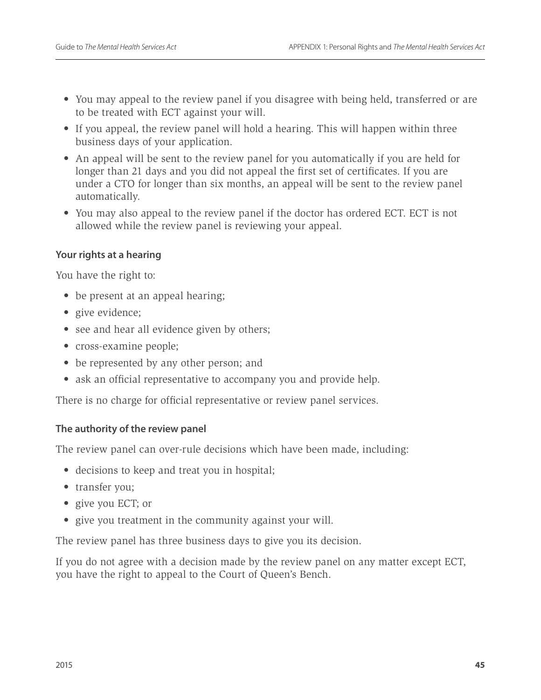- You may appeal to the review panel if you disagree with being held, transferred or are to be treated with ECT against your will.
- If you appeal, the review panel will hold a hearing. This will happen within three business days of your application.
- An appeal will be sent to the review panel for you automatically if you are held for longer than 21 days and you did not appeal the first set of certificates. If you are under a CTO for longer than six months, an appeal will be sent to the review panel automatically.
- You may also appeal to the review panel if the doctor has ordered ECT. ECT is not allowed while the review panel is reviewing your appeal.

### **Your rights at a hearing**

You have the right to:

- be present at an appeal hearing;
- give evidence;
- see and hear all evidence given by others;
- cross-examine people;
- be represented by any other person; and
- ask an official representative to accompany you and provide help.

There is no charge for official representative or review panel services.

## **The authority of the review panel**

The review panel can over-rule decisions which have been made, including:

- decisions to keep and treat you in hospital;
- transfer you;
- give you ECT; or
- give you treatment in the community against your will.

The review panel has three business days to give you its decision.

If you do not agree with a decision made by the review panel on any matter except ECT, you have the right to appeal to the Court of Queen's Bench.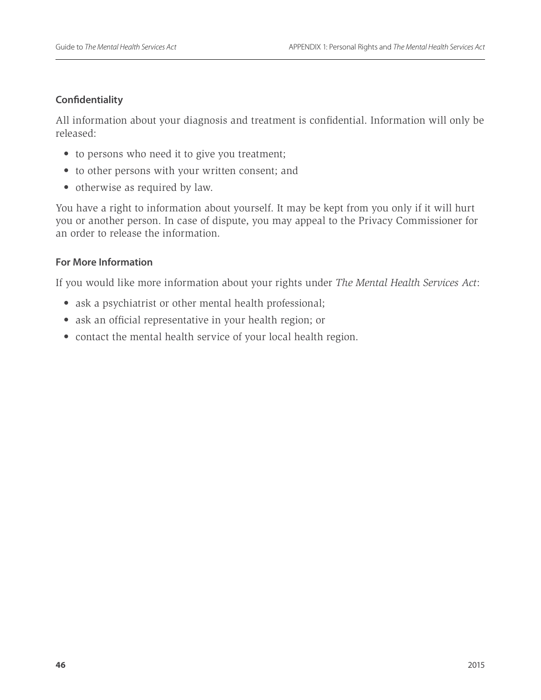## **Confidentiality**

All information about your diagnosis and treatment is confidential. Information will only be released:

- to persons who need it to give you treatment;
- to other persons with your written consent; and
- otherwise as required by law.

You have a right to information about yourself. It may be kept from you only if it will hurt you or another person. In case of dispute, you may appeal to the Privacy Commissioner for an order to release the information.

## **For More Information**

If you would like more information about your rights under *The Mental Health Services Act*:

- ask a psychiatrist or other mental health professional;
- ask an official representative in your health region; or
- contact the mental health service of your local health region.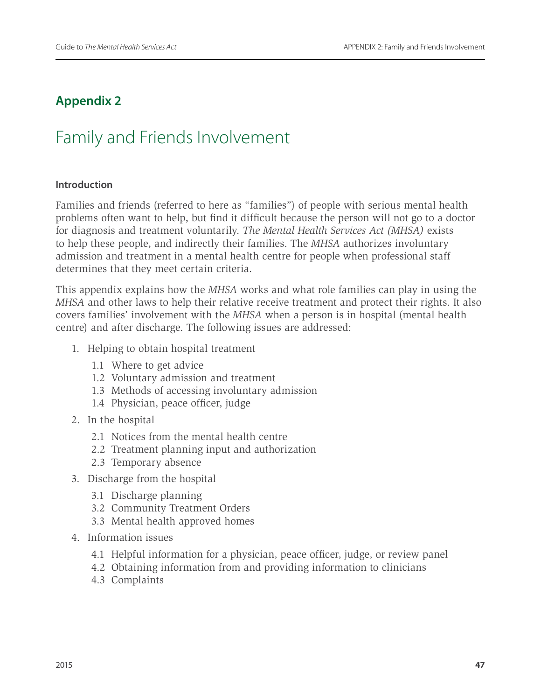## **Appendix 2**

# Family and Friends Involvement

## **Introduction**

Families and friends (referred to here as "families") of people with serious mental health problems often want to help, but find it difficult because the person will not go to a doctor for diagnosis and treatment voluntarily. *The Mental Health Services Act (MHSA)* exists to help these people, and indirectly their families. The *MHSA* authorizes involuntary admission and treatment in a mental health centre for people when professional staff determines that they meet certain criteria.

This appendix explains how the *MHSA* works and what role families can play in using the *MHSA* and other laws to help their relative receive treatment and protect their rights. It also covers families' involvement with the *MHSA* when a person is in hospital (mental health centre) and after discharge. The following issues are addressed:

- 1. Helping to obtain hospital treatment
	- 1.1 Where to get advice
	- 1.2 Voluntary admission and treatment
	- 1.3 Methods of accessing involuntary admission
	- 1.4 Physician, peace officer, judge
- 2. In the hospital
	- 2.1 Notices from the mental health centre
	- 2.2 Treatment planning input and authorization
	- 2.3 Temporary absence
- 3. Discharge from the hospital
	- 3.1 Discharge planning
	- 3.2 Community Treatment Orders
	- 3.3 Mental health approved homes
- 4. Information issues
	- 4.1 Helpful information for a physician, peace officer, judge, or review panel
	- 4.2 Obtaining information from and providing information to clinicians
	- 4.3 Complaints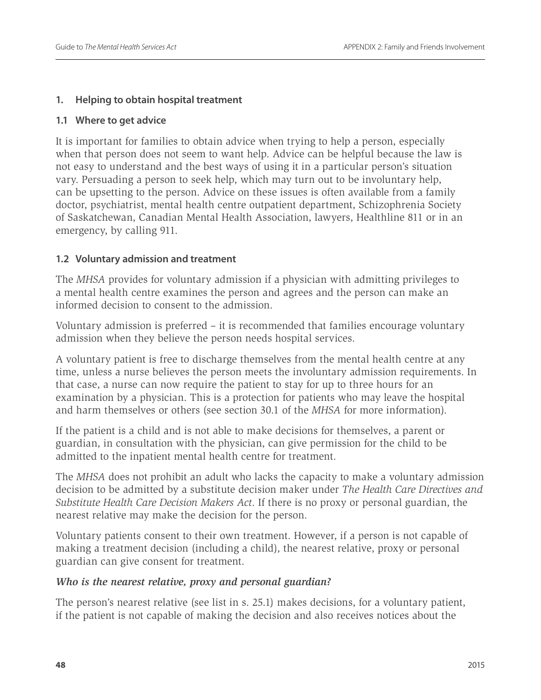## **1. Helping to obtain hospital treatment**

#### **1.1 Where to get advice**

It is important for families to obtain advice when trying to help a person, especially when that person does not seem to want help. Advice can be helpful because the law is not easy to understand and the best ways of using it in a particular person's situation vary. Persuading a person to seek help, which may turn out to be involuntary help, can be upsetting to the person. Advice on these issues is often available from a family doctor, psychiatrist, mental health centre outpatient department, Schizophrenia Society of Saskatchewan, Canadian Mental Health Association, lawyers, Healthline 811 or in an emergency, by calling 911.

### **1.2 Voluntary admission and treatment**

The *MHSA* provides for voluntary admission if a physician with admitting privileges to a mental health centre examines the person and agrees and the person can make an informed decision to consent to the admission.

Voluntary admission is preferred – it is recommended that families encourage voluntary admission when they believe the person needs hospital services.

A voluntary patient is free to discharge themselves from the mental health centre at any time, unless a nurse believes the person meets the involuntary admission requirements. In that case, a nurse can now require the patient to stay for up to three hours for an examination by a physician. This is a protection for patients who may leave the hospital and harm themselves or others (see section 30.1 of the *MHSA* for more information).

If the patient is a child and is not able to make decisions for themselves, a parent or guardian, in consultation with the physician, can give permission for the child to be admitted to the inpatient mental health centre for treatment.

The *MHSA* does not prohibit an adult who lacks the capacity to make a voluntary admission decision to be admitted by a substitute decision maker under *The Health Care Directives and Substitute Health Care Decision Makers Act*. If there is no proxy or personal guardian, the nearest relative may make the decision for the person.

Voluntary patients consent to their own treatment. However, if a person is not capable of making a treatment decision (including a child), the nearest relative, proxy or personal guardian can give consent for treatment.

## *Who is the nearest relative, proxy and personal guardian?*

The person's nearest relative (see list in s. 25.1) makes decisions, for a voluntary patient, if the patient is not capable of making the decision and also receives notices about the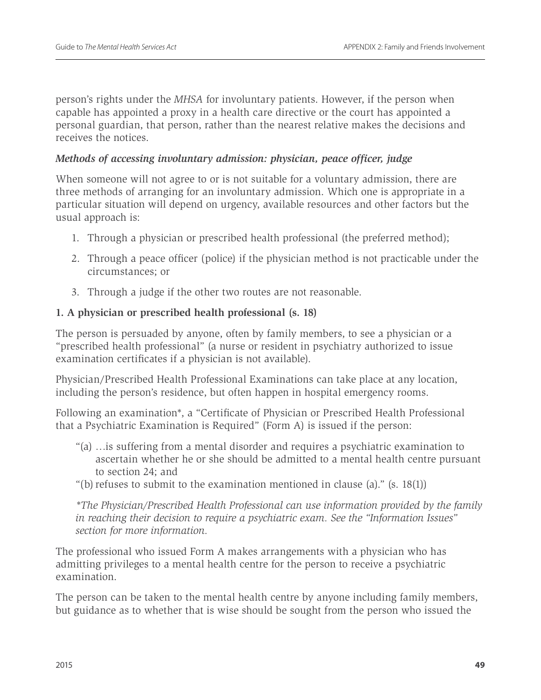person's rights under the *MHSA* for involuntary patients. However, if the person when capable has appointed a proxy in a health care directive or the court has appointed a personal guardian, that person, rather than the nearest relative makes the decisions and receives the notices.

## *Methods of accessing involuntary admission: physician, peace officer, judge*

When someone will not agree to or is not suitable for a voluntary admission, there are three methods of arranging for an involuntary admission. Which one is appropriate in a particular situation will depend on urgency, available resources and other factors but the usual approach is:

- 1. Through a physician or prescribed health professional (the preferred method);
- 2. Through a peace officer (police) if the physician method is not practicable under the circumstances; or
- 3. Through a judge if the other two routes are not reasonable.

## **1. A physician or prescribed health professional (s. 18)**

The person is persuaded by anyone, often by family members, to see a physician or a "prescribed health professional" (a nurse or resident in psychiatry authorized to issue examination certificates if a physician is not available).

Physician/Prescribed Health Professional Examinations can take place at any location, including the person's residence, but often happen in hospital emergency rooms.

Following an examination\*, a "Certificate of Physician or Prescribed Health Professional that a Psychiatric Examination is Required" (Form A) is issued if the person:

- "(a) …is suffering from a mental disorder and requires a psychiatric examination to ascertain whether he or she should be admitted to a mental health centre pursuant to section 24; and
- "(b) refuses to submit to the examination mentioned in clause (a)."  $(s. 18(1))$

*\*The Physician/Prescribed Health Professional can use information provided by the family in reaching their decision to require a psychiatric exam. See the "Information Issues" section for more information.*

The professional who issued Form A makes arrangements with a physician who has admitting privileges to a mental health centre for the person to receive a psychiatric examination.

The person can be taken to the mental health centre by anyone including family members, but guidance as to whether that is wise should be sought from the person who issued the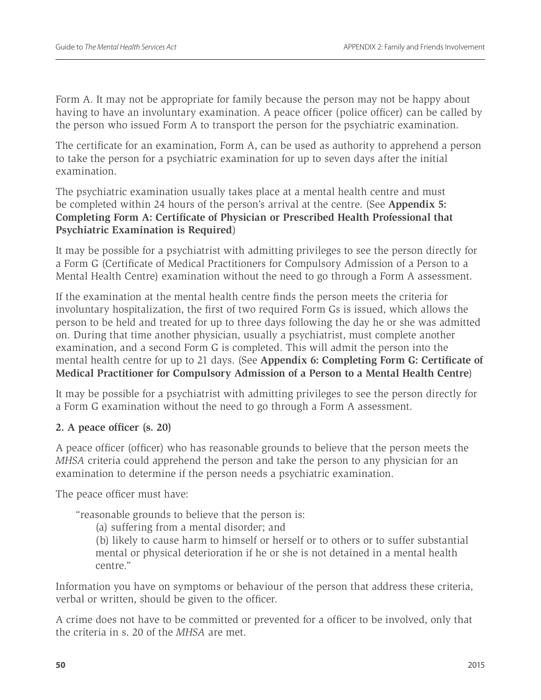Form A. It may not be appropriate for family because the person may not be happy about having to have an involuntary examination. A peace officer (police officer) can be called by the person who issued Form A to transport the person for the psychiatric examination.

The certificate for an examination, Form A, can be used as authority to apprehend a person to take the person for a psychiatric examination for up to seven days after the initial examination.

The psychiatric examination usually takes place at a mental health centre and must be completed within 24 hours of the person's arrival at the centre. (See **Appendix 5: Completing Form A: Certificate of Physician or Prescribed Health Professional that Psychiatric Examination is Required**)

It may be possible for a psychiatrist with admitting privileges to see the person directly for a Form G (Certificate of Medical Practitioners for Compulsory Admission of a Person to a Mental Health Centre) examination without the need to go through a Form A assessment.

If the examination at the mental health centre finds the person meets the criteria for involuntary hospitalization, the first of two required Form Gs is issued, which allows the person to be held and treated for up to three days following the day he or she was admitted on. During that time another physician, usually a psychiatrist, must complete another examination, and a second Form G is completed. This will admit the person into the mental health centre for up to 21 days. (See **Appendix 6: Completing Form G: Certificate of Medical Practitioner for Compulsory Admission of a Person to a Mental Health Centre**)

It may be possible for a psychiatrist with admitting privileges to see the person directly for a Form G examination without the need to go through a Form A assessment.

## **2. A peace officer (s. 20)**

A peace officer (officer) who has reasonable grounds to believe that the person meets the *MHSA* criteria could apprehend the person and take the person to any physician for an examination to determine if the person needs a psychiatric examination.

The peace officer must have:

"reasonable grounds to believe that the person is:

(a) suffering from a mental disorder; and

(b) likely to cause harm to himself or herself or to others or to suffer substantial mental or physical deterioration if he or she is not detained in a mental health centre."

Information you have on symptoms or behaviour of the person that address these criteria, verbal or written, should be given to the officer.

A crime does not have to be committed or prevented for a officer to be involved, only that the criteria in s. 20 of the *MHSA* are met.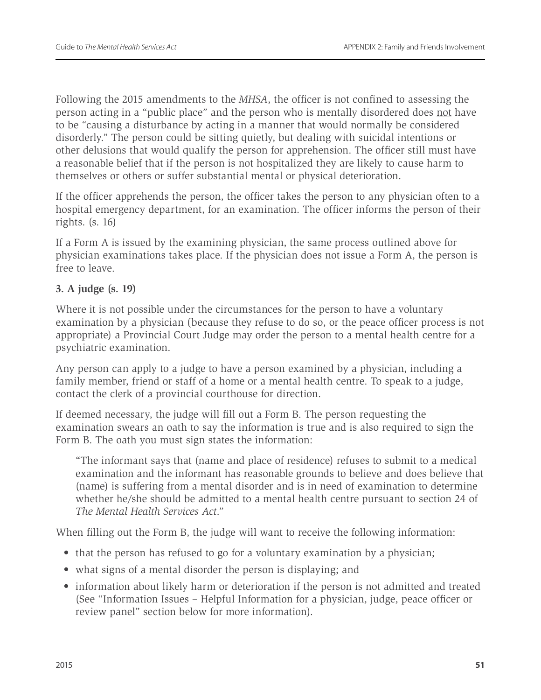Following the 2015 amendments to the *MHSA*, the officer is not confined to assessing the person acting in a "public place" and the person who is mentally disordered does not have to be "causing a disturbance by acting in a manner that would normally be considered disorderly." The person could be sitting quietly, but dealing with suicidal intentions or other delusions that would qualify the person for apprehension. The officer still must have a reasonable belief that if the person is not hospitalized they are likely to cause harm to themselves or others or suffer substantial mental or physical deterioration.

If the officer apprehends the person, the officer takes the person to any physician often to a hospital emergency department, for an examination. The officer informs the person of their rights. (s. 16)

If a Form A is issued by the examining physician, the same process outlined above for physician examinations takes place. If the physician does not issue a Form A, the person is free to leave.

## **3. A judge (s. 19)**

Where it is not possible under the circumstances for the person to have a voluntary examination by a physician (because they refuse to do so, or the peace officer process is not appropriate) a Provincial Court Judge may order the person to a mental health centre for a psychiatric examination.

Any person can apply to a judge to have a person examined by a physician, including a family member, friend or staff of a home or a mental health centre. To speak to a judge, contact the clerk of a provincial courthouse for direction.

If deemed necessary, the judge will fill out a Form B. The person requesting the examination swears an oath to say the information is true and is also required to sign the Form B. The oath you must sign states the information:

"The informant says that (name and place of residence) refuses to submit to a medical examination and the informant has reasonable grounds to believe and does believe that (name) is suffering from a mental disorder and is in need of examination to determine whether he/she should be admitted to a mental health centre pursuant to section 24 of *The Mental Health Services Act*."

When filling out the Form B, the judge will want to receive the following information:

- that the person has refused to go for a voluntary examination by a physician;
- what signs of a mental disorder the person is displaying; and
- information about likely harm or deterioration if the person is not admitted and treated (See "Information Issues – Helpful Information for a physician, judge, peace officer or review panel" section below for more information).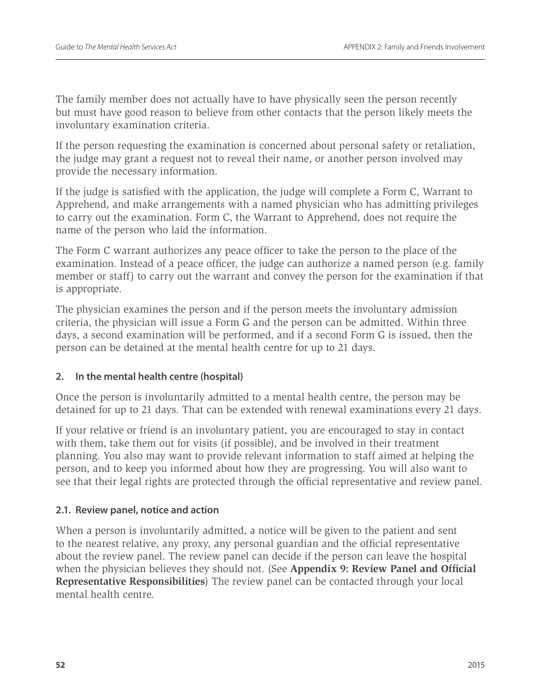The family member does not actually have to have physically seen the person recently but must have good reason to believe from other contacts that the person likely meets the involuntary examination criteria.

If the person requesting the examination is concerned about personal safety or retaliation, the judge may grant a request not to reveal their name, or another person involved may provide the necessary information.

If the judge is satisfied with the application, the judge will complete a Form C, Warrant to Apprehend, and make arrangements with a named physician who has admitting privileges to carry out the examination. Form C, the Warrant to Apprehend, does not require the name of the person who laid the information.

The Form C warrant authorizes any peace officer to take the person to the place of the examination. Instead of a peace officer, the judge can authorize a named person (e.g. family member or staff) to carry out the warrant and convey the person for the examination if that is appropriate.

The physician examines the person and if the person meets the involuntary admission criteria, the physician will issue a Form G and the person can be admitted. Within three days, a second examination will be performed, and if a second Form G is issued, then the person can be detained at the mental health centre for up to 21 days.

## **2. In the mental health centre (hospital)**

Once the person is involuntarily admitted to a mental health centre, the person may be detained for up to 21 days. That can be extended with renewal examinations every 21 days.

If your relative or friend is an involuntary patient, you are encouraged to stay in contact with them, take them out for visits (if possible), and be involved in their treatment planning. You also may want to provide relevant information to staff aimed at helping the person, and to keep you informed about how they are progressing. You will also want to see that their legal rights are protected through the official representative and review panel.

## **2.1. Review panel, notice and action**

When a person is involuntarily admitted, a notice will be given to the patient and sent to the nearest relative, any proxy, any personal guardian and the official representative about the review panel. The review panel can decide if the person can leave the hospital when the physician believes they should not. (See **Appendix 9: Review Panel and Official Representative Responsibilities**) The review panel can be contacted through your local mental health centre.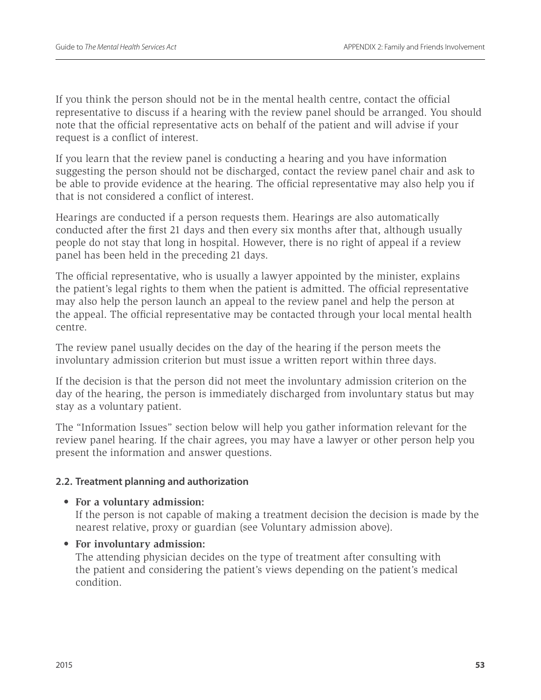If you think the person should not be in the mental health centre, contact the official representative to discuss if a hearing with the review panel should be arranged. You should note that the official representative acts on behalf of the patient and will advise if your request is a conflict of interest.

If you learn that the review panel is conducting a hearing and you have information suggesting the person should not be discharged, contact the review panel chair and ask to be able to provide evidence at the hearing. The official representative may also help you if that is not considered a conflict of interest.

Hearings are conducted if a person requests them. Hearings are also automatically conducted after the first 21 days and then every six months after that, although usually people do not stay that long in hospital. However, there is no right of appeal if a review panel has been held in the preceding 21 days.

The official representative, who is usually a lawyer appointed by the minister, explains the patient's legal rights to them when the patient is admitted. The official representative may also help the person launch an appeal to the review panel and help the person at the appeal. The official representative may be contacted through your local mental health centre.

The review panel usually decides on the day of the hearing if the person meets the involuntary admission criterion but must issue a written report within three days.

If the decision is that the person did not meet the involuntary admission criterion on the day of the hearing, the person is immediately discharged from involuntary status but may stay as a voluntary patient.

The "Information Issues" section below will help you gather information relevant for the review panel hearing. If the chair agrees, you may have a lawyer or other person help you present the information and answer questions.

## **2.2. Treatment planning and authorization**

## • **For a voluntary admission:**

If the person is not capable of making a treatment decision the decision is made by the nearest relative, proxy or guardian (see Voluntary admission above).

• **For involuntary admission:** 

The attending physician decides on the type of treatment after consulting with the patient and considering the patient's views depending on the patient's medical condition.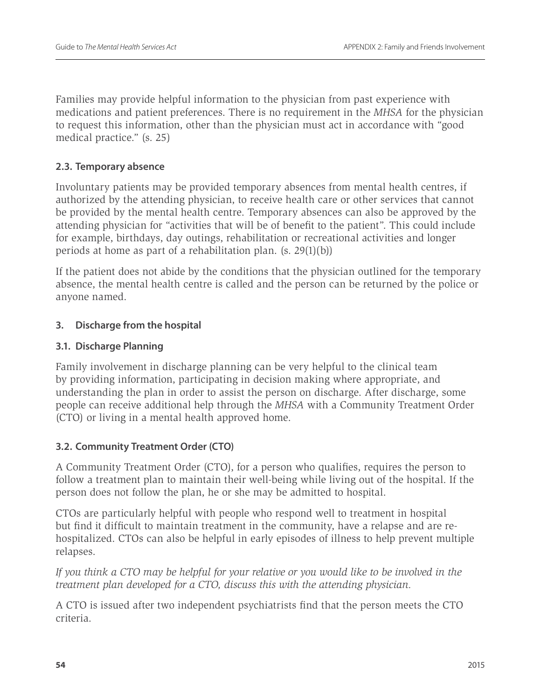Families may provide helpful information to the physician from past experience with medications and patient preferences. There is no requirement in the *MHSA* for the physician to request this information, other than the physician must act in accordance with "good medical practice." (s. 25)

## **2.3. Temporary absence**

Involuntary patients may be provided temporary absences from mental health centres, if authorized by the attending physician, to receive health care or other services that cannot be provided by the mental health centre. Temporary absences can also be approved by the attending physician for "activities that will be of benefit to the patient". This could include for example, birthdays, day outings, rehabilitation or recreational activities and longer periods at home as part of a rehabilitation plan. (s. 29(1)(b))

If the patient does not abide by the conditions that the physician outlined for the temporary absence, the mental health centre is called and the person can be returned by the police or anyone named.

### **3. Discharge from the hospital**

#### **3.1. Discharge Planning**

Family involvement in discharge planning can be very helpful to the clinical team by providing information, participating in decision making where appropriate, and understanding the plan in order to assist the person on discharge. After discharge, some people can receive additional help through the *MHSA* with a Community Treatment Order (CTO) or living in a mental health approved home.

## **3.2. Community Treatment Order (CTO)**

A Community Treatment Order (CTO), for a person who qualifies, requires the person to follow a treatment plan to maintain their well-being while living out of the hospital. If the person does not follow the plan, he or she may be admitted to hospital.

CTOs are particularly helpful with people who respond well to treatment in hospital but find it difficult to maintain treatment in the community, have a relapse and are rehospitalized. CTOs can also be helpful in early episodes of illness to help prevent multiple relapses.

*If you think a CTO may be helpful for your relative or you would like to be involved in the treatment plan developed for a CTO, discuss this with the attending physician.*

A CTO is issued after two independent psychiatrists find that the person meets the CTO criteria.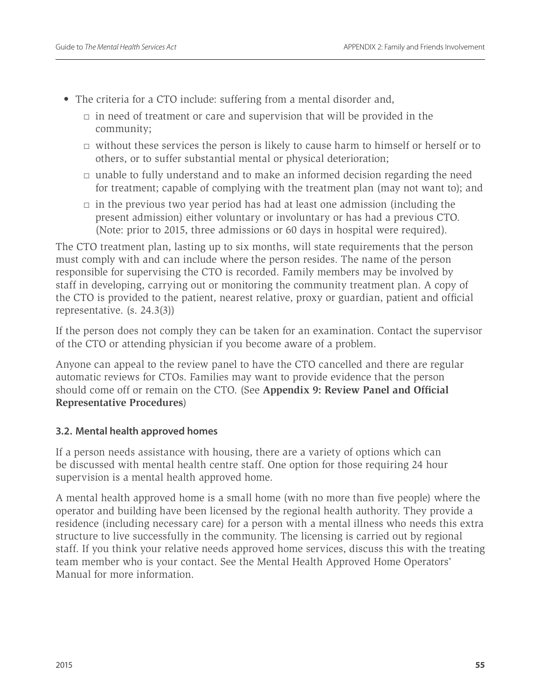- The criteria for a CTO include: suffering from a mental disorder and,
	- $\Box$  in need of treatment or care and supervision that will be provided in the community;
	- $\Box$  without these services the person is likely to cause harm to himself or herself or to others, or to suffer substantial mental or physical deterioration;
	- $\Box$  unable to fully understand and to make an informed decision regarding the need for treatment; capable of complying with the treatment plan (may not want to); and
	- $\Box$  in the previous two year period has had at least one admission (including the present admission) either voluntary or involuntary or has had a previous CTO. (Note: prior to 2015, three admissions or 60 days in hospital were required).

The CTO treatment plan, lasting up to six months, will state requirements that the person must comply with and can include where the person resides. The name of the person responsible for supervising the CTO is recorded. Family members may be involved by staff in developing, carrying out or monitoring the community treatment plan. A copy of the CTO is provided to the patient, nearest relative, proxy or guardian, patient and official representative. (s. 24.3(3))

If the person does not comply they can be taken for an examination. Contact the supervisor of the CTO or attending physician if you become aware of a problem.

Anyone can appeal to the review panel to have the CTO cancelled and there are regular automatic reviews for CTOs. Families may want to provide evidence that the person should come off or remain on the CTO. (See **Appendix 9: Review Panel and Official Representative Procedures**)

## **3.2. Mental health approved homes**

If a person needs assistance with housing, there are a variety of options which can be discussed with mental health centre staff. One option for those requiring 24 hour supervision is a mental health approved home.

A mental health approved home is a small home (with no more than five people) where the operator and building have been licensed by the regional health authority. They provide a residence (including necessary care) for a person with a mental illness who needs this extra structure to live successfully in the community. The licensing is carried out by regional staff. If you think your relative needs approved home services, discuss this with the treating team member who is your contact. See the Mental Health Approved Home Operators' Manual for more information.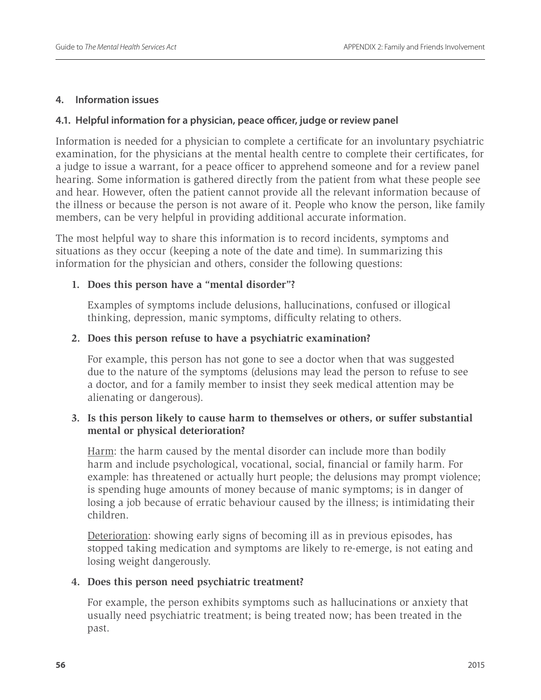#### **4. Information issues**

### **4.1. Helpful information for a physician, peace officer, judge or review panel**

Information is needed for a physician to complete a certificate for an involuntary psychiatric examination, for the physicians at the mental health centre to complete their certificates, for a judge to issue a warrant, for a peace officer to apprehend someone and for a review panel hearing. Some information is gathered directly from the patient from what these people see and hear. However, often the patient cannot provide all the relevant information because of the illness or because the person is not aware of it. People who know the person, like family members, can be very helpful in providing additional accurate information.

The most helpful way to share this information is to record incidents, symptoms and situations as they occur (keeping a note of the date and time). In summarizing this information for the physician and others, consider the following questions:

## **1. Does this person have a "mental disorder"?**

Examples of symptoms include delusions, hallucinations, confused or illogical thinking, depression, manic symptoms, difficulty relating to others.

### **2. Does this person refuse to have a psychiatric examination?**

For example, this person has not gone to see a doctor when that was suggested due to the nature of the symptoms (delusions may lead the person to refuse to see a doctor, and for a family member to insist they seek medical attention may be alienating or dangerous).

## **3. Is this person likely to cause harm to themselves or others, or suffer substantial mental or physical deterioration?**

Harm: the harm caused by the mental disorder can include more than bodily harm and include psychological, vocational, social, financial or family harm. For example: has threatened or actually hurt people; the delusions may prompt violence; is spending huge amounts of money because of manic symptoms; is in danger of losing a job because of erratic behaviour caused by the illness; is intimidating their children.

Deterioration: showing early signs of becoming ill as in previous episodes, has stopped taking medication and symptoms are likely to re-emerge, is not eating and losing weight dangerously.

## **4. Does this person need psychiatric treatment?**

For example, the person exhibits symptoms such as hallucinations or anxiety that usually need psychiatric treatment; is being treated now; has been treated in the past.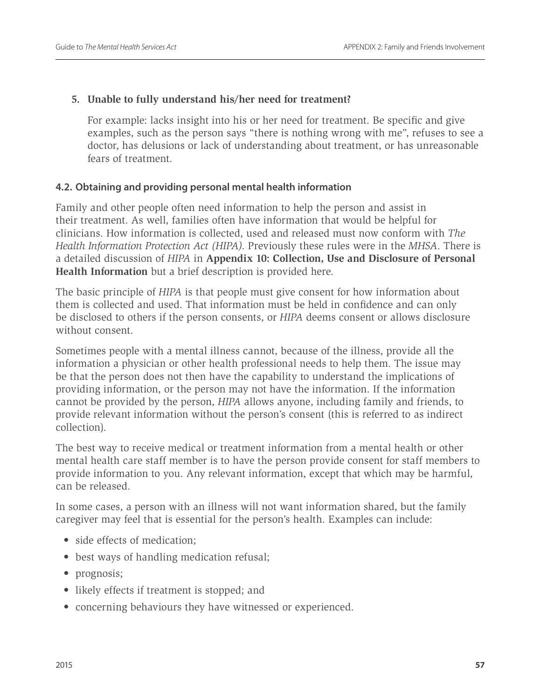### **5. Unable to fully understand his/her need for treatment?**

For example: lacks insight into his or her need for treatment. Be specific and give examples, such as the person says "there is nothing wrong with me", refuses to see a doctor, has delusions or lack of understanding about treatment, or has unreasonable fears of treatment.

### **4.2. Obtaining and providing personal mental health information**

Family and other people often need information to help the person and assist in their treatment. As well, families often have information that would be helpful for clinicians. How information is collected, used and released must now conform with *The Health Information Protection Act (HIPA)*. Previously these rules were in the *MHSA*. There is a detailed discussion of *HIPA* in **Appendix 10: Collection, Use and Disclosure of Personal Health Information** but a brief description is provided here.

The basic principle of *HIPA* is that people must give consent for how information about them is collected and used. That information must be held in confidence and can only be disclosed to others if the person consents, or *HIPA* deems consent or allows disclosure without consent.

Sometimes people with a mental illness cannot, because of the illness, provide all the information a physician or other health professional needs to help them. The issue may be that the person does not then have the capability to understand the implications of providing information, or the person may not have the information. If the information cannot be provided by the person, *HIPA* allows anyone, including family and friends, to provide relevant information without the person's consent (this is referred to as indirect collection).

The best way to receive medical or treatment information from a mental health or other mental health care staff member is to have the person provide consent for staff members to provide information to you. Any relevant information, except that which may be harmful, can be released.

In some cases, a person with an illness will not want information shared, but the family caregiver may feel that is essential for the person's health. Examples can include:

- side effects of medication;
- best ways of handling medication refusal;
- prognosis;
- likely effects if treatment is stopped; and
- concerning behaviours they have witnessed or experienced.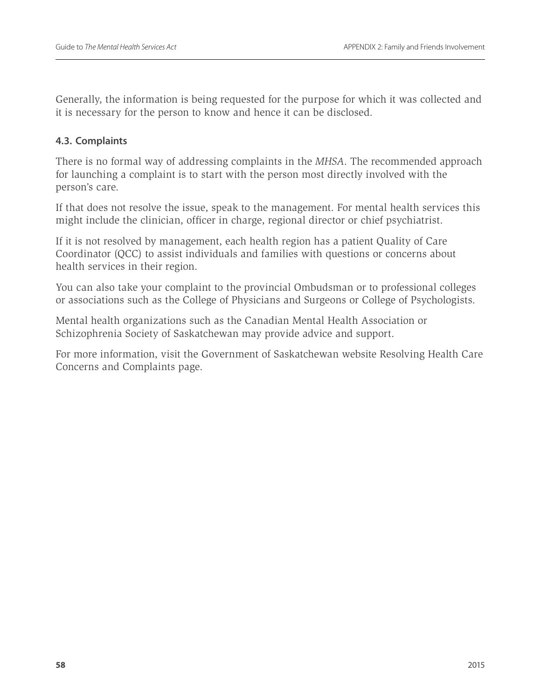Generally, the information is being requested for the purpose for which it was collected and it is necessary for the person to know and hence it can be disclosed.

## **4.3. Complaints**

There is no formal way of addressing complaints in the *MHSA*. The recommended approach for launching a complaint is to start with the person most directly involved with the person's care.

If that does not resolve the issue, speak to the management. For mental health services this might include the clinician, officer in charge, regional director or chief psychiatrist.

If it is not resolved by management, each health region has a patient Quality of Care Coordinator (QCC) to assist individuals and families with questions or concerns about health services in their region.

You can also take your complaint to the provincial Ombudsman or to professional colleges or associations such as the College of Physicians and Surgeons or College of Psychologists.

Mental health organizations such as the Canadian Mental Health Association or Schizophrenia Society of Saskatchewan may provide advice and support.

For more information, visit the Government of Saskatchewan website Resolving Health Care Concerns and Complaint[s page](https://www.saskatchewan.ca/live/health-and-healthy-living/manage-your-health-needs/support-for-patients/complaints-and-thanks).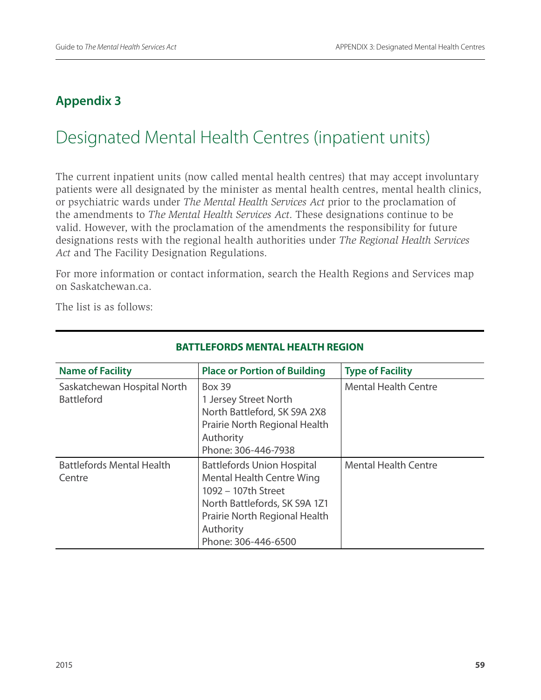## **Appendix 3**

# Designated Mental Health Centres (inpatient units)

The current inpatient units (now called mental health centres) that may accept involuntary patients were all designated by the minister as mental health centres, mental health clinics, or psychiatric wards under *The Mental Health Services Act* prior to the proclamation of the amendments to *The Mental Health Services Act*. These designations continue to be valid. However, with the proclamation of the amendments the responsibility for future designations rests with the regional health authorities under *The Regional Health Services Act* and The Facility Designation Regulations.

For more information or contact information, search the [Health Regions and Services map](http://www.saskatchewan.ca/live/health-and-healthy-living/provincial-health-system/saskatchewan-health-regions/health-regions-and-services-map)  on Saskatchewan.ca.

The list is as follows:

| <b>Name of Facility</b>                          | <b>Place or Portion of Building</b>                                                                                                                                                                | <b>Type of Facility</b>     |
|--------------------------------------------------|----------------------------------------------------------------------------------------------------------------------------------------------------------------------------------------------------|-----------------------------|
| Saskatchewan Hospital North<br><b>Battleford</b> | <b>Box 39</b><br>1 Jersey Street North<br>North Battleford, SK S9A 2X8<br>Prairie North Regional Health<br>Authority<br>Phone: 306-446-7938                                                        | <b>Mental Health Centre</b> |
| <b>Battlefords Mental Health</b><br>Centre       | <b>Battlefords Union Hospital</b><br><b>Mental Health Centre Wing</b><br>1092 - 107th Street<br>North Battlefords, SK S9A 1Z1<br>Prairie North Regional Health<br>Authority<br>Phone: 306-446-6500 | <b>Mental Health Centre</b> |

## **BATTLEFORDS MENTAL HEALTH REGION**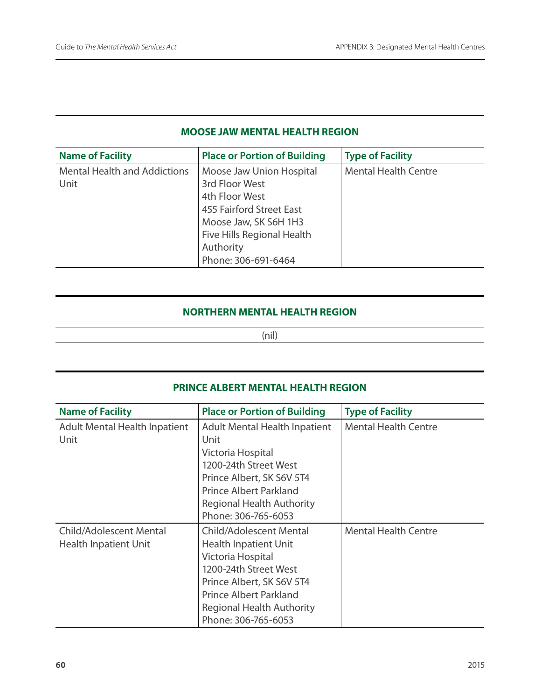## **MOOSE JAW MENTAL HEALTH REGION**

| <b>Name of Facility</b>             | <b>Place or Portion of Building</b> | <b>Type of Facility</b>     |
|-------------------------------------|-------------------------------------|-----------------------------|
| <b>Mental Health and Addictions</b> | Moose Jaw Union Hospital            | <b>Mental Health Centre</b> |
| Unit                                | 3rd Floor West                      |                             |
|                                     | 4th Floor West                      |                             |
|                                     | 455 Fairford Street East            |                             |
|                                     | Moose Jaw, SK S6H 1H3               |                             |
|                                     | Five Hills Regional Health          |                             |
|                                     | Authority                           |                             |
|                                     | Phone: 306-691-6464                 |                             |

## **NORTHERN MENTAL HEALTH REGION**

(nil)

| <b>Name of Facility</b>              | <b>Place or Portion of Building</b>  | <b>Type of Facility</b>     |
|--------------------------------------|--------------------------------------|-----------------------------|
| <b>Adult Mental Health Inpatient</b> | <b>Adult Mental Health Inpatient</b> | <b>Mental Health Centre</b> |
| Unit                                 | Unit                                 |                             |
|                                      | Victoria Hospital                    |                             |
|                                      | 1200-24th Street West                |                             |
|                                      | Prince Albert, SK S6V 5T4            |                             |
|                                      | <b>Prince Albert Parkland</b>        |                             |
|                                      | <b>Regional Health Authority</b>     |                             |
|                                      | Phone: 306-765-6053                  |                             |
| <b>Child/Adolescent Mental</b>       | <b>Child/Adolescent Mental</b>       | <b>Mental Health Centre</b> |
| <b>Health Inpatient Unit</b>         | <b>Health Inpatient Unit</b>         |                             |
|                                      | Victoria Hospital                    |                             |
|                                      | 1200-24th Street West                |                             |
|                                      | Prince Albert, SK S6V 5T4            |                             |
|                                      | <b>Prince Albert Parkland</b>        |                             |
|                                      | <b>Regional Health Authority</b>     |                             |
|                                      | Phone: 306-765-6053                  |                             |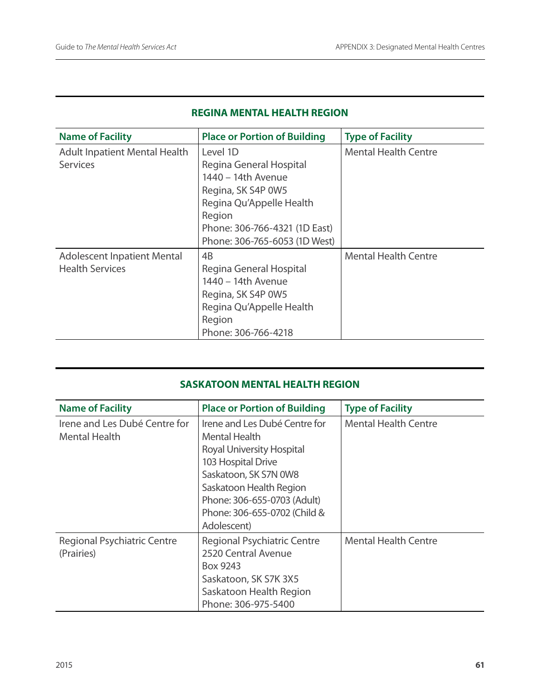## **REGINA MENTAL HEALTH REGION**

| <b>Name of Facility</b>                                      | <b>Place or Portion of Building</b>                                                                                                    | <b>Type of Facility</b>     |
|--------------------------------------------------------------|----------------------------------------------------------------------------------------------------------------------------------------|-----------------------------|
| <b>Adult Inpatient Mental Health</b><br><b>Services</b>      | Level 1D<br>Regina General Hospital<br>1440 - 14th Avenue<br>Regina, SK S4P 0W5<br>Regina Qu'Appelle Health<br>Region                  | <b>Mental Health Centre</b> |
|                                                              | Phone: 306-766-4321 (1D East)<br>Phone: 306-765-6053 (1D West)                                                                         |                             |
| <b>Adolescent Inpatient Mental</b><br><b>Health Services</b> | 4B<br>Regina General Hospital<br>1440 - 14th Avenue<br>Regina, SK S4P 0W5<br>Regina Qu'Appelle Health<br>Region<br>Phone: 306-766-4218 | <b>Mental Health Centre</b> |

## **SASKATOON MENTAL HEALTH REGION**

| <b>Name of Facility</b>                               | <b>Place or Portion of Building</b>                                                                                                                                                                                                               | <b>Type of Facility</b>     |
|-------------------------------------------------------|---------------------------------------------------------------------------------------------------------------------------------------------------------------------------------------------------------------------------------------------------|-----------------------------|
| Irene and Les Dubé Centre for<br><b>Mental Health</b> | Irene and Les Dubé Centre for<br><b>Mental Health</b><br><b>Royal University Hospital</b><br>103 Hospital Drive<br>Saskatoon, SK S7N 0W8<br>Saskatoon Health Region<br>Phone: 306-655-0703 (Adult)<br>Phone: 306-655-0702 (Child &<br>Adolescent) | <b>Mental Health Centre</b> |
| Regional Psychiatric Centre<br>(Prairies)             | Regional Psychiatric Centre<br>2520 Central Avenue<br>Box 9243<br>Saskatoon, SK S7K 3X5<br>Saskatoon Health Region<br>Phone: 306-975-5400                                                                                                         | <b>Mental Health Centre</b> |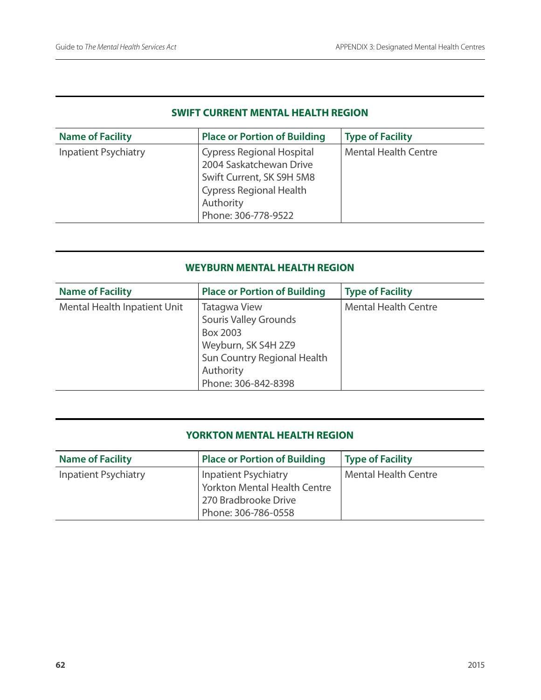## **SWIFT CURRENT MENTAL HEALTH REGION**

| <b>Name of Facility</b>     | <b>Place or Portion of Building</b>                                                                                                                            | <b>Type of Facility</b>     |
|-----------------------------|----------------------------------------------------------------------------------------------------------------------------------------------------------------|-----------------------------|
| <b>Inpatient Psychiatry</b> | <b>Cypress Regional Hospital</b><br>2004 Saskatchewan Drive<br>Swift Current, SK S9H 5M8<br><b>Cypress Regional Health</b><br>Authority<br>Phone: 306-778-9522 | <b>Mental Health Centre</b> |

#### **WEYBURN MENTAL HEALTH REGION**

| <b>Name of Facility</b>      | <b>Place or Portion of Building</b>                                                                                                                | <b>Type of Facility</b>     |
|------------------------------|----------------------------------------------------------------------------------------------------------------------------------------------------|-----------------------------|
| Mental Health Inpatient Unit | <b>Tatagwa View</b><br>Souris Valley Grounds<br>Box 2003<br>Weyburn, SK S4H 2Z9<br>Sun Country Regional Health<br>Authority<br>Phone: 306-842-8398 | <b>Mental Health Centre</b> |

#### **YORKTON MENTAL HEALTH REGION**

| <b>Name of Facility</b>     | <b>Place or Portion of Building</b> | <b>Type of Facility</b>     |
|-----------------------------|-------------------------------------|-----------------------------|
| <b>Inpatient Psychiatry</b> | <b>Inpatient Psychiatry</b>         | <b>Mental Health Centre</b> |
|                             | <b>Yorkton Mental Health Centre</b> |                             |
|                             | 270 Bradbrooke Drive                |                             |
|                             | Phone: 306-786-0558                 |                             |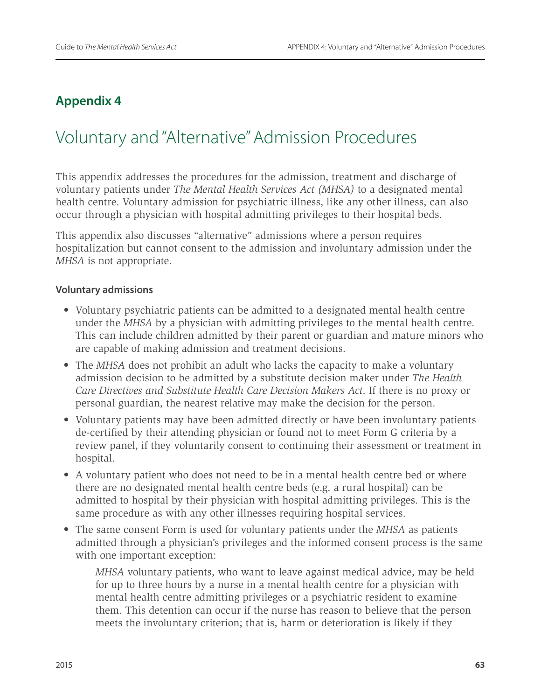## **Appendix 4**

# Voluntary and "Alternative" Admission Procedures

This appendix addresses the procedures for the admission, treatment and discharge of voluntary patients under *The Mental Health Services Act (MHSA)* to a designated mental health centre. Voluntary admission for psychiatric illness, like any other illness, can also occur through a physician with hospital admitting privileges to their hospital beds.

This appendix also discusses "alternative" admissions where a person requires hospitalization but cannot consent to the admission and involuntary admission under the *MHSA* is not appropriate.

### **Voluntary admissions**

- Voluntary psychiatric patients can be admitted to a designated mental health centre under the *MHSA* by a physician with admitting privileges to the mental health centre. This can include children admitted by their parent or guardian and mature minors who are capable of making admission and treatment decisions.
- The *MHSA* does not prohibit an adult who lacks the capacity to make a voluntary admission decision to be admitted by a substitute decision maker under *The Health Care Directives and Substitute Health Care Decision Makers Act*. If there is no proxy or personal guardian, the nearest relative may make the decision for the person.
- Voluntary patients may have been admitted directly or have been involuntary patients de-certified by their attending physician or found not to meet Form G criteria by a review panel, if they voluntarily consent to continuing their assessment or treatment in hospital.
- A voluntary patient who does not need to be in a mental health centre bed or where there are no designated mental health centre beds (e.g. a rural hospital) can be admitted to hospital by their physician with hospital admitting privileges. This is the same procedure as with any other illnesses requiring hospital services.
- The same consent Form is used for voluntary patients under the *MHSA* as patients admitted through a physician's privileges and the informed consent process is the same with one important exception:

*MHSA* voluntary patients, who want to leave against medical advice, may be held for up to three hours by a nurse in a mental health centre for a physician with mental health centre admitting privileges or a psychiatric resident to examine them. This detention can occur if the nurse has reason to believe that the person meets the involuntary criterion; that is, harm or deterioration is likely if they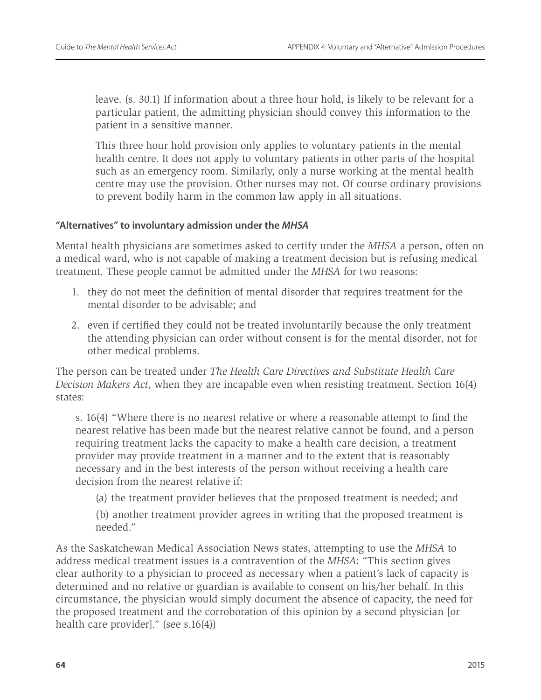leave. (s. 30.1) If information about a three hour hold, is likely to be relevant for a particular patient, the admitting physician should convey this information to the patient in a sensitive manner.

This three hour hold provision only applies to voluntary patients in the mental health centre. It does not apply to voluntary patients in other parts of the hospital such as an emergency room. Similarly, only a nurse working at the mental health centre may use the provision. Other nurses may not. Of course ordinary provisions to prevent bodily harm in the common law apply in all situations.

#### **"Alternatives" to involuntary admission under the** *MHSA*

Mental health physicians are sometimes asked to certify under the *MHSA* a person, often on a medical ward, who is not capable of making a treatment decision but is refusing medical treatment. These people cannot be admitted under the *MHSA* for two reasons:

- 1. they do not meet the definition of mental disorder that requires treatment for the mental disorder to be advisable; and
- 2. even if certified they could not be treated involuntarily because the only treatment the attending physician can order without consent is for the mental disorder, not for other medical problems.

The person can be treated under *The Health Care Directives and Substitute Health Care Decision Makers Act*, when they are incapable even when resisting treatment. Section 16(4) states:

s. 16(4) "Where there is no nearest relative or where a reasonable attempt to find the nearest relative has been made but the nearest relative cannot be found, and a person requiring treatment lacks the capacity to make a health care decision, a treatment provider may provide treatment in a manner and to the extent that is reasonably necessary and in the best interests of the person without receiving a health care decision from the nearest relative if:

(a) the treatment provider believes that the proposed treatment is needed; and

(b) another treatment provider agrees in writing that the proposed treatment is needed."

As the Saskatchewan Medical Association News states, attempting to use the *MHSA* to address medical treatment issues is a contravention of the *MHSA*: "This section gives clear authority to a physician to proceed as necessary when a patient's lack of capacity is determined and no relative or guardian is available to consent on his/her behalf. In this circumstance, the physician would simply document the absence of capacity, the need for the proposed treatment and the corroboration of this opinion by a second physician [or health care provider]." (see s.16(4))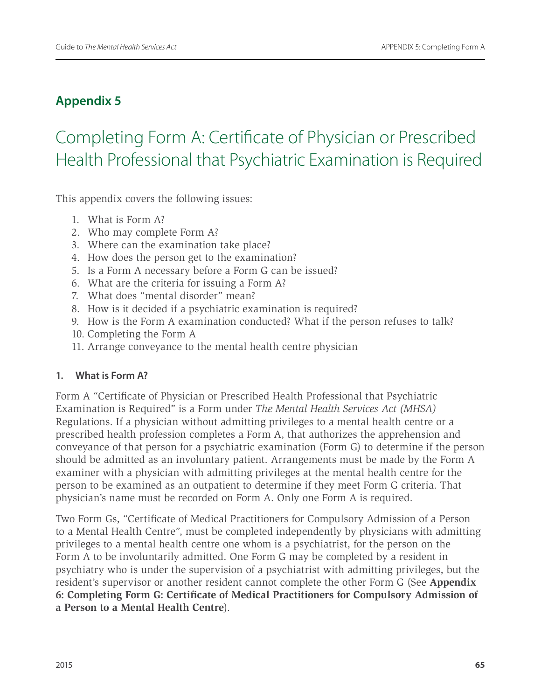## **Appendix 5**

# Completing Form A: Certificate of Physician or Prescribed Health Professional that Psychiatric Examination is Required

This appendix covers the following issues:

- 1. What is Form A?
- 2. Who may complete Form A?
- 3. Where can the examination take place?
- 4. How does the person get to the examination?
- 5. Is a Form A necessary before a Form G can be issued?
- 6. What are the criteria for issuing a Form A?
- 7. What does "mental disorder" mean?
- 8. How is it decided if a psychiatric examination is required?
- 9. How is the Form A examination conducted? What if the person refuses to talk?
- 10. Completing the Form A
- 11. Arrange conveyance to the mental health centre physician

## **1. What is Form A?**

Form A "Certificate of Physician or Prescribed Health Professional that Psychiatric Examination is Required" is a Form under *The Mental Health Services Act (MHSA)* Regulations. If a physician without admitting privileges to a mental health centre or a prescribed health profession completes a Form A, that authorizes the apprehension and conveyance of that person for a psychiatric examination (Form G) to determine if the person should be admitted as an involuntary patient. Arrangements must be made by the Form A examiner with a physician with admitting privileges at the mental health centre for the person to be examined as an outpatient to determine if they meet Form G criteria. That physician's name must be recorded on Form A. Only one Form A is required.

Two Form Gs, "Certificate of Medical Practitioners for Compulsory Admission of a Person to a Mental Health Centre", must be completed independently by physicians with admitting privileges to a mental health centre one whom is a psychiatrist, for the person on the Form A to be involuntarily admitted. One Form G may be completed by a resident in psychiatry who is under the supervision of a psychiatrist with admitting privileges, but the resident's supervisor or another resident cannot complete the other Form G (See **Appendix 6: Completing Form G: Certificate of Medical Practitioners for Compulsory Admission of a Person to a Mental Health Centre**).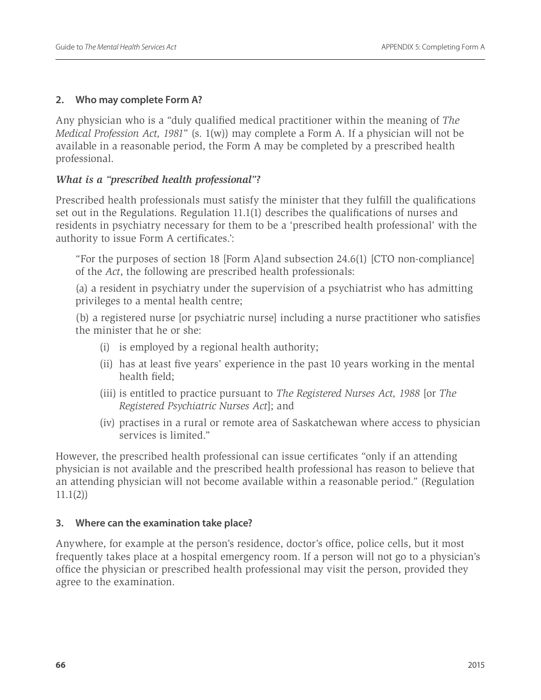## **2. Who may complete Form A?**

Any physician who is a "duly qualified medical practitioner within the meaning of *The Medical Profession Act, 1981*" (s. 1(w)) may complete a Form A. If a physician will not be available in a reasonable period, the Form A may be completed by a prescribed health professional.

## *What is a "prescribed health professional"?*

Prescribed health professionals must satisfy the minister that they fulfill the qualifications set out in the Regulations. Regulation 11.1(1) describes the qualifications of nurses and residents in psychiatry necessary for them to be a 'prescribed health professional' with the authority to issue Form A certificates.':

"For the purposes of section 18 [Form A]and subsection 24.6(1) [CTO non-compliance] of the *Act*, the following are prescribed health professionals:

(a) a resident in psychiatry under the supervision of a psychiatrist who has admitting privileges to a mental health centre;

(b) a registered nurse [or psychiatric nurse] including a nurse practitioner who satisfies the minister that he or she:

- (i) is employed by a regional health authority;
- (ii) has at least five years' experience in the past 10 years working in the mental health field;
- (iii) is entitled to practice pursuant to *The Registered Nurses Act, 1988* [or *The Registered Psychiatric Nurses Act*]; and
- (iv) practises in a rural or remote area of Saskatchewan where access to physician services is limited."

However, the prescribed health professional can issue certificates "only if an attending physician is not available and the prescribed health professional has reason to believe that an attending physician will not become available within a reasonable period." (Regulation 11.1(2))

## **3. Where can the examination take place?**

Anywhere, for example at the person's residence, doctor's office, police cells, but it most frequently takes place at a hospital emergency room. If a person will not go to a physician's office the physician or prescribed health professional may visit the person, provided they agree to the examination.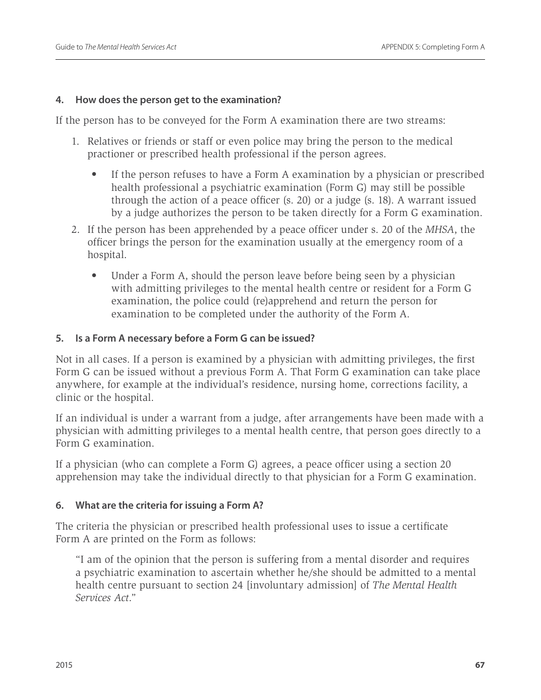#### **4. How does the person get to the examination?**

If the person has to be conveyed for the Form A examination there are two streams:

- 1. Relatives or friends or staff or even police may bring the person to the medical practioner or prescribed health professional if the person agrees.
	- If the person refuses to have a Form A examination by a physician or prescribed health professional a psychiatric examination (Form G) may still be possible through the action of a peace officer (s. 20) or a judge (s. 18). A warrant issued by a judge authorizes the person to be taken directly for a Form G examination.
- 2. If the person has been apprehended by a peace officer under s. 20 of the *MHSA*, the officer brings the person for the examination usually at the emergency room of a hospital.
	- Under a Form A, should the person leave before being seen by a physician with admitting privileges to the mental health centre or resident for a Form G examination, the police could (re)apprehend and return the person for examination to be completed under the authority of the Form A.

# **5. Is a Form A necessary before a Form G can be issued?**

Not in all cases. If a person is examined by a physician with admitting privileges, the first Form G can be issued without a previous Form A. That Form G examination can take place anywhere, for example at the individual's residence, nursing home, corrections facility, a clinic or the hospital.

If an individual is under a warrant from a judge, after arrangements have been made with a physician with admitting privileges to a mental health centre, that person goes directly to a Form G examination.

If a physician (who can complete a Form G) agrees, a peace officer using a section 20 apprehension may take the individual directly to that physician for a Form G examination.

# **6. What are the criteria for issuing a Form A?**

The criteria the physician or prescribed health professional uses to issue a certificate Form A are printed on the Form as follows:

"I am of the opinion that the person is suffering from a mental disorder and requires a psychiatric examination to ascertain whether he/she should be admitted to a mental health centre pursuant to section 24 [involuntary admission] of *The Mental Health Services Act*."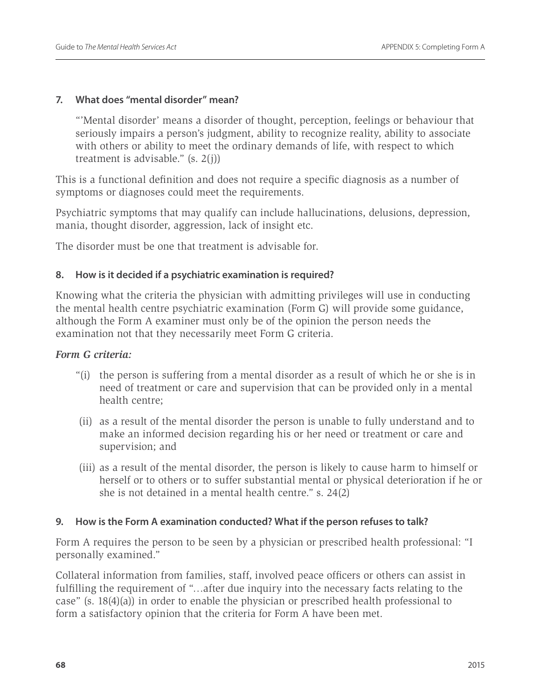#### **7. What does "mental disorder" mean?**

"'Mental disorder' means a disorder of thought, perception, feelings or behaviour that seriously impairs a person's judgment, ability to recognize reality, ability to associate with others or ability to meet the ordinary demands of life, with respect to which treatment is advisable."  $(s, 2(j))$ 

This is a functional definition and does not require a specific diagnosis as a number of symptoms or diagnoses could meet the requirements.

Psychiatric symptoms that may qualify can include hallucinations, delusions, depression, mania, thought disorder, aggression, lack of insight etc.

The disorder must be one that treatment is advisable for.

# **8. How is it decided if a psychiatric examination is required?**

Knowing what the criteria the physician with admitting privileges will use in conducting the mental health centre psychiatric examination (Form G) will provide some guidance, although the Form A examiner must only be of the opinion the person needs the examination not that they necessarily meet Form G criteria.

#### *Form G criteria:*

- "(i) the person is suffering from a mental disorder as a result of which he or she is in need of treatment or care and supervision that can be provided only in a mental health centre;
- (ii) as a result of the mental disorder the person is unable to fully understand and to make an informed decision regarding his or her need or treatment or care and supervision; and
- (iii) as a result of the mental disorder, the person is likely to cause harm to himself or herself or to others or to suffer substantial mental or physical deterioration if he or she is not detained in a mental health centre." s. 24(2)

# **9. How is the Form A examination conducted? What if the person refuses to talk?**

Form A requires the person to be seen by a physician or prescribed health professional: "I personally examined."

Collateral information from families, staff, involved peace officers or others can assist in fulfilling the requirement of "…after due inquiry into the necessary facts relating to the case" (s. 18(4)(a)) in order to enable the physician or prescribed health professional to form a satisfactory opinion that the criteria for Form A have been met.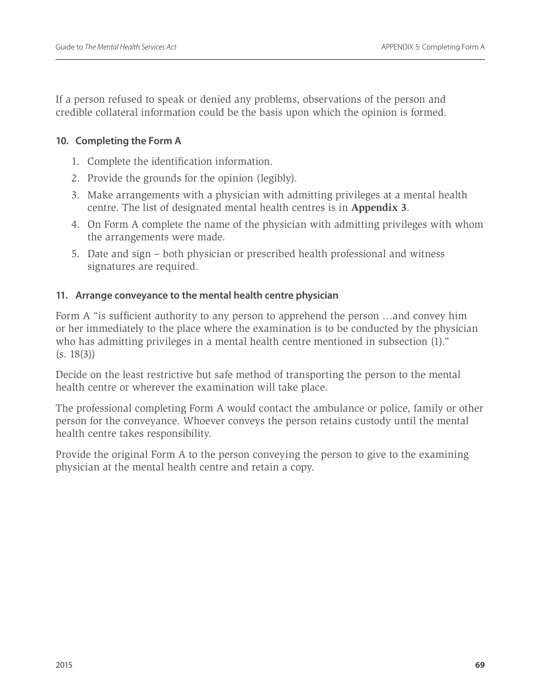If a person refused to speak or denied any problems, observations of the person and credible collateral information could be the basis upon which the opinion is formed.

# **10. Completing the Form A**

- 1. Complete the identification information.
- 2. Provide the grounds for the opinion (legibly).
- 3. Make arrangements with a physician with admitting privileges at a mental health centre. The list of designated mental health centres is in **Appendix 3**.
- 4. On Form A complete the name of the physician with admitting privileges with whom the arrangements were made.
- 5. Date and sign both physician or prescribed health professional and witness signatures are required.

# **11. Arrange conveyance to the mental health centre physician**

Form A "is sufficient authority to any person to apprehend the person …and convey him or her immediately to the place where the examination is to be conducted by the physician who has admitting privileges in a mental health centre mentioned in subsection  $(1)$ ." (s. 18(3))

Decide on the least restrictive but safe method of transporting the person to the mental health centre or wherever the examination will take place.

The professional completing Form A would contact the ambulance or police, family or other person for the conveyance. Whoever conveys the person retains custody until the mental health centre takes responsibility.

Provide the original Form A to the person conveying the person to give to the examining physician at the mental health centre and retain a copy.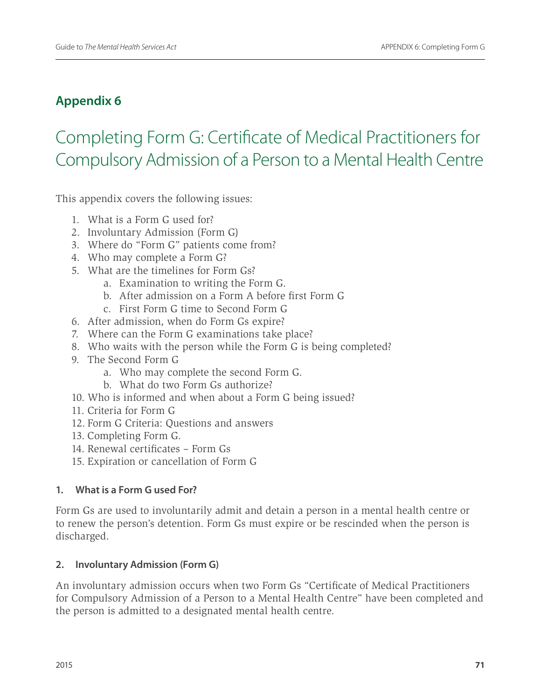# **Appendix 6**

# Completing Form G: Certificate of Medical Practitioners for Compulsory Admission of a Person to a Mental Health Centre

This appendix covers the following issues:

- 1. What is a Form G used for?
- 2. Involuntary Admission (Form G)
- 3. Where do "Form G" patients come from?
- 4. Who may complete a Form G?
- 5. What are the timelines for Form Gs?
	- a. Examination to writing the Form G.
	- b. After admission on a Form A before first Form G
	- c. First Form G time to Second Form G
- 6. After admission, when do Form Gs expire?
- 7. Where can the Form G examinations take place?
- 8. Who waits with the person while the Form G is being completed?
- 9. The Second Form G
	- a. Who may complete the second Form G.
	- b. What do two Form Gs authorize?
- 10. Who is informed and when about a Form G being issued?
- 11. Criteria for Form G
- 12. Form G Criteria: Questions and answers
- 13. Completing Form G.
- 14. Renewal certificates Form Gs
- 15. Expiration or cancellation of Form G

# **1. What is a Form G used For?**

Form Gs are used to involuntarily admit and detain a person in a mental health centre or to renew the person's detention. Form Gs must expire or be rescinded when the person is discharged.

# **2. Involuntary Admission (Form G)**

An involuntary admission occurs when two Form Gs "Certificate of Medical Practitioners for Compulsory Admission of a Person to a Mental Health Centre" have been completed and the person is admitted to a designated mental health centre.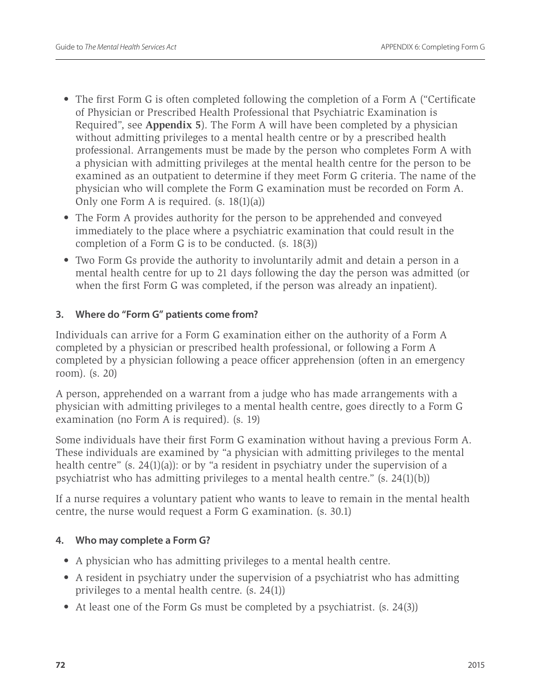- The first Form G is often completed following the completion of a Form A ("Certificate of Physician or Prescribed Health Professional that Psychiatric Examination is Required", see **Appendix 5**). The Form A will have been completed by a physician without admitting privileges to a mental health centre or by a prescribed health professional. Arrangements must be made by the person who completes Form A with a physician with admitting privileges at the mental health centre for the person to be examined as an outpatient to determine if they meet Form G criteria. The name of the physician who will complete the Form G examination must be recorded on Form A. Only one Form A is required.  $(s. 18(1)(a))$
- The Form A provides authority for the person to be apprehended and conveyed immediately to the place where a psychiatric examination that could result in the completion of a Form G is to be conducted. (s. 18(3))
- Two Form Gs provide the authority to involuntarily admit and detain a person in a mental health centre for up to 21 days following the day the person was admitted (or when the first Form G was completed, if the person was already an inpatient).

# **3. Where do "Form G" patients come from?**

Individuals can arrive for a Form G examination either on the authority of a Form A completed by a physician or prescribed health professional, or following a Form A completed by a physician following a peace officer apprehension (often in an emergency room). (s. 20)

A person, apprehended on a warrant from a judge who has made arrangements with a physician with admitting privileges to a mental health centre, goes directly to a Form G examination (no Form A is required). (s. 19)

Some individuals have their first Form G examination without having a previous Form A. These individuals are examined by "a physician with admitting privileges to the mental health centre" (s. 24(1)(a)): or by "a resident in psychiatry under the supervision of a psychiatrist who has admitting privileges to a mental health centre." (s. 24(1)(b))

If a nurse requires a voluntary patient who wants to leave to remain in the mental health centre, the nurse would request a Form G examination. (s. 30.1)

# **4. Who may complete a Form G?**

- A physician who has admitting privileges to a mental health centre.
- A resident in psychiatry under the supervision of a psychiatrist who has admitting privileges to a mental health centre. (s. 24(1))
- At least one of the Form Gs must be completed by a psychiatrist. (s. 24(3))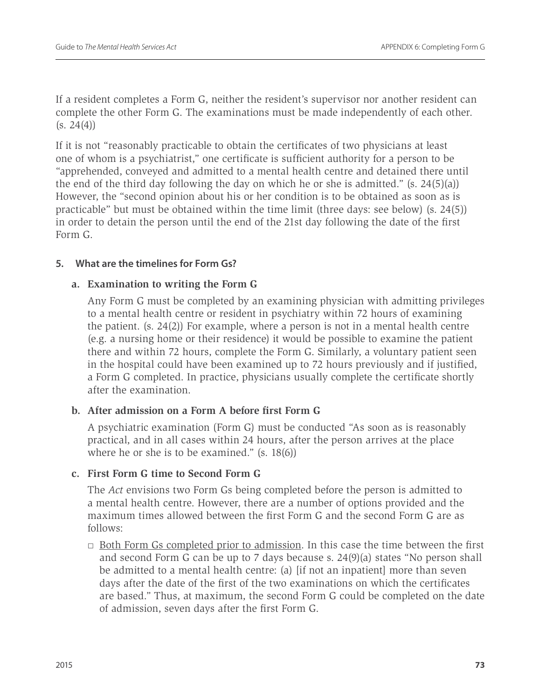If a resident completes a Form G, neither the resident's supervisor nor another resident can complete the other Form G. The examinations must be made independently of each other.  $(s. 24(4))$ 

If it is not "reasonably practicable to obtain the certificates of two physicians at least one of whom is a psychiatrist," one certificate is sufficient authority for a person to be "apprehended, conveyed and admitted to a mental health centre and detained there until the end of the third day following the day on which he or she is admitted."  $(s. 24(5)(a))$ However, the "second opinion about his or her condition is to be obtained as soon as is practicable" but must be obtained within the time limit (three days: see below) (s. 24(5)) in order to detain the person until the end of the 21st day following the date of the first Form G.

# **5. What are the timelines for Form Gs?**

# **a. Examination to writing the Form G**

Any Form G must be completed by an examining physician with admitting privileges to a mental health centre or resident in psychiatry within 72 hours of examining the patient. (s. 24(2)) For example, where a person is not in a mental health centre (e.g. a nursing home or their residence) it would be possible to examine the patient there and within 72 hours, complete the Form G. Similarly, a voluntary patient seen in the hospital could have been examined up to 72 hours previously and if justified, a Form G completed. In practice, physicians usually complete the certificate shortly after the examination.

# **b. After admission on a Form A before first Form G**

A psychiatric examination (Form G) must be conducted "As soon as is reasonably practical, and in all cases within 24 hours, after the person arrives at the place where he or she is to be examined." (s. 18(6))

# **c. First Form G time to Second Form G**

The *Act* envisions two Form Gs being completed before the person is admitted to a mental health centre. However, there are a number of options provided and the maximum times allowed between the first Form G and the second Form G are as follows:

 $\Box$  Both Form Gs completed prior to admission. In this case the time between the first and second Form G can be up to 7 days because s. 24(9)(a) states "No person shall be admitted to a mental health centre: (a) [if not an inpatient] more than seven days after the date of the first of the two examinations on which the certificates are based." Thus, at maximum, the second Form G could be completed on the date of admission, seven days after the first Form G.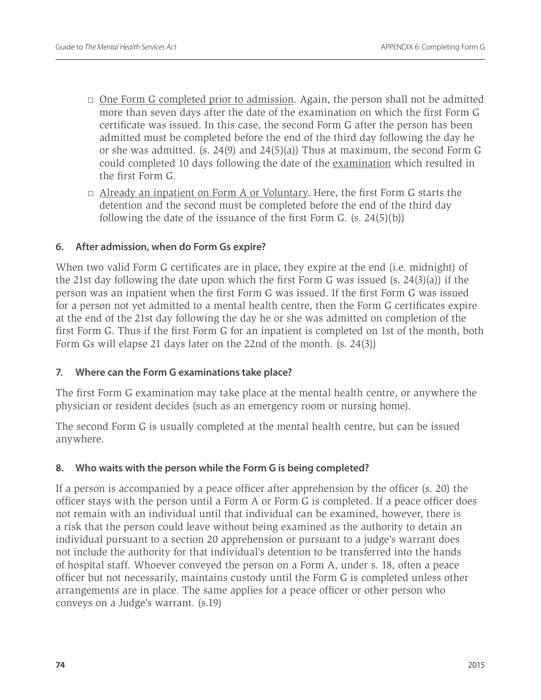- $\Box$  One Form G completed prior to admission. Again, the person shall not be admitted more than seven days after the date of the examination on which the first Form G certificate was issued. In this case, the second Form G after the person has been admitted must be completed before the end of the third day following the day he or she was admitted. (s. 24(9) and 24(5)(a)) Thus at maximum, the second Form G could completed 10 days following the date of the examination which resulted in the first Form G.
- $\Box$  Already an inpatient on Form A or Voluntary. Here, the first Form G starts the detention and the second must be completed before the end of the third day following the date of the issuance of the first Form G. (s. 24(5)(b))

# **6. After admission, when do Form Gs expire?**

When two valid Form G certificates are in place, they expire at the end (i.e. midnight) of the 21st day following the date upon which the first Form G was issued (s. 24(3)(a)) if the person was an inpatient when the first Form G was issued. If the first Form G was issued for a person not yet admitted to a mental health centre, then the Form G certificates expire at the end of the 21st day following the day he or she was admitted on completion of the first Form G. Thus if the first Form G for an inpatient is completed on 1st of the month, both Form Gs will elapse 21 days later on the 22nd of the month. (s. 24(3))

#### **7. Where can the Form G examinations take place?**

The first Form G examination may take place at the mental health centre, or anywhere the physician or resident decides (such as an emergency room or nursing home).

The second Form G is usually completed at the mental health centre, but can be issued anywhere.

# **8. Who waits with the person while the Form G is being completed?**

If a person is accompanied by a peace officer after apprehension by the officer (s. 20) the officer stays with the person until a Form A or Form G is completed. If a peace officer does not remain with an individual until that individual can be examined, however, there is a risk that the person could leave without being examined as the authority to detain an individual pursuant to a section 20 apprehension or pursuant to a judge's warrant does not include the authority for that individual's detention to be transferred into the hands of hospital staff. Whoever conveyed the person on a Form A, under s. 18, often a peace officer but not necessarily, maintains custody until the Form G is completed unless other arrangements are in place. The same applies for a peace officer or other person who conveys on a Judge's warrant. (s.19)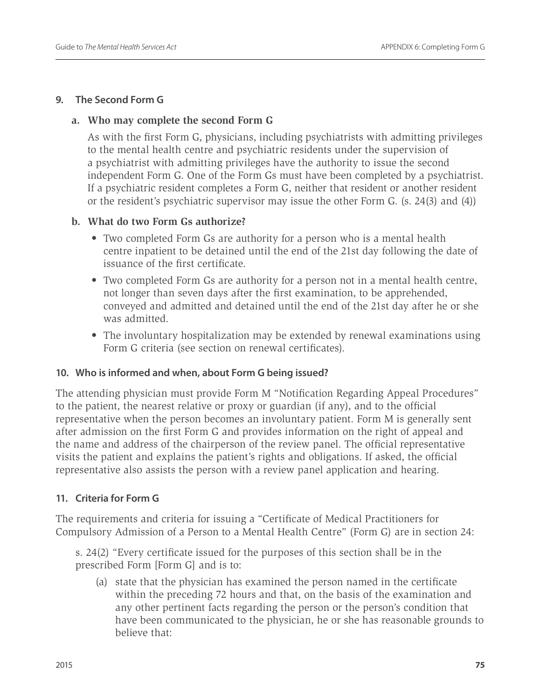#### **9. The Second Form G**

#### **a. Who may complete the second Form G**

As with the first Form G, physicians, including psychiatrists with admitting privileges to the mental health centre and psychiatric residents under the supervision of a psychiatrist with admitting privileges have the authority to issue the second independent Form G. One of the Form Gs must have been completed by a psychiatrist. If a psychiatric resident completes a Form G, neither that resident or another resident or the resident's psychiatric supervisor may issue the other Form G. (s. 24(3) and (4))

#### **b. What do two Form Gs authorize?**

- Two completed Form Gs are authority for a person who is a mental health centre inpatient to be detained until the end of the 21st day following the date of issuance of the first certificate.
- Two completed Form Gs are authority for a person not in a mental health centre, not longer than seven days after the first examination, to be apprehended, conveyed and admitted and detained until the end of the 21st day after he or she was admitted.
- The involuntary hospitalization may be extended by renewal examinations using Form G criteria (see section on renewal certificates).

#### **10. Who is informed and when, about Form G being issued?**

The attending physician must provide Form M "Notification Regarding Appeal Procedures" to the patient, the nearest relative or proxy or guardian (if any), and to the official representative when the person becomes an involuntary patient. Form M is generally sent after admission on the first Form G and provides information on the right of appeal and the name and address of the chairperson of the review panel. The official representative visits the patient and explains the patient's rights and obligations. If asked, the official representative also assists the person with a review panel application and hearing.

# **11. Criteria for Form G**

The requirements and criteria for issuing a "Certificate of Medical Practitioners for Compulsory Admission of a Person to a Mental Health Centre" (Form G) are in section 24:

s. 24(2) "Every certificate issued for the purposes of this section shall be in the prescribed Form [Form G] and is to:

(a) state that the physician has examined the person named in the certificate within the preceding 72 hours and that, on the basis of the examination and any other pertinent facts regarding the person or the person's condition that have been communicated to the physician, he or she has reasonable grounds to believe that: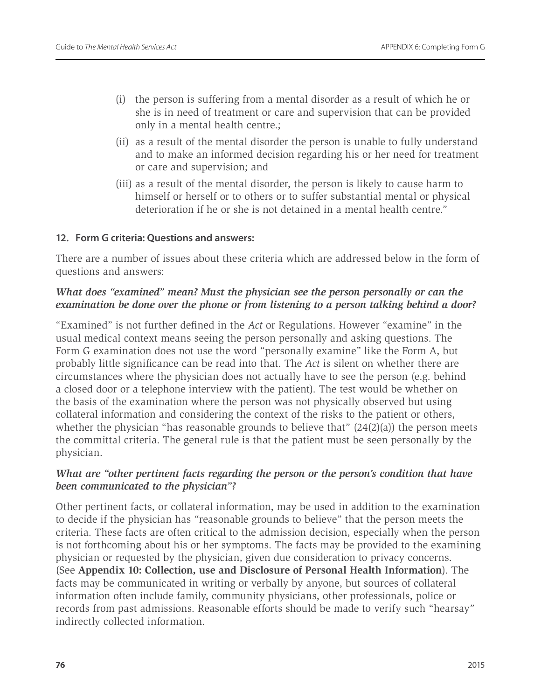- (i) the person is suffering from a mental disorder as a result of which he or she is in need of treatment or care and supervision that can be provided only in a mental health centre.;
- (ii) as a result of the mental disorder the person is unable to fully understand and to make an informed decision regarding his or her need for treatment or care and supervision; and
- (iii) as a result of the mental disorder, the person is likely to cause harm to himself or herself or to others or to suffer substantial mental or physical deterioration if he or she is not detained in a mental health centre."

#### **12. Form G criteria: Questions and answers:**

There are a number of issues about these criteria which are addressed below in the form of questions and answers:

#### *What does "examined" mean? Must the physician see the person personally or can the examination be done over the phone or from listening to a person talking behind a door?*

"Examined" is not further defined in the *Act* or Regulations. However "examine" in the usual medical context means seeing the person personally and asking questions. The Form G examination does not use the word "personally examine" like the Form A, but probably little significance can be read into that. The *Act* is silent on whether there are circumstances where the physician does not actually have to see the person (e.g. behind a closed door or a telephone interview with the patient). The test would be whether on the basis of the examination where the person was not physically observed but using collateral information and considering the context of the risks to the patient or others, whether the physician "has reasonable grounds to believe that"  $(24(2)(a))$  the person meets the committal criteria. The general rule is that the patient must be seen personally by the physician.

# *What are "other pertinent facts regarding the person or the person's condition that have been communicated to the physician"?*

Other pertinent facts, or collateral information, may be used in addition to the examination to decide if the physician has "reasonable grounds to believe" that the person meets the criteria. These facts are often critical to the admission decision, especially when the person is not forthcoming about his or her symptoms. The facts may be provided to the examining physician or requested by the physician, given due consideration to privacy concerns. (See **Appendix 10: Collection, use and Disclosure of Personal Health Information**). The facts may be communicated in writing or verbally by anyone, but sources of collateral information often include family, community physicians, other professionals, police or records from past admissions. Reasonable efforts should be made to verify such "hearsay" indirectly collected information.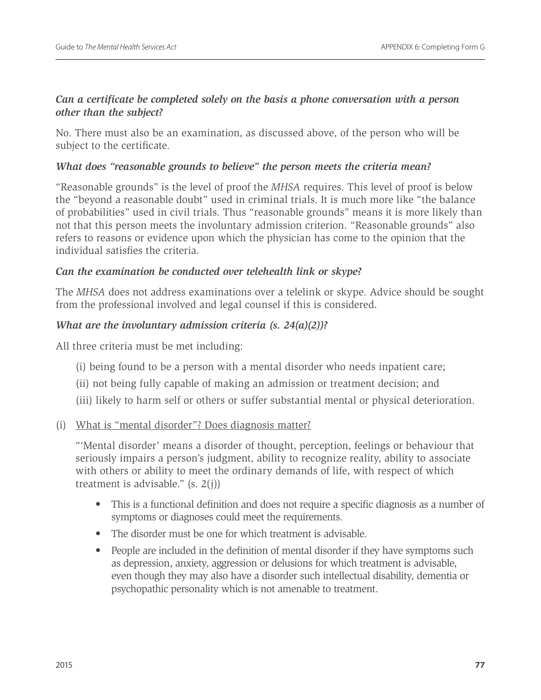# *Can a certificate be completed solely on the basis a phone conversation with a person other than the subject?*

No. There must also be an examination, as discussed above, of the person who will be subject to the certificate.

# *What does "reasonable grounds to believe" the person meets the criteria mean?*

"Reasonable grounds" is the level of proof the *MHSA* requires. This level of proof is below the "beyond a reasonable doubt" used in criminal trials. It is much more like "the balance of probabilities" used in civil trials. Thus "reasonable grounds" means it is more likely than not that this person meets the involuntary admission criterion. "Reasonable grounds" also refers to reasons or evidence upon which the physician has come to the opinion that the individual satisfies the criteria.

# *Can the examination be conducted over telehealth link or skype?*

The *MHSA* does not address examinations over a telelink or skype. Advice should be sought from the professional involved and legal counsel if this is considered.

# *What are the involuntary admission criteria (s. 24(a)(2))?*

All three criteria must be met including:

- (i) being found to be a person with a mental disorder who needs inpatient care;
- (ii) not being fully capable of making an admission or treatment decision; and
- (iii) likely to harm self or others or suffer substantial mental or physical deterioration.
- (i) What is "mental disorder"? Does diagnosis matter?

"'Mental disorder' means a disorder of thought, perception, feelings or behaviour that seriously impairs a person's judgment, ability to recognize reality, ability to associate with others or ability to meet the ordinary demands of life, with respect of which treatment is advisable."  $(s. 2(j))$ 

- This is a functional definition and does not require a specific diagnosis as a number of symptoms or diagnoses could meet the requirements.
- The disorder must be one for which treatment is advisable.
- People are included in the definition of mental disorder if they have symptoms such as depression, anxiety, aggression or delusions for which treatment is advisable, even though they may also have a disorder such intellectual disability, dementia or psychopathic personality which is not amenable to treatment.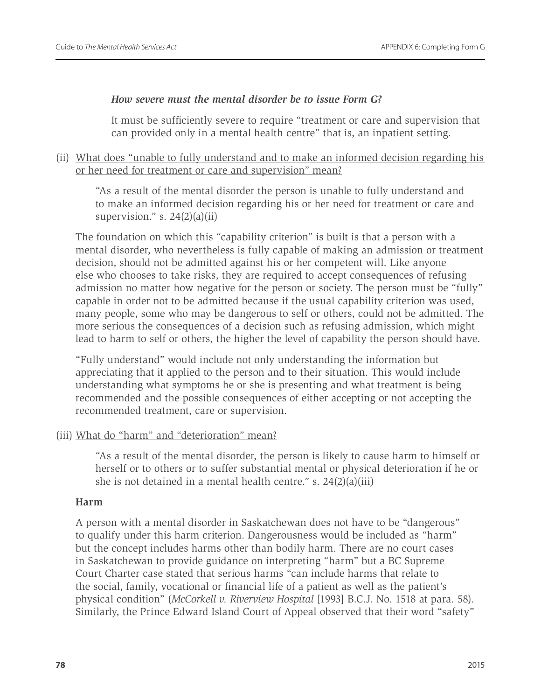#### *How severe must the mental disorder be to issue Form G?*

It must be sufficiently severe to require "treatment or care and supervision that can provided only in a mental health centre" that is, an inpatient setting.

# (ii) What does "unable to fully understand and to make an informed decision regarding his or her need for treatment or care and supervision" mean?

"As a result of the mental disorder the person is unable to fully understand and to make an informed decision regarding his or her need for treatment or care and supervision." s.  $24(2)(a)(ii)$ 

The foundation on which this "capability criterion" is built is that a person with a mental disorder, who nevertheless is fully capable of making an admission or treatment decision, should not be admitted against his or her competent will. Like anyone else who chooses to take risks, they are required to accept consequences of refusing admission no matter how negative for the person or society. The person must be "fully" capable in order not to be admitted because if the usual capability criterion was used, many people, some who may be dangerous to self or others, could not be admitted. The more serious the consequences of a decision such as refusing admission, which might lead to harm to self or others, the higher the level of capability the person should have.

"Fully understand" would include not only understanding the information but appreciating that it applied to the person and to their situation. This would include understanding what symptoms he or she is presenting and what treatment is being recommended and the possible consequences of either accepting or not accepting the recommended treatment, care or supervision.

# (iii) What do "harm" and "deterioration" mean?

"As a result of the mental disorder, the person is likely to cause harm to himself or herself or to others or to suffer substantial mental or physical deterioration if he or she is not detained in a mental health centre." s. 24(2)(a)(iii)

#### **Harm**

A person with a mental disorder in Saskatchewan does not have to be "dangerous" to qualify under this harm criterion. Dangerousness would be included as "harm" but the concept includes harms other than bodily harm. There are no court cases in Saskatchewan to provide guidance on interpreting "harm" but a BC Supreme Court Charter case stated that serious harms "can include harms that relate to the social, family, vocational or financial life of a patient as well as the patient's physical condition" (*McCorkell v. Riverview Hospital* [1993] B.C.J. No. 1518 at para. 58). Similarly, the Prince Edward Island Court of Appeal observed that their word "safety"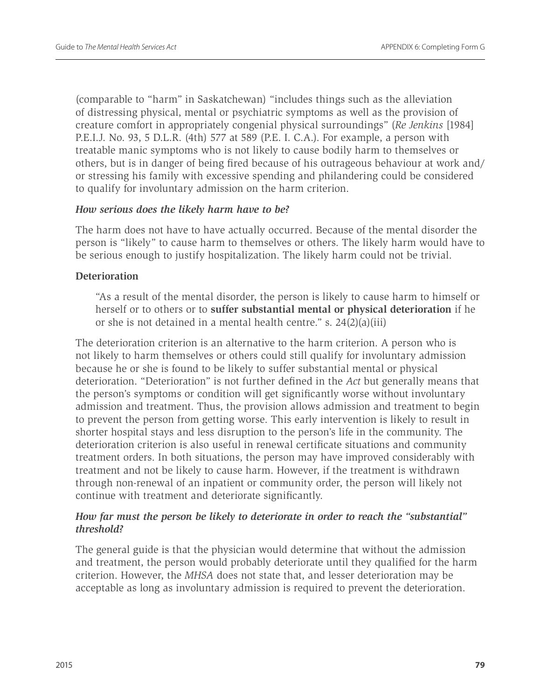(comparable to "harm" in Saskatchewan) "includes things such as the alleviation of distressing physical, mental or psychiatric symptoms as well as the provision of creature comfort in appropriately congenial physical surroundings" (*Re Jenkins* [1984] P.E.I.J. No. 93, 5 D.L.R. (4th) 577 at 589 (P.E. I. C.A.). For example, a person with treatable manic symptoms who is not likely to cause bodily harm to themselves or others, but is in danger of being fired because of his outrageous behaviour at work and/ or stressing his family with excessive spending and philandering could be considered to qualify for involuntary admission on the harm criterion.

#### *How serious does the likely harm have to be?*

The harm does not have to have actually occurred. Because of the mental disorder the person is "likely" to cause harm to themselves or others. The likely harm would have to be serious enough to justify hospitalization. The likely harm could not be trivial.

#### **Deterioration**

"As a result of the mental disorder, the person is likely to cause harm to himself or herself or to others or to **suffer substantial mental or physical deterioration** if he or she is not detained in a mental health centre." s. 24(2)(a)(iii)

The deterioration criterion is an alternative to the harm criterion. A person who is not likely to harm themselves or others could still qualify for involuntary admission because he or she is found to be likely to suffer substantial mental or physical deterioration. "Deterioration" is not further defined in the *Act* but generally means that the person's symptoms or condition will get significantly worse without involuntary admission and treatment. Thus, the provision allows admission and treatment to begin to prevent the person from getting worse. This early intervention is likely to result in shorter hospital stays and less disruption to the person's life in the community. The deterioration criterion is also useful in renewal certificate situations and community treatment orders. In both situations, the person may have improved considerably with treatment and not be likely to cause harm. However, if the treatment is withdrawn through non-renewal of an inpatient or community order, the person will likely not continue with treatment and deteriorate significantly.

# *How far must the person be likely to deteriorate in order to reach the "substantial" threshold?*

The general guide is that the physician would determine that without the admission and treatment, the person would probably deteriorate until they qualified for the harm criterion. However, the *MHSA* does not state that, and lesser deterioration may be acceptable as long as involuntary admission is required to prevent the deterioration.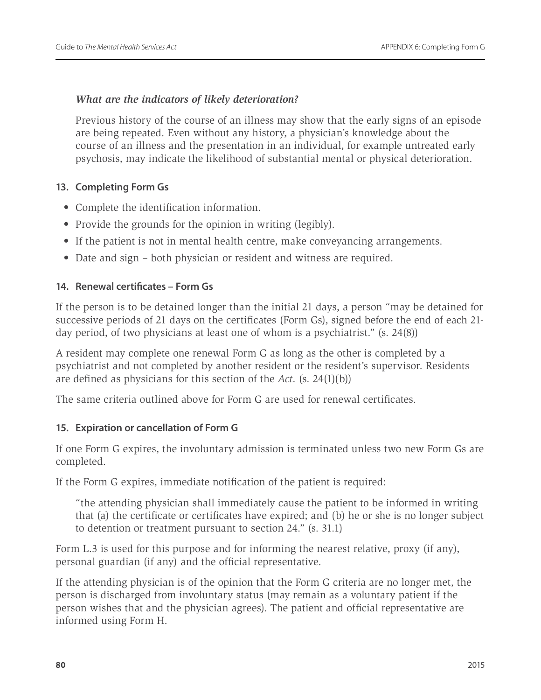# *What are the indicators of likely deterioration?*

Previous history of the course of an illness may show that the early signs of an episode are being repeated. Even without any history, a physician's knowledge about the course of an illness and the presentation in an individual, for example untreated early psychosis, may indicate the likelihood of substantial mental or physical deterioration.

# **13. Completing Form Gs**

- Complete the identification information.
- Provide the grounds for the opinion in writing (legibly).
- If the patient is not in mental health centre, make conveyancing arrangements.
- Date and sign both physician or resident and witness are required.

# **14. Renewal certificates – Form Gs**

If the person is to be detained longer than the initial 21 days, a person "may be detained for successive periods of 21 days on the certificates (Form Gs), signed before the end of each 21 day period, of two physicians at least one of whom is a psychiatrist." (s. 24(8))

A resident may complete one renewal Form G as long as the other is completed by a psychiatrist and not completed by another resident or the resident's supervisor. Residents are defined as physicians for this section of the *Act*. (s. 24(1)(b))

The same criteria outlined above for Form G are used for renewal certificates.

# **15. Expiration or cancellation of Form G**

If one Form G expires, the involuntary admission is terminated unless two new Form Gs are completed.

If the Form G expires, immediate notification of the patient is required:

"the attending physician shall immediately cause the patient to be informed in writing that (a) the certificate or certificates have expired; and (b) he or she is no longer subject to detention or treatment pursuant to section 24." (s. 31.1)

Form L.3 is used for this purpose and for informing the nearest relative, proxy (if any), personal guardian (if any) and the official representative.

If the attending physician is of the opinion that the Form G criteria are no longer met, the person is discharged from involuntary status (may remain as a voluntary patient if the person wishes that and the physician agrees). The patient and official representative are informed using Form H.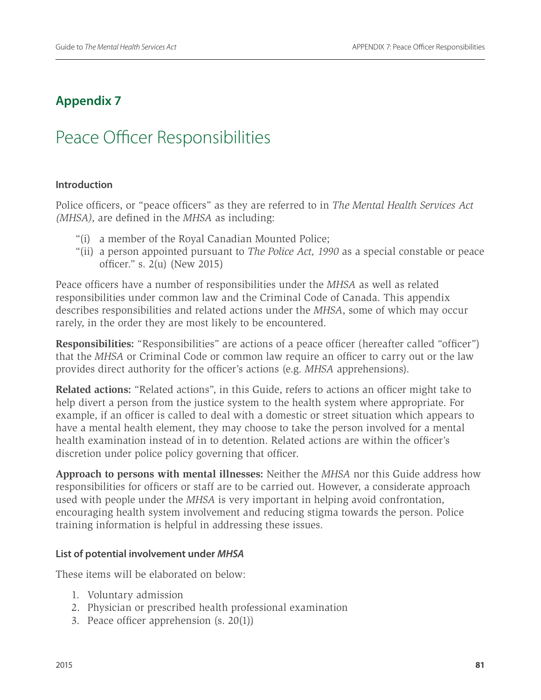# **Appendix 7**

# Peace Officer Responsibilities

# **Introduction**

Police officers, or "peace officers" as they are referred to in *The Mental Health Services Act (MHSA)*, are defined in the *MHSA* as including:

- "(i) a member of the Royal Canadian Mounted Police;
- "(ii) a person appointed pursuant to *The Police Act, 1990* as a special constable or peace officer." s. 2(u) (New 2015)

Peace officers have a number of responsibilities under the *MHSA* as well as related responsibilities under common law and the Criminal Code of Canada. This appendix describes responsibilities and related actions under the *MHSA*, some of which may occur rarely, in the order they are most likely to be encountered.

**Responsibilities:** "Responsibilities" are actions of a peace officer (hereafter called "officer") that the *MHSA* or Criminal Code or common law require an officer to carry out or the law provides direct authority for the officer's actions (e.g. *MHSA* apprehensions).

**Related actions:** "Related actions", in this Guide, refers to actions an officer might take to help divert a person from the justice system to the health system where appropriate. For example, if an officer is called to deal with a domestic or street situation which appears to have a mental health element, they may choose to take the person involved for a mental health examination instead of in to detention. Related actions are within the officer's discretion under police policy governing that officer.

**Approach to persons with mental illnesses:** Neither the *MHSA* nor this Guide address how responsibilities for officers or staff are to be carried out. However, a considerate approach used with people under the *MHSA* is very important in helping avoid confrontation, encouraging health system involvement and reducing stigma towards the person. Police training information is helpful in addressing these issues.

# **List of potential involvement under** *MHSA*

These items will be elaborated on below:

- 1. Voluntary admission
- 2. Physician or prescribed health professional examination
- 3. Peace officer apprehension (s. 20(1))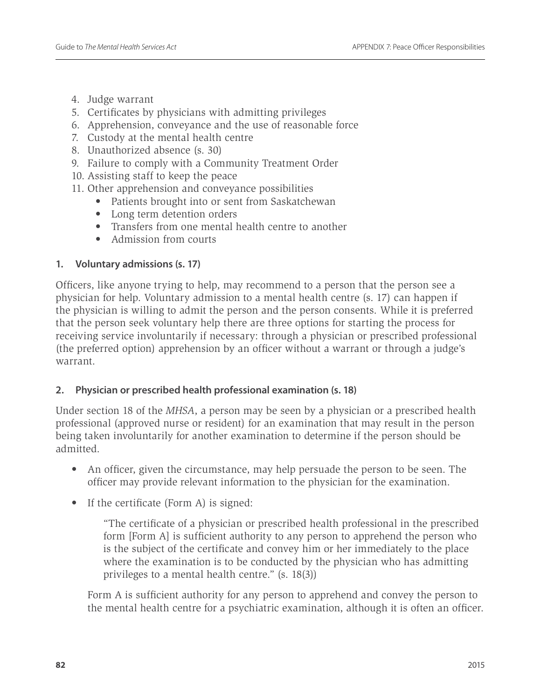- 4. Judge warrant
- 5. Certificates by physicians with admitting privileges
- 6. Apprehension, conveyance and the use of reasonable force
- 7. Custody at the mental health centre
- 8. Unauthorized absence (s. 30)
- 9. Failure to comply with a Community Treatment Order
- 10. Assisting staff to keep the peace
- 11. Other apprehension and conveyance possibilities
	- Patients brought into or sent from Saskatchewan
	- Long term detention orders
	- Transfers from one mental health centre to another
	- Admission from courts

# **1. Voluntary admissions (s. 17)**

Officers, like anyone trying to help, may recommend to a person that the person see a physician for help. Voluntary admission to a mental health centre (s. 17) can happen if the physician is willing to admit the person and the person consents. While it is preferred that the person seek voluntary help there are three options for starting the process for receiving service involuntarily if necessary: through a physician or prescribed professional (the preferred option) apprehension by an officer without a warrant or through a judge's warrant.

# **2. Physician or prescribed health professional examination (s. 18)**

Under section 18 of the *MHSA*, a person may be seen by a physician or a prescribed health professional (approved nurse or resident) for an examination that may result in the person being taken involuntarily for another examination to determine if the person should be admitted.

- An officer, given the circumstance, may help persuade the person to be seen. The officer may provide relevant information to the physician for the examination.
- If the certificate (Form A) is signed:

"The certificate of a physician or prescribed health professional in the prescribed form [Form A] is sufficient authority to any person to apprehend the person who is the subject of the certificate and convey him or her immediately to the place where the examination is to be conducted by the physician who has admitting privileges to a mental health centre." (s. 18(3))

Form A is sufficient authority for any person to apprehend and convey the person to the mental health centre for a psychiatric examination, although it is often an officer.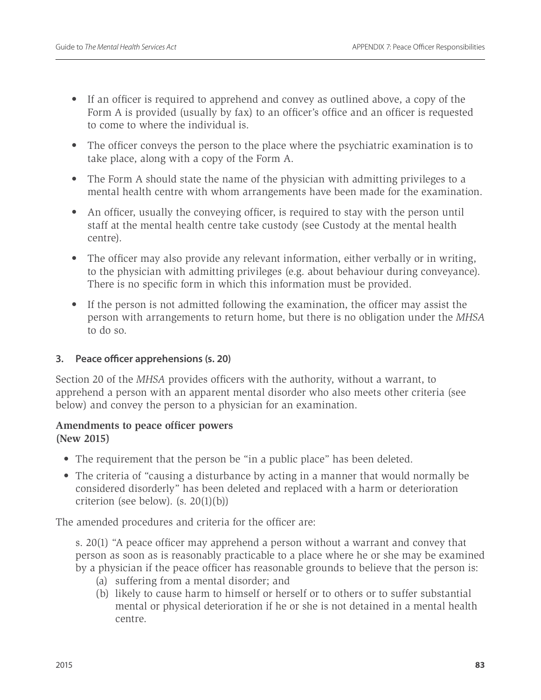- If an officer is required to apprehend and convey as outlined above, a copy of the Form A is provided (usually by fax) to an officer's office and an officer is requested to come to where the individual is.
- The officer conveys the person to the place where the psychiatric examination is to take place, along with a copy of the Form A.
- The Form A should state the name of the physician with admitting privileges to a mental health centre with whom arrangements have been made for the examination.
- An officer, usually the conveying officer, is required to stay with the person until staff at the mental health centre take custody (see Custody at the mental health centre).
- The officer may also provide any relevant information, either verbally or in writing, to the physician with admitting privileges (e.g. about behaviour during conveyance). There is no specific form in which this information must be provided.
- If the person is not admitted following the examination, the officer may assist the person with arrangements to return home, but there is no obligation under the *MHSA* to do so.

# **3. Peace officer apprehensions (s. 20)**

Section 20 of the *MHSA* provides officers with the authority, without a warrant, to apprehend a person with an apparent mental disorder who also meets other criteria (see below) and convey the person to a physician for an examination.

#### **Amendments to peace officer powers (New 2015)**

- The requirement that the person be "in a public place" has been deleted.
- The criteria of "causing a disturbance by acting in a manner that would normally be considered disorderly" has been deleted and replaced with a harm or deterioration criterion (see below).  $(s. 20(1)(b))$

The amended procedures and criteria for the officer are:

s. 20(1) "A peace officer may apprehend a person without a warrant and convey that person as soon as is reasonably practicable to a place where he or she may be examined by a physician if the peace officer has reasonable grounds to believe that the person is:

- (a) suffering from a mental disorder; and
- (b) likely to cause harm to himself or herself or to others or to suffer substantial mental or physical deterioration if he or she is not detained in a mental health centre.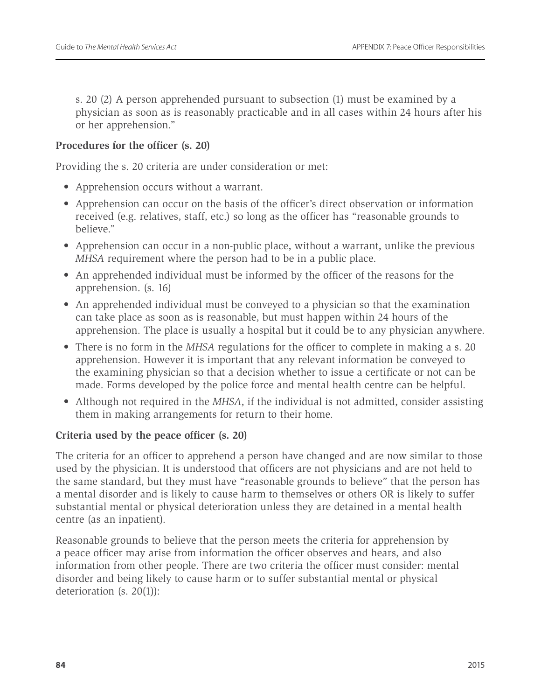s. 20 (2) A person apprehended pursuant to subsection (1) must be examined by a physician as soon as is reasonably practicable and in all cases within 24 hours after his or her apprehension."

#### **Procedures for the officer (s. 20)**

Providing the s. 20 criteria are under consideration or met:

- Apprehension occurs without a warrant.
- Apprehension can occur on the basis of the officer's direct observation or information received (e.g. relatives, staff, etc.) so long as the officer has "reasonable grounds to believe."
- Apprehension can occur in a non-public place, without a warrant, unlike the previous *MHSA* requirement where the person had to be in a public place.
- An apprehended individual must be informed by the officer of the reasons for the apprehension. (s. 16)
- An apprehended individual must be conveyed to a physician so that the examination can take place as soon as is reasonable, but must happen within 24 hours of the apprehension. The place is usually a hospital but it could be to any physician anywhere.
- There is no form in the *MHSA* regulations for the officer to complete in making a s. 20 apprehension. However it is important that any relevant information be conveyed to the examining physician so that a decision whether to issue a certificate or not can be made. Forms developed by the police force and mental health centre can be helpful.
- Although not required in the *MHSA*, if the individual is not admitted, consider assisting them in making arrangements for return to their home.

# **Criteria used by the peace officer (s. 20)**

The criteria for an officer to apprehend a person have changed and are now similar to those used by the physician. It is understood that officers are not physicians and are not held to the same standard, but they must have "reasonable grounds to believe" that the person has a mental disorder and is likely to cause harm to themselves or others OR is likely to suffer substantial mental or physical deterioration unless they are detained in a mental health centre (as an inpatient).

Reasonable grounds to believe that the person meets the criteria for apprehension by a peace officer may arise from information the officer observes and hears, and also information from other people. There are two criteria the officer must consider: mental disorder and being likely to cause harm or to suffer substantial mental or physical deterioration (s. 20(1)):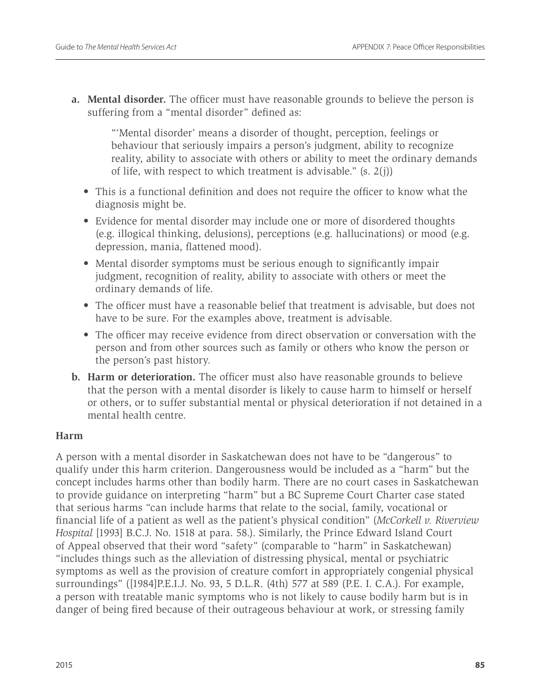**a. Mental disorder.** The officer must have reasonable grounds to believe the person is suffering from a "mental disorder" defined as:

"'Mental disorder' means a disorder of thought, perception, feelings or behaviour that seriously impairs a person's judgment, ability to recognize reality, ability to associate with others or ability to meet the ordinary demands of life, with respect to which treatment is advisable."  $(s, 2(i))$ 

- This is a functional definition and does not require the officer to know what the diagnosis might be.
- Evidence for mental disorder may include one or more of disordered thoughts (e.g. illogical thinking, delusions), perceptions (e.g. hallucinations) or mood (e.g. depression, mania, flattened mood).
- Mental disorder symptoms must be serious enough to significantly impair judgment, recognition of reality, ability to associate with others or meet the ordinary demands of life.
- The officer must have a reasonable belief that treatment is advisable, but does not have to be sure. For the examples above, treatment is advisable.
- The officer may receive evidence from direct observation or conversation with the person and from other sources such as family or others who know the person or the person's past history.
- **b. Harm or deterioration.** The officer must also have reasonable grounds to believe that the person with a mental disorder is likely to cause harm to himself or herself or others, or to suffer substantial mental or physical deterioration if not detained in a mental health centre.

# **Harm**

A person with a mental disorder in Saskatchewan does not have to be "dangerous" to qualify under this harm criterion. Dangerousness would be included as a "harm" but the concept includes harms other than bodily harm. There are no court cases in Saskatchewan to provide guidance on interpreting "harm" but a BC Supreme Court Charter case stated that serious harms "can include harms that relate to the social, family, vocational or financial life of a patient as well as the patient's physical condition" (*McCorkell v. Riverview Hospital* [1993] B.C.J. No. 1518 at para. 58.). Similarly, the Prince Edward Island Court of Appeal observed that their word "safety" (comparable to "harm" in Saskatchewan) "includes things such as the alleviation of distressing physical, mental or psychiatric symptoms as well as the provision of creature comfort in appropriately congenial physical surroundings" ([1984]P.E.I.J. No. 93, 5 D.L.R. (4th) 577 at 589 (P.E. I. C.A.). For example, a person with treatable manic symptoms who is not likely to cause bodily harm but is in danger of being fired because of their outrageous behaviour at work, or stressing family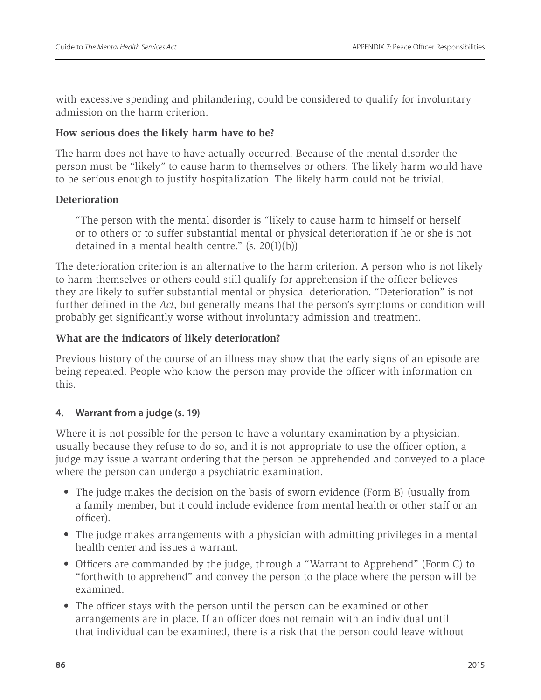with excessive spending and philandering, could be considered to qualify for involuntary admission on the harm criterion.

# **How serious does the likely harm have to be?**

The harm does not have to have actually occurred. Because of the mental disorder the person must be "likely" to cause harm to themselves or others. The likely harm would have to be serious enough to justify hospitalization. The likely harm could not be trivial.

# **Deterioration**

"The person with the mental disorder is "likely to cause harm to himself or herself or to others or to suffer substantial mental or physical deterioration if he or she is not detained in a mental health centre."  $(s, 20(1)(b))$ 

The deterioration criterion is an alternative to the harm criterion. A person who is not likely to harm themselves or others could still qualify for apprehension if the officer believes they are likely to suffer substantial mental or physical deterioration. "Deterioration" is not further defined in the *Act*, but generally means that the person's symptoms or condition will probably get significantly worse without involuntary admission and treatment.

# **What are the indicators of likely deterioration?**

Previous history of the course of an illness may show that the early signs of an episode are being repeated. People who know the person may provide the officer with information on this.

# **4. Warrant from a judge (s. 19)**

Where it is not possible for the person to have a voluntary examination by a physician, usually because they refuse to do so, and it is not appropriate to use the officer option, a judge may issue a warrant ordering that the person be apprehended and conveyed to a place where the person can undergo a psychiatric examination.

- The judge makes the decision on the basis of sworn evidence (Form B) (usually from a family member, but it could include evidence from mental health or other staff or an officer).
- The judge makes arrangements with a physician with admitting privileges in a mental health center and issues a warrant.
- Officers are commanded by the judge, through a "Warrant to Apprehend" (Form C) to "forthwith to apprehend" and convey the person to the place where the person will be examined.
- The officer stays with the person until the person can be examined or other arrangements are in place. If an officer does not remain with an individual until that individual can be examined, there is a risk that the person could leave without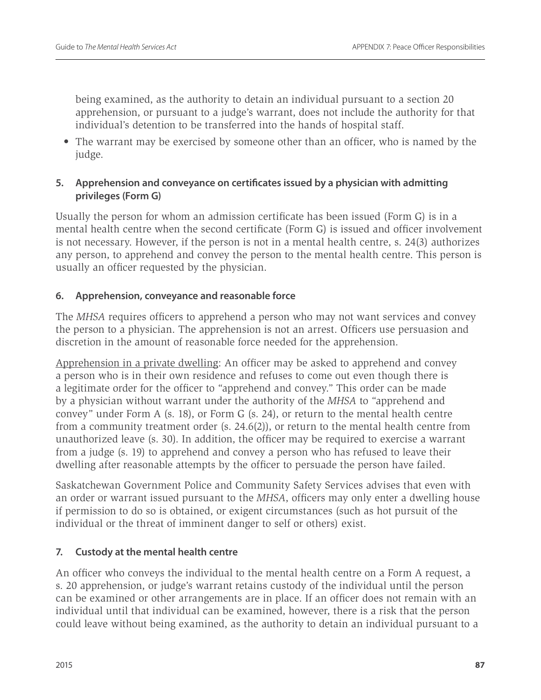being examined, as the authority to detain an individual pursuant to a section 20 apprehension, or pursuant to a judge's warrant, does not include the authority for that individual's detention to be transferred into the hands of hospital staff.

• The warrant may be exercised by someone other than an officer, who is named by the judge.

# **5. Apprehension and conveyance on certificates issued by a physician with admitting privileges (Form G)**

Usually the person for whom an admission certificate has been issued (Form G) is in a mental health centre when the second certificate (Form G) is issued and officer involvement is not necessary. However, if the person is not in a mental health centre, s. 24(3) authorizes any person, to apprehend and convey the person to the mental health centre. This person is usually an officer requested by the physician.

# **6. Apprehension, conveyance and reasonable force**

The *MHSA* requires officers to apprehend a person who may not want services and convey the person to a physician. The apprehension is not an arrest. Officers use persuasion and discretion in the amount of reasonable force needed for the apprehension.

Apprehension in a private dwelling: An officer may be asked to apprehend and convey a person who is in their own residence and refuses to come out even though there is a legitimate order for the officer to "apprehend and convey." This order can be made by a physician without warrant under the authority of the *MHSA* to "apprehend and convey" under Form A (s. 18), or Form G (s. 24), or return to the mental health centre from a community treatment order (s. 24.6(2)), or return to the mental health centre from unauthorized leave (s. 30). In addition, the officer may be required to exercise a warrant from a judge (s. 19) to apprehend and convey a person who has refused to leave their dwelling after reasonable attempts by the officer to persuade the person have failed.

Saskatchewan Government Police and Community Safety Services advises that even with an order or warrant issued pursuant to the *MHSA*, officers may only enter a dwelling house if permission to do so is obtained, or exigent circumstances (such as hot pursuit of the individual or the threat of imminent danger to self or others) exist.

# **7. Custody at the mental health centre**

An officer who conveys the individual to the mental health centre on a Form A request, a s. 20 apprehension, or judge's warrant retains custody of the individual until the person can be examined or other arrangements are in place. If an officer does not remain with an individual until that individual can be examined, however, there is a risk that the person could leave without being examined, as the authority to detain an individual pursuant to a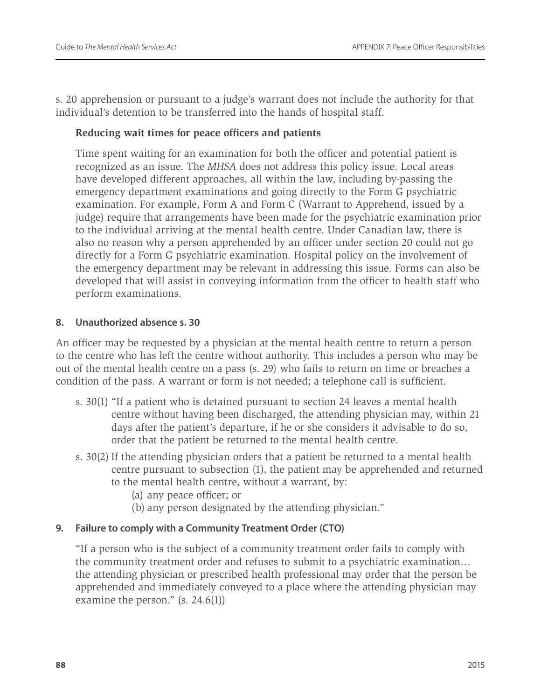s. 20 apprehension or pursuant to a judge's warrant does not include the authority for that individual's detention to be transferred into the hands of hospital staff.

# **Reducing wait times for peace officers and patients**

Time spent waiting for an examination for both the officer and potential patient is recognized as an issue. The *MHSA* does not address this policy issue. Local areas have developed different approaches, all within the law, including by-passing the emergency department examinations and going directly to the Form G psychiatric examination. For example, Form A and Form C (Warrant to Apprehend, issued by a judge) require that arrangements have been made for the psychiatric examination prior to the individual arriving at the mental health centre. Under Canadian law, there is also no reason why a person apprehended by an officer under section 20 could not go directly for a Form G psychiatric examination. Hospital policy on the involvement of the emergency department may be relevant in addressing this issue. Forms can also be developed that will assist in conveying information from the officer to health staff who perform examinations.

# **8. Unauthorized absence s. 30**

An officer may be requested by a physician at the mental health centre to return a person to the centre who has left the centre without authority. This includes a person who may be out of the mental health centre on a pass (s. 29) who fails to return on time or breaches a condition of the pass. A warrant or form is not needed; a telephone call is sufficient.

- s. 30(1) "If a patient who is detained pursuant to section 24 leaves a mental health centre without having been discharged, the attending physician may, within 21 days after the patient's departure, if he or she considers it advisable to do so, order that the patient be returned to the mental health centre.
- s. 30(2) If the attending physician orders that a patient be returned to a mental health centre pursuant to subsection (1), the patient may be apprehended and returned to the mental health centre, without a warrant, by:
	- (a) any peace officer; or
	- (b) any person designated by the attending physician."

# **9. Failure to comply with a Community Treatment Order (CTO)**

"If a person who is the subject of a community treatment order fails to comply with the community treatment order and refuses to submit to a psychiatric examination… the attending physician or prescribed health professional may order that the person be apprehended and immediately conveyed to a place where the attending physician may examine the person." (s. 24.6(1))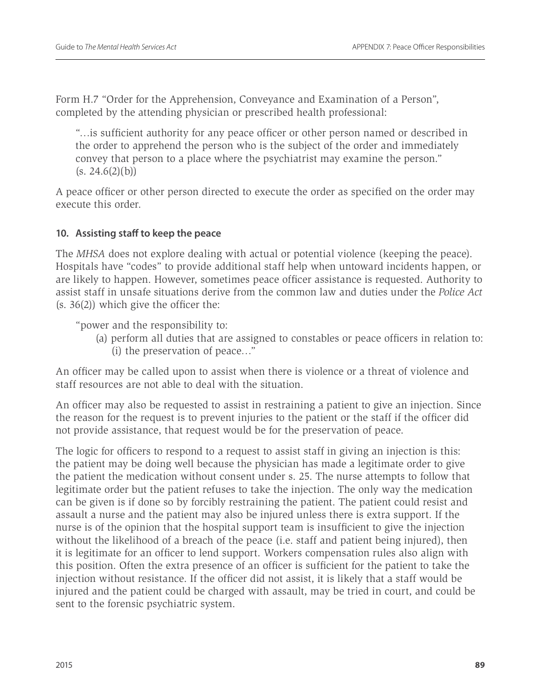Form H.7 "Order for the Apprehension, Conveyance and Examination of a Person", completed by the attending physician or prescribed health professional:

"…is sufficient authority for any peace officer or other person named or described in the order to apprehend the person who is the subject of the order and immediately convey that person to a place where the psychiatrist may examine the person."  $(s. 24.6(2)(b))$ 

A peace officer or other person directed to execute the order as specified on the order may execute this order.

# **10. Assisting staff to keep the peace**

The *MHSA* does not explore dealing with actual or potential violence (keeping the peace). Hospitals have "codes" to provide additional staff help when untoward incidents happen, or are likely to happen. However, sometimes peace officer assistance is requested. Authority to assist staff in unsafe situations derive from the common law and duties under the *Police Act* (s. 36(2)) which give the officer the:

"power and the responsibility to:

(a) perform all duties that are assigned to constables or peace officers in relation to: (i) the preservation of peace…"

An officer may be called upon to assist when there is violence or a threat of violence and staff resources are not able to deal with the situation.

An officer may also be requested to assist in restraining a patient to give an injection. Since the reason for the request is to prevent injuries to the patient or the staff if the officer did not provide assistance, that request would be for the preservation of peace.

The logic for officers to respond to a request to assist staff in giving an injection is this: the patient may be doing well because the physician has made a legitimate order to give the patient the medication without consent under s. 25. The nurse attempts to follow that legitimate order but the patient refuses to take the injection. The only way the medication can be given is if done so by forcibly restraining the patient. The patient could resist and assault a nurse and the patient may also be injured unless there is extra support. If the nurse is of the opinion that the hospital support team is insufficient to give the injection without the likelihood of a breach of the peace (i.e. staff and patient being injured), then it is legitimate for an officer to lend support. Workers compensation rules also align with this position. Often the extra presence of an officer is sufficient for the patient to take the injection without resistance. If the officer did not assist, it is likely that a staff would be injured and the patient could be charged with assault, may be tried in court, and could be sent to the forensic psychiatric system.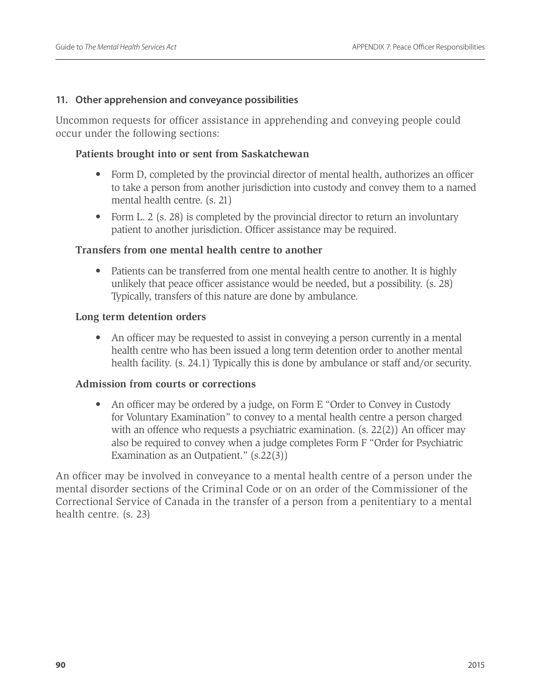#### **11. Other apprehension and conveyance possibilities**

Uncommon requests for officer assistance in apprehending and conveying people could occur under the following sections:

#### **Patients brought into or sent from Saskatchewan**

- Form D, completed by the provincial director of mental health, authorizes an officer to take a person from another jurisdiction into custody and convey them to a named mental health centre. (s. 21)
- Form L. 2 (s. 28) is completed by the provincial director to return an involuntary patient to another jurisdiction. Officer assistance may be required.

#### **Transfers from one mental health centre to another**

• Patients can be transferred from one mental health centre to another. It is highly unlikely that peace officer assistance would be needed, but a possibility. (s. 28) Typically, transfers of this nature are done by ambulance.

#### **Long term detention orders**

• An officer may be requested to assist in conveying a person currently in a mental health centre who has been issued a long term detention order to another mental health facility. (s. 24.1) Typically this is done by ambulance or staff and/or security.

#### **Admission from courts or corrections**

• An officer may be ordered by a judge, on Form E "Order to Convey in Custody for Voluntary Examination" to convey to a mental health centre a person charged with an offence who requests a psychiatric examination. (s. 22(2)) An officer may also be required to convey when a judge completes Form F "Order for Psychiatric Examination as an Outpatient." (s.22(3))

An officer may be involved in conveyance to a mental health centre of a person under the mental disorder sections of the Criminal Code or on an order of the Commissioner of the Correctional Service of Canada in the transfer of a person from a penitentiary to a mental health centre. (s. 23)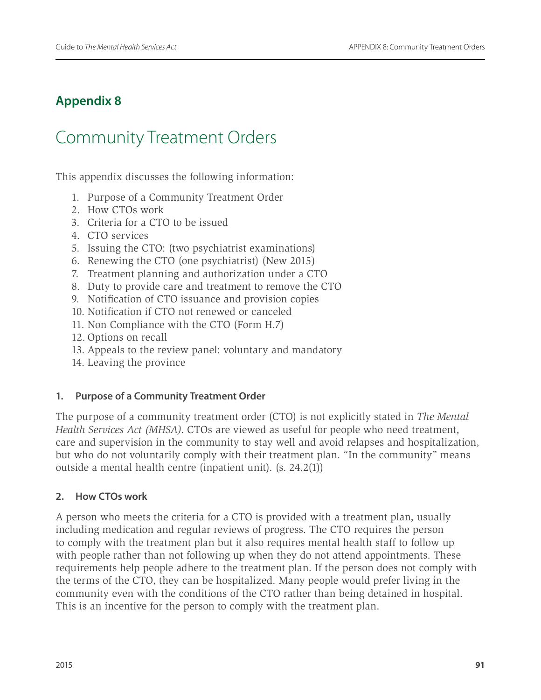# **Appendix 8**

# Community Treatment Orders

This appendix discusses the following information:

- 1. Purpose of a Community Treatment Order
- 2. How CTOs work
- 3. Criteria for a CTO to be issued
- 4. CTO services
- 5. Issuing the CTO: (two psychiatrist examinations)
- 6. Renewing the CTO (one psychiatrist) (New 2015)
- 7. Treatment planning and authorization under a CTO
- 8. Duty to provide care and treatment to remove the CTO
- 9. Notification of CTO issuance and provision copies
- 10. Notification if CTO not renewed or canceled
- 11. Non Compliance with the CTO (Form H.7)
- 12. Options on recall
- 13. Appeals to the review panel: voluntary and mandatory
- 14. Leaving the province

# **1. Purpose of a Community Treatment Order**

The purpose of a community treatment order (CTO) is not explicitly stated in *The Mental Health Services Act (MHSA)*. CTOs are viewed as useful for people who need treatment, care and supervision in the community to stay well and avoid relapses and hospitalization, but who do not voluntarily comply with their treatment plan. "In the community" means outside a mental health centre (inpatient unit). (s. 24.2(1))

# **2. How CTOs work**

A person who meets the criteria for a CTO is provided with a treatment plan, usually including medication and regular reviews of progress. The CTO requires the person to comply with the treatment plan but it also requires mental health staff to follow up with people rather than not following up when they do not attend appointments. These requirements help people adhere to the treatment plan. If the person does not comply with the terms of the CTO, they can be hospitalized. Many people would prefer living in the community even with the conditions of the CTO rather than being detained in hospital. This is an incentive for the person to comply with the treatment plan.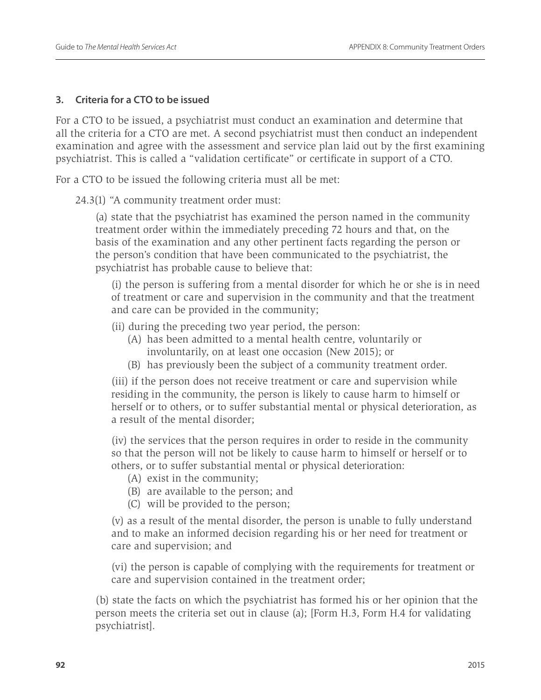#### **3. Criteria for a CTO to be issued**

For a CTO to be issued, a psychiatrist must conduct an examination and determine that all the criteria for a CTO are met. A second psychiatrist must then conduct an independent examination and agree with the assessment and service plan laid out by the first examining psychiatrist. This is called a "validation certificate" or certificate in support of a CTO.

For a CTO to be issued the following criteria must all be met:

24.3(1) "A community treatment order must:

(a) state that the psychiatrist has examined the person named in the community treatment order within the immediately preceding 72 hours and that, on the basis of the examination and any other pertinent facts regarding the person or the person's condition that have been communicated to the psychiatrist, the psychiatrist has probable cause to believe that:

(i) the person is suffering from a mental disorder for which he or she is in need of treatment or care and supervision in the community and that the treatment and care can be provided in the community;

(ii) during the preceding two year period, the person:

- (A) has been admitted to a mental health centre, voluntarily or involuntarily, on at least one occasion (New 2015); or
- (B) has previously been the subject of a community treatment order.

(iii) if the person does not receive treatment or care and supervision while residing in the community, the person is likely to cause harm to himself or herself or to others, or to suffer substantial mental or physical deterioration, as a result of the mental disorder;

(iv) the services that the person requires in order to reside in the community so that the person will not be likely to cause harm to himself or herself or to others, or to suffer substantial mental or physical deterioration:

- (A) exist in the community;
- (B) are available to the person; and
- (C) will be provided to the person;

(v) as a result of the mental disorder, the person is unable to fully understand and to make an informed decision regarding his or her need for treatment or care and supervision; and

(vi) the person is capable of complying with the requirements for treatment or care and supervision contained in the treatment order;

(b) state the facts on which the psychiatrist has formed his or her opinion that the person meets the criteria set out in clause (a); [Form H.3, Form H.4 for validating psychiatrist].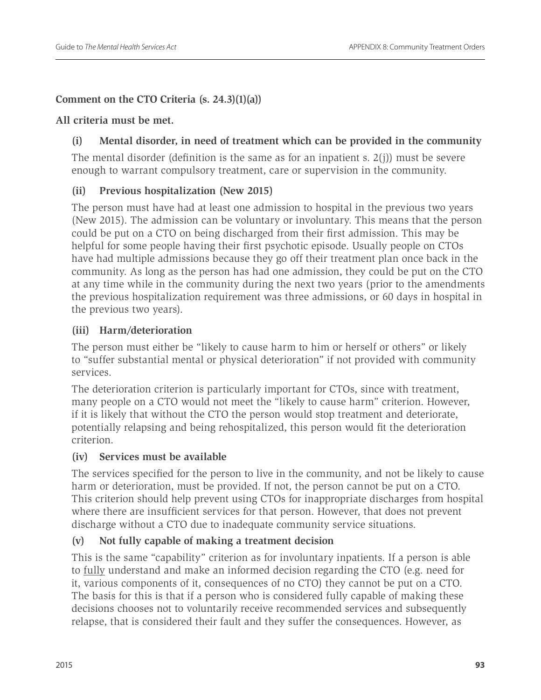# **Comment on the CTO Criteria (s. 24.3)(1)(a))**

# **All criteria must be met.**

# **(i) Mental disorder, in need of treatment which can be provided in the community**

The mental disorder (definition is the same as for an inpatient s.  $2(i)$ ) must be severe enough to warrant compulsory treatment, care or supervision in the community.

# **(ii) Previous hospitalization (New 2015)**

The person must have had at least one admission to hospital in the previous two years (New 2015). The admission can be voluntary or involuntary. This means that the person could be put on a CTO on being discharged from their first admission. This may be helpful for some people having their first psychotic episode. Usually people on CTOs have had multiple admissions because they go off their treatment plan once back in the community. As long as the person has had one admission, they could be put on the CTO at any time while in the community during the next two years (prior to the amendments the previous hospitalization requirement was three admissions, or 60 days in hospital in the previous two years).

# **(iii) Harm/deterioration**

The person must either be "likely to cause harm to him or herself or others" or likely to "suffer substantial mental or physical deterioration" if not provided with community services.

The deterioration criterion is particularly important for CTOs, since with treatment, many people on a CTO would not meet the "likely to cause harm" criterion. However, if it is likely that without the CTO the person would stop treatment and deteriorate, potentially relapsing and being rehospitalized, this person would fit the deterioration criterion.

# **(iv) Services must be available**

The services specified for the person to live in the community, and not be likely to cause harm or deterioration, must be provided. If not, the person cannot be put on a CTO. This criterion should help prevent using CTOs for inappropriate discharges from hospital where there are insufficient services for that person. However, that does not prevent discharge without a CTO due to inadequate community service situations.

# **(v) Not fully capable of making a treatment decision**

This is the same "capability" criterion as for involuntary inpatients. If a person is able to fully understand and make an informed decision regarding the CTO (e.g. need for it, various components of it, consequences of no CTO) they cannot be put on a CTO. The basis for this is that if a person who is considered fully capable of making these decisions chooses not to voluntarily receive recommended services and subsequently relapse, that is considered their fault and they suffer the consequences. However, as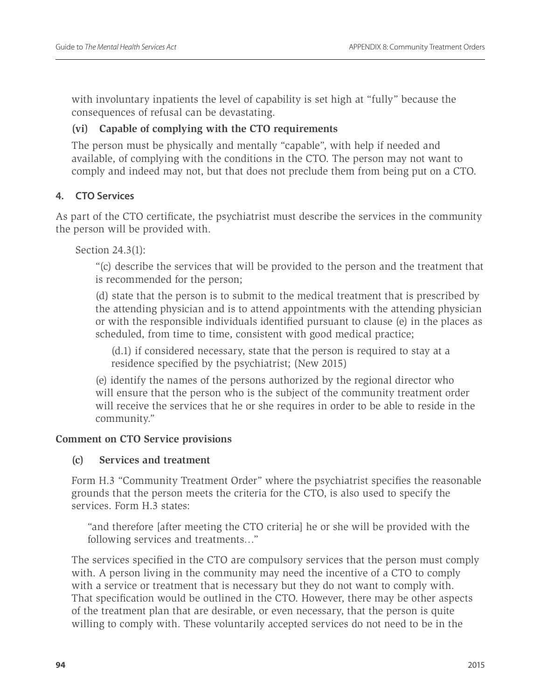with involuntary inpatients the level of capability is set high at "fully" because the consequences of refusal can be devastating.

# **(vi) Capable of complying with the CTO requirements**

The person must be physically and mentally "capable", with help if needed and available, of complying with the conditions in the CTO. The person may not want to comply and indeed may not, but that does not preclude them from being put on a CTO.

# **4. CTO Services**

As part of the CTO certificate, the psychiatrist must describe the services in the community the person will be provided with.

Section 24.3(1):

"(c) describe the services that will be provided to the person and the treatment that is recommended for the person;

(d) state that the person is to submit to the medical treatment that is prescribed by the attending physician and is to attend appointments with the attending physician or with the responsible individuals identified pursuant to clause (e) in the places as scheduled, from time to time, consistent with good medical practice;

(d.1) if considered necessary, state that the person is required to stay at a residence specified by the psychiatrist; (New 2015)

(e) identify the names of the persons authorized by the regional director who will ensure that the person who is the subject of the community treatment order will receive the services that he or she requires in order to be able to reside in the community."

# **Comment on CTO Service provisions**

# **(c) Services and treatment**

Form H.3 "Community Treatment Order" where the psychiatrist specifies the reasonable grounds that the person meets the criteria for the CTO, is also used to specify the services. Form H.3 states:

"and therefore [after meeting the CTO criteria] he or she will be provided with the following services and treatments…"

The services specified in the CTO are compulsory services that the person must comply with. A person living in the community may need the incentive of a CTO to comply with a service or treatment that is necessary but they do not want to comply with. That specification would be outlined in the CTO. However, there may be other aspects of the treatment plan that are desirable, or even necessary, that the person is quite willing to comply with. These voluntarily accepted services do not need to be in the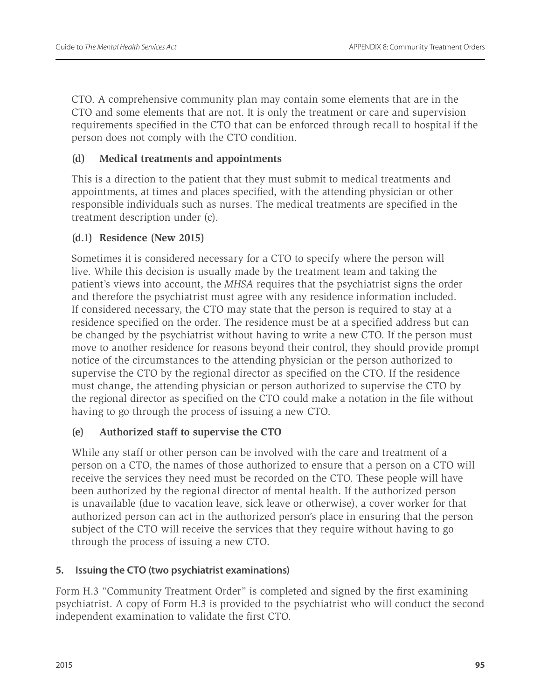CTO. A comprehensive community plan may contain some elements that are in the CTO and some elements that are not. It is only the treatment or care and supervision requirements specified in the CTO that can be enforced through recall to hospital if the person does not comply with the CTO condition.

# **(d) Medical treatments and appointments**

This is a direction to the patient that they must submit to medical treatments and appointments, at times and places specified, with the attending physician or other responsible individuals such as nurses. The medical treatments are specified in the treatment description under (c).

# **(d.1) Residence (New 2015)**

Sometimes it is considered necessary for a CTO to specify where the person will live. While this decision is usually made by the treatment team and taking the patient's views into account, the *MHSA* requires that the psychiatrist signs the order and therefore the psychiatrist must agree with any residence information included. If considered necessary, the CTO may state that the person is required to stay at a residence specified on the order. The residence must be at a specified address but can be changed by the psychiatrist without having to write a new CTO. If the person must move to another residence for reasons beyond their control, they should provide prompt notice of the circumstances to the attending physician or the person authorized to supervise the CTO by the regional director as specified on the CTO. If the residence must change, the attending physician or person authorized to supervise the CTO by the regional director as specified on the CTO could make a notation in the file without having to go through the process of issuing a new CTO.

# **(e) Authorized staff to supervise the CTO**

While any staff or other person can be involved with the care and treatment of a person on a CTO, the names of those authorized to ensure that a person on a CTO will receive the services they need must be recorded on the CTO. These people will have been authorized by the regional director of mental health. If the authorized person is unavailable (due to vacation leave, sick leave or otherwise), a cover worker for that authorized person can act in the authorized person's place in ensuring that the person subject of the CTO will receive the services that they require without having to go through the process of issuing a new CTO.

# **5. Issuing the CTO (two psychiatrist examinations)**

Form H.3 "Community Treatment Order" is completed and signed by the first examining psychiatrist. A copy of Form H.3 is provided to the psychiatrist who will conduct the second independent examination to validate the first CTO.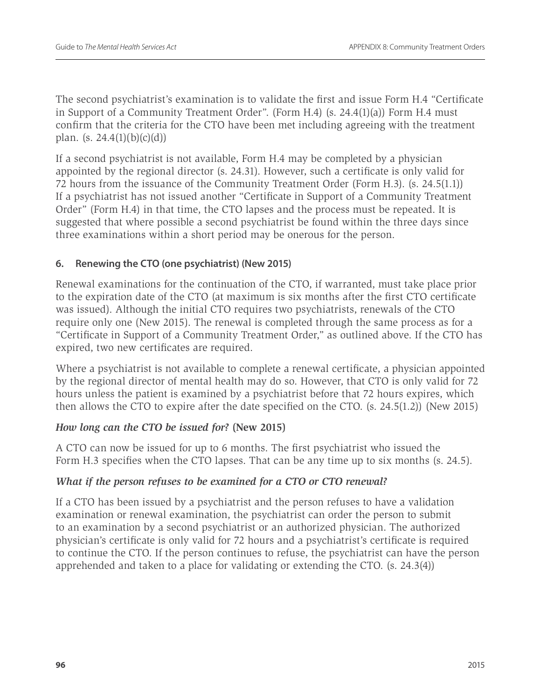The second psychiatrist's examination is to validate the first and issue Form H.4 "Certificate in Support of a Community Treatment Order". (Form H.4) (s. 24.4(1)(a)) Form H.4 must confirm that the criteria for the CTO have been met including agreeing with the treatment plan. (s. 24.4(1)(b)(c)(d))

If a second psychiatrist is not available, Form H.4 may be completed by a physician appointed by the regional director (s. 24.31). However, such a certificate is only valid for 72 hours from the issuance of the Community Treatment Order (Form H.3). (s. 24.5(1.1)) If a psychiatrist has not issued another "Certificate in Support of a Community Treatment Order" (Form H.4) in that time, the CTO lapses and the process must be repeated. It is suggested that where possible a second psychiatrist be found within the three days since three examinations within a short period may be onerous for the person.

# **6. Renewing the CTO (one psychiatrist) (New 2015)**

Renewal examinations for the continuation of the CTO, if warranted, must take place prior to the expiration date of the CTO (at maximum is six months after the first CTO certificate was issued). Although the initial CTO requires two psychiatrists, renewals of the CTO require only one (New 2015). The renewal is completed through the same process as for a "Certificate in Support of a Community Treatment Order," as outlined above. If the CTO has expired, two new certificates are required.

Where a psychiatrist is not available to complete a renewal certificate, a physician appointed by the regional director of mental health may do so. However, that CTO is only valid for 72 hours unless the patient is examined by a psychiatrist before that 72 hours expires, which then allows the CTO to expire after the date specified on the CTO. (s. 24.5(1.2)) (New 2015)

# *How long can the CTO be issued for?* **(New 2015)**

A CTO can now be issued for up to 6 months. The first psychiatrist who issued the Form H.3 specifies when the CTO lapses. That can be any time up to six months (s. 24.5).

# *What if the person refuses to be examined for a CTO or CTO renewal?*

If a CTO has been issued by a psychiatrist and the person refuses to have a validation examination or renewal examination, the psychiatrist can order the person to submit to an examination by a second psychiatrist or an authorized physician. The authorized physician's certificate is only valid for 72 hours and a psychiatrist's certificate is required to continue the CTO. If the person continues to refuse, the psychiatrist can have the person apprehended and taken to a place for validating or extending the CTO. (s. 24.3(4))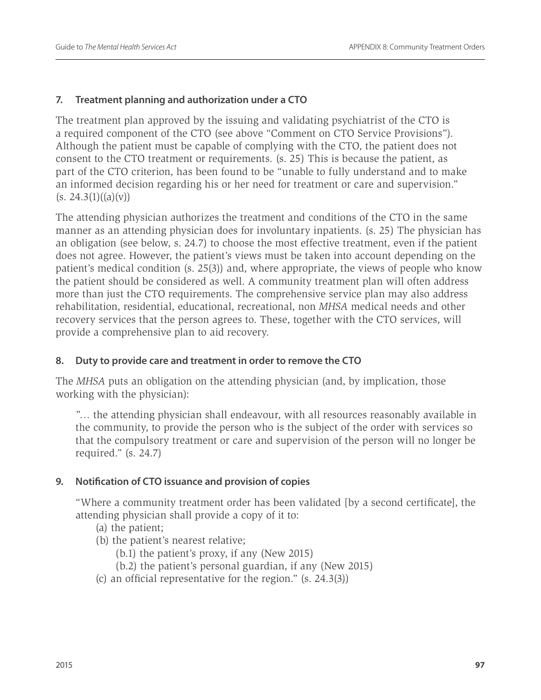# **7. Treatment planning and authorization under a CTO**

The treatment plan approved by the issuing and validating psychiatrist of the CTO is a required component of the CTO (see above "Comment on CTO Service Provisions"). Although the patient must be capable of complying with the CTO, the patient does not consent to the CTO treatment or requirements. (s. 25) This is because the patient, as part of the CTO criterion, has been found to be "unable to fully understand and to make an informed decision regarding his or her need for treatment or care and supervision."  $(s. 24.3(1)((a)(v))$ 

The attending physician authorizes the treatment and conditions of the CTO in the same manner as an attending physician does for involuntary inpatients. (s. 25) The physician has an obligation (see below, s. 24.7) to choose the most effective treatment, even if the patient does not agree. However, the patient's views must be taken into account depending on the patient's medical condition (s. 25(3)) and, where appropriate, the views of people who know the patient should be considered as well. A community treatment plan will often address more than just the CTO requirements. The comprehensive service plan may also address rehabilitation, residential, educational, recreational, non *MHSA* medical needs and other recovery services that the person agrees to. These, together with the CTO services, will provide a comprehensive plan to aid recovery.

# **8. Duty to provide care and treatment in order to remove the CTO**

The *MHSA* puts an obligation on the attending physician (and, by implication, those working with the physician):

"… the attending physician shall endeavour, with all resources reasonably available in the community, to provide the person who is the subject of the order with services so that the compulsory treatment or care and supervision of the person will no longer be required." (s. 24.7)

# **9. Notification of CTO issuance and provision of copies**

"Where a community treatment order has been validated [by a second certificate], the attending physician shall provide a copy of it to:

- (a) the patient;
- (b) the patient's nearest relative;
	- (b.1) the patient's proxy, if any (New 2015)
	- (b.2) the patient's personal guardian, if any (New 2015)
- (c) an official representative for the region." (s. 24.3(3))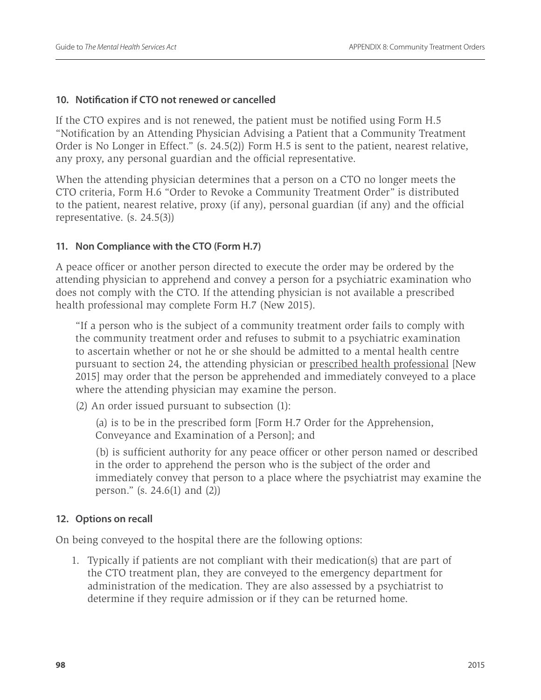#### **10. Notification if CTO not renewed or cancelled**

If the CTO expires and is not renewed, the patient must be notified using Form H.5 "Notification by an Attending Physician Advising a Patient that a Community Treatment Order is No Longer in Effect." (s. 24.5(2)) Form H.5 is sent to the patient, nearest relative, any proxy, any personal guardian and the official representative.

When the attending physician determines that a person on a CTO no longer meets the CTO criteria, Form H.6 "Order to Revoke a Community Treatment Order" is distributed to the patient, nearest relative, proxy (if any), personal guardian (if any) and the official representative. (s. 24.5(3))

# **11. Non Compliance with the CTO (Form H.7)**

A peace officer or another person directed to execute the order may be ordered by the attending physician to apprehend and convey a person for a psychiatric examination who does not comply with the CTO. If the attending physician is not available a prescribed health professional may complete Form H.7 (New 2015).

"If a person who is the subject of a community treatment order fails to comply with the community treatment order and refuses to submit to a psychiatric examination to ascertain whether or not he or she should be admitted to a mental health centre pursuant to section 24, the attending physician or prescribed health professional [New 2015] may order that the person be apprehended and immediately conveyed to a place where the attending physician may examine the person.

(2) An order issued pursuant to subsection (1):

(a) is to be in the prescribed form [Form H.7 Order for the Apprehension, Conveyance and Examination of a Person]; and

(b) is sufficient authority for any peace officer or other person named or described in the order to apprehend the person who is the subject of the order and immediately convey that person to a place where the psychiatrist may examine the person." (s. 24.6(1) and (2))

#### **12. Options on recall**

On being conveyed to the hospital there are the following options:

1. Typically if patients are not compliant with their medication(s) that are part of the CTO treatment plan, they are conveyed to the emergency department for administration of the medication. They are also assessed by a psychiatrist to determine if they require admission or if they can be returned home.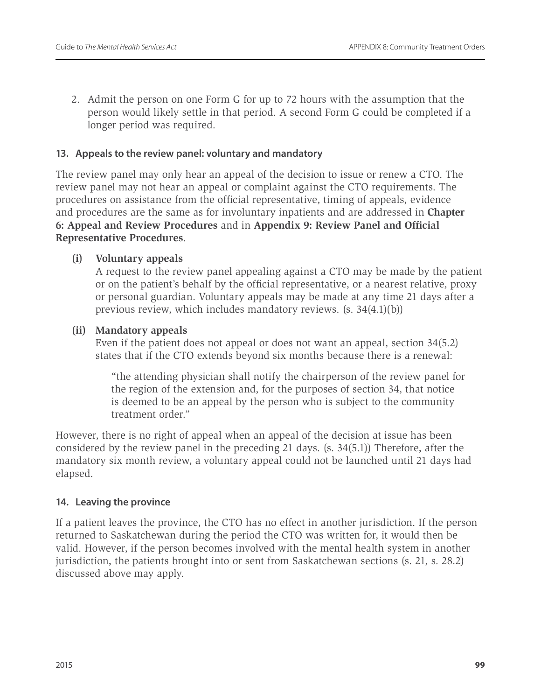2. Admit the person on one Form G for up to 72 hours with the assumption that the person would likely settle in that period. A second Form G could be completed if a longer period was required.

#### **13. Appeals to the review panel: voluntary and mandatory**

The review panel may only hear an appeal of the decision to issue or renew a CTO. The review panel may not hear an appeal or complaint against the CTO requirements. The procedures on assistance from the official representative, timing of appeals, evidence and procedures are the same as for involuntary inpatients and are addressed in **Chapter 6: Appeal and Review Procedures** and in **Appendix 9: Review Panel and Official Representative Procedures**.

# **(i) Voluntary appeals**

A request to the review panel appealing against a CTO may be made by the patient or on the patient's behalf by the official representative, or a nearest relative, proxy or personal guardian. Voluntary appeals may be made at any time 21 days after a previous review, which includes mandatory reviews. (s. 34(4.1)(b))

# **(ii) Mandatory appeals**

Even if the patient does not appeal or does not want an appeal, section 34(5.2) states that if the CTO extends beyond six months because there is a renewal:

"the attending physician shall notify the chairperson of the review panel for the region of the extension and, for the purposes of section 34, that notice is deemed to be an appeal by the person who is subject to the community treatment order."

However, there is no right of appeal when an appeal of the decision at issue has been considered by the review panel in the preceding 21 days. (s. 34(5.1)) Therefore, after the mandatory six month review, a voluntary appeal could not be launched until 21 days had elapsed.

# **14. Leaving the province**

If a patient leaves the province, the CTO has no effect in another jurisdiction. If the person returned to Saskatchewan during the period the CTO was written for, it would then be valid. However, if the person becomes involved with the mental health system in another jurisdiction, the patients brought into or sent from Saskatchewan sections (s. 21, s. 28.2) discussed above may apply.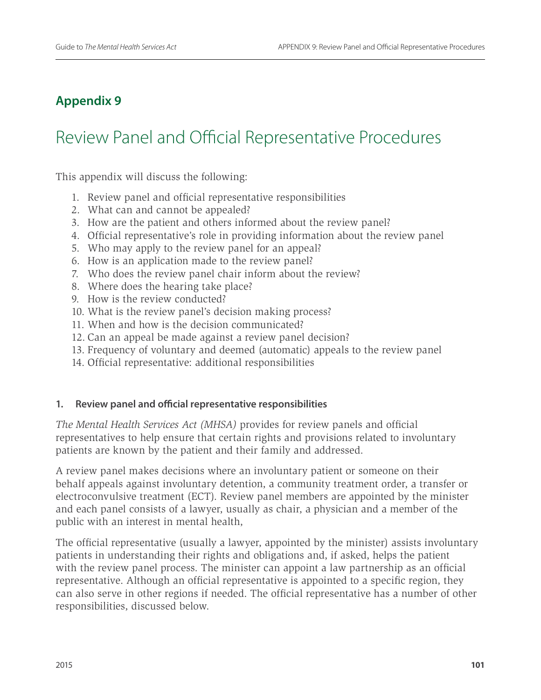# **Appendix 9**

# Review Panel and Official Representative Procedures

This appendix will discuss the following:

- 1. Review panel and official representative responsibilities
- 2. What can and cannot be appealed?
- 3. How are the patient and others informed about the review panel?
- 4. Official representative's role in providing information about the review panel
- 5. Who may apply to the review panel for an appeal?
- 6. How is an application made to the review panel?
- 7. Who does the review panel chair inform about the review?
- 8. Where does the hearing take place?
- 9. How is the review conducted?
- 10. What is the review panel's decision making process?
- 11. When and how is the decision communicated?
- 12. Can an appeal be made against a review panel decision?
- 13. Frequency of voluntary and deemed (automatic) appeals to the review panel
- 14. Official representative: additional responsibilities

#### **1. Review panel and official representative responsibilities**

*The Mental Health Services Act (MHSA)* provides for review panels and official representatives to help ensure that certain rights and provisions related to involuntary patients are known by the patient and their family and addressed.

A review panel makes decisions where an involuntary patient or someone on their behalf appeals against involuntary detention, a community treatment order, a transfer or electroconvulsive treatment (ECT). Review panel members are appointed by the minister and each panel consists of a lawyer, usually as chair, a physician and a member of the public with an interest in mental health,

The official representative (usually a lawyer, appointed by the minister) assists involuntary patients in understanding their rights and obligations and, if asked, helps the patient with the review panel process. The minister can appoint a law partnership as an official representative. Although an official representative is appointed to a specific region, they can also serve in other regions if needed. The official representative has a number of other responsibilities, discussed below.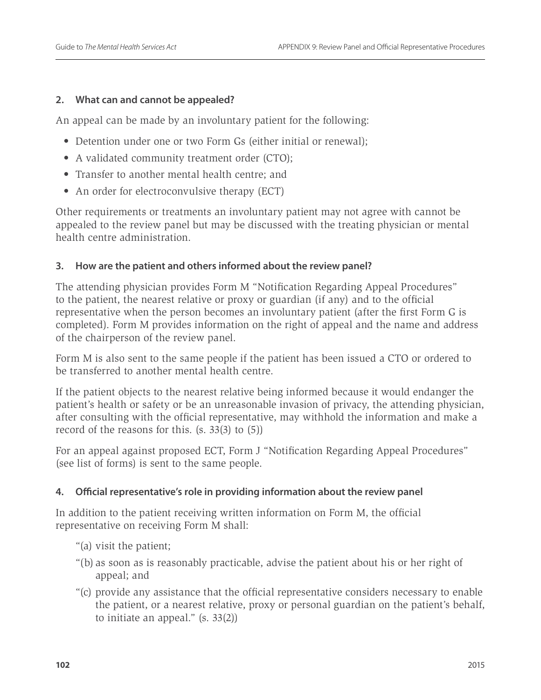#### **2. What can and cannot be appealed?**

An appeal can be made by an involuntary patient for the following:

- Detention under one or two Form Gs (either initial or renewal);
- A validated community treatment order (CTO);
- Transfer to another mental health centre; and
- An order for electroconvulsive therapy (ECT)

Other requirements or treatments an involuntary patient may not agree with cannot be appealed to the review panel but may be discussed with the treating physician or mental health centre administration.

#### **3. How are the patient and others informed about the review panel?**

The attending physician provides Form M "Notification Regarding Appeal Procedures" to the patient, the nearest relative or proxy or guardian (if any) and to the official representative when the person becomes an involuntary patient (after the first Form G is completed). Form M provides information on the right of appeal and the name and address of the chairperson of the review panel.

Form M is also sent to the same people if the patient has been issued a CTO or ordered to be transferred to another mental health centre.

If the patient objects to the nearest relative being informed because it would endanger the patient's health or safety or be an unreasonable invasion of privacy, the attending physician, after consulting with the official representative, may withhold the information and make a record of the reasons for this. (s. 33(3) to (5))

For an appeal against proposed ECT, Form J "Notification Regarding Appeal Procedures" (see list of forms) is sent to the same people.

# **4. Official representative's role in providing information about the review panel**

In addition to the patient receiving written information on Form M, the official representative on receiving Form M shall:

- "(a) visit the patient;
- "(b) as soon as is reasonably practicable, advise the patient about his or her right of appeal; and
- "(c) provide any assistance that the official representative considers necessary to enable the patient, or a nearest relative, proxy or personal guardian on the patient's behalf, to initiate an appeal." (s. 33(2))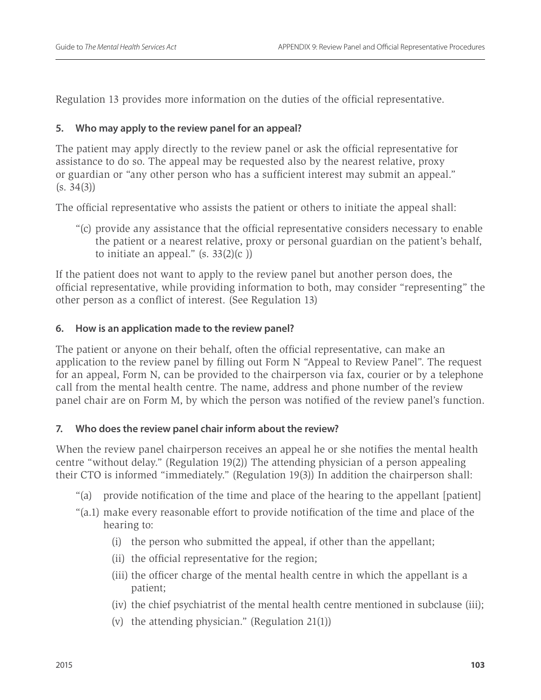Regulation 13 provides more information on the duties of the official representative.

# **5. Who may apply to the review panel for an appeal?**

The patient may apply directly to the review panel or ask the official representative for assistance to do so. The appeal may be requested also by the nearest relative, proxy or guardian or "any other person who has a sufficient interest may submit an appeal."  $(s. 34(3))$ 

The official representative who assists the patient or others to initiate the appeal shall:

"(c) provide any assistance that the official representative considers necessary to enable the patient or a nearest relative, proxy or personal guardian on the patient's behalf, to initiate an appeal."  $(s, 33(2)(c))$ 

If the patient does not want to apply to the review panel but another person does, the official representative, while providing information to both, may consider "representing" the other person as a conflict of interest. (See Regulation 13)

# **6. How is an application made to the review panel?**

The patient or anyone on their behalf, often the official representative, can make an application to the review panel by filling out Form N "Appeal to Review Panel". The request for an appeal, Form N, can be provided to the chairperson via fax, courier or by a telephone call from the mental health centre. The name, address and phone number of the review panel chair are on Form M, by which the person was notified of the review panel's function.

# **7. Who does the review panel chair inform about the review?**

When the review panel chairperson receives an appeal he or she notifies the mental health centre "without delay." (Regulation 19(2)) The attending physician of a person appealing their CTO is informed "immediately." (Regulation 19(3)) In addition the chairperson shall:

- "(a) provide notification of the time and place of the hearing to the appellant [patient]
- "(a.1) make every reasonable effort to provide notification of the time and place of the hearing to:
	- (i) the person who submitted the appeal, if other than the appellant;
	- (ii) the official representative for the region;
	- (iii) the officer charge of the mental health centre in which the appellant is a patient;
	- (iv) the chief psychiatrist of the mental health centre mentioned in subclause (iii);
	- (v) the attending physician." (Regulation 21(1))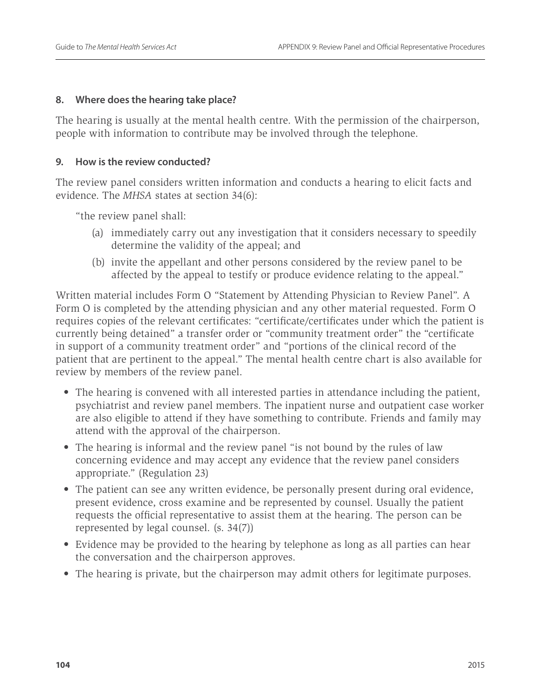#### **8. Where does the hearing take place?**

The hearing is usually at the mental health centre. With the permission of the chairperson, people with information to contribute may be involved through the telephone.

### **9. How is the review conducted?**

The review panel considers written information and conducts a hearing to elicit facts and evidence. The *MHSA* states at section 34(6):

"the review panel shall:

- (a) immediately carry out any investigation that it considers necessary to speedily determine the validity of the appeal; and
- (b) invite the appellant and other persons considered by the review panel to be affected by the appeal to testify or produce evidence relating to the appeal."

Written material includes Form O "Statement by Attending Physician to Review Panel". A Form O is completed by the attending physician and any other material requested. Form O requires copies of the relevant certificates: "certificate/certificates under which the patient is currently being detained" a transfer order or "community treatment order" the "certificate in support of a community treatment order" and "portions of the clinical record of the patient that are pertinent to the appeal." The mental health centre chart is also available for review by members of the review panel.

- The hearing is convened with all interested parties in attendance including the patient, psychiatrist and review panel members. The inpatient nurse and outpatient case worker are also eligible to attend if they have something to contribute. Friends and family may attend with the approval of the chairperson.
- The hearing is informal and the review panel "is not bound by the rules of law concerning evidence and may accept any evidence that the review panel considers appropriate." (Regulation 23)
- The patient can see any written evidence, be personally present during oral evidence, present evidence, cross examine and be represented by counsel. Usually the patient requests the official representative to assist them at the hearing. The person can be represented by legal counsel. (s. 34(7))
- Evidence may be provided to the hearing by telephone as long as all parties can hear the conversation and the chairperson approves.
- The hearing is private, but the chairperson may admit others for legitimate purposes.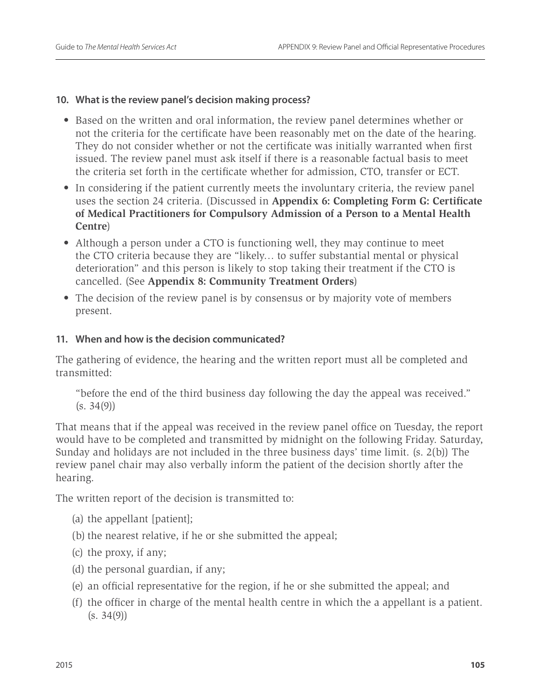#### **10. What is the review panel's decision making process?**

- Based on the written and oral information, the review panel determines whether or not the criteria for the certificate have been reasonably met on the date of the hearing. They do not consider whether or not the certificate was initially warranted when first issued. The review panel must ask itself if there is a reasonable factual basis to meet the criteria set forth in the certificate whether for admission, CTO, transfer or ECT.
- In considering if the patient currently meets the involuntary criteria, the review panel uses the section 24 criteria. (Discussed in **Appendix 6: Completing Form G: Certificate of Medical Practitioners for Compulsory Admission of a Person to a Mental Health Centre**)
- Although a person under a CTO is functioning well, they may continue to meet the CTO criteria because they are "likely… to suffer substantial mental or physical deterioration" and this person is likely to stop taking their treatment if the CTO is cancelled. (See **Appendix 8: Community Treatment Orders**)
- The decision of the review panel is by consensus or by majority vote of members present.

#### **11. When and how is the decision communicated?**

The gathering of evidence, the hearing and the written report must all be completed and transmitted:

"before the end of the third business day following the day the appeal was received."  $(s. 34(9))$ 

That means that if the appeal was received in the review panel office on Tuesday, the report would have to be completed and transmitted by midnight on the following Friday. Saturday, Sunday and holidays are not included in the three business days' time limit. (s. 2(b)) The review panel chair may also verbally inform the patient of the decision shortly after the hearing.

The written report of the decision is transmitted to:

- (a) the appellant [patient];
- (b) the nearest relative, if he or she submitted the appeal;
- (c) the proxy, if any;
- (d) the personal guardian, if any;
- (e) an official representative for the region, if he or she submitted the appeal; and
- (f) the officer in charge of the mental health centre in which the a appellant is a patient.  $(s. 34(9))$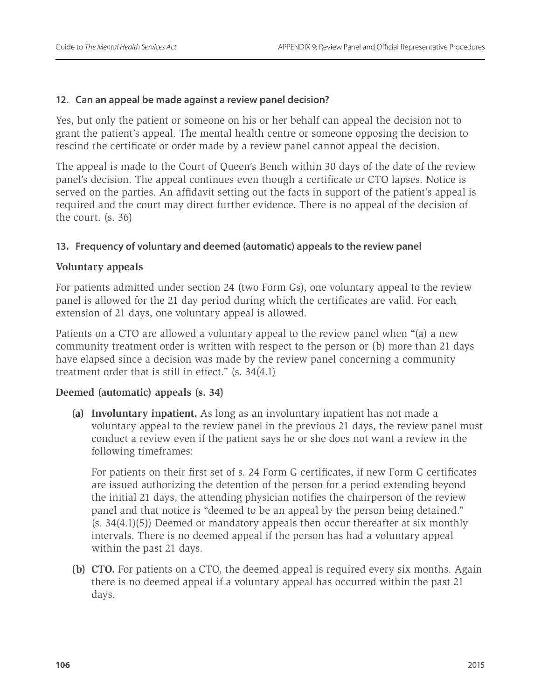#### **12. Can an appeal be made against a review panel decision?**

Yes, but only the patient or someone on his or her behalf can appeal the decision not to grant the patient's appeal. The mental health centre or someone opposing the decision to rescind the certificate or order made by a review panel cannot appeal the decision.

The appeal is made to the Court of Queen's Bench within 30 days of the date of the review panel's decision. The appeal continues even though a certificate or CTO lapses. Notice is served on the parties. An affidavit setting out the facts in support of the patient's appeal is required and the court may direct further evidence. There is no appeal of the decision of the court. (s. 36)

#### **13. Frequency of voluntary and deemed (automatic) appeals to the review panel**

#### **Voluntary appeals**

For patients admitted under section 24 (two Form Gs), one voluntary appeal to the review panel is allowed for the 21 day period during which the certificates are valid. For each extension of 21 days, one voluntary appeal is allowed.

Patients on a CTO are allowed a voluntary appeal to the review panel when "(a) a new community treatment order is written with respect to the person or (b) more than 21 days have elapsed since a decision was made by the review panel concerning a community treatment order that is still in effect." (s. 34(4.1)

# **Deemed (automatic) appeals (s. 34)**

**(a) Involuntary inpatient.** As long as an involuntary inpatient has not made a voluntary appeal to the review panel in the previous 21 days, the review panel must conduct a review even if the patient says he or she does not want a review in the following timeframes:

For patients on their first set of s. 24 Form G certificates, if new Form G certificates are issued authorizing the detention of the person for a period extending beyond the initial 21 days, the attending physician notifies the chairperson of the review panel and that notice is "deemed to be an appeal by the person being detained." (s. 34(4.1)(5)) Deemed or mandatory appeals then occur thereafter at six monthly intervals. There is no deemed appeal if the person has had a voluntary appeal within the past 21 days.

**(b) CTO.** For patients on a CTO, the deemed appeal is required every six months. Again there is no deemed appeal if a voluntary appeal has occurred within the past 21 days.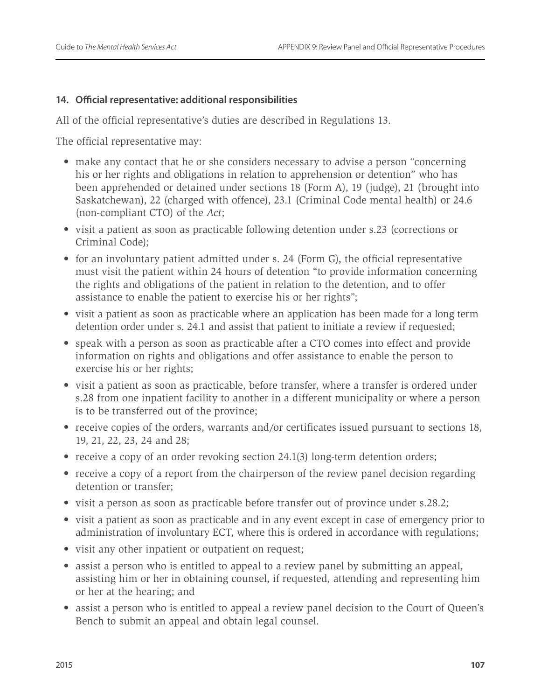#### **14. Official representative: additional responsibilities**

All of the official representative's duties are described in Regulations 13.

The official representative may:

- make any contact that he or she considers necessary to advise a person "concerning his or her rights and obligations in relation to apprehension or detention" who has been apprehended or detained under sections 18 (Form A), 19 (judge), 21 (brought into Saskatchewan), 22 (charged with offence), 23.1 (Criminal Code mental health) or 24.6 (non-compliant CTO) of the *Act*;
- visit a patient as soon as practicable following detention under s.23 (corrections or Criminal Code);
- for an involuntary patient admitted under s. 24 (Form G), the official representative must visit the patient within 24 hours of detention "to provide information concerning the rights and obligations of the patient in relation to the detention, and to offer assistance to enable the patient to exercise his or her rights";
- visit a patient as soon as practicable where an application has been made for a long term detention order under s. 24.1 and assist that patient to initiate a review if requested;
- speak with a person as soon as practicable after a CTO comes into effect and provide information on rights and obligations and offer assistance to enable the person to exercise his or her rights;
- visit a patient as soon as practicable, before transfer, where a transfer is ordered under s.28 from one inpatient facility to another in a different municipality or where a person is to be transferred out of the province;
- receive copies of the orders, warrants and/or certificates issued pursuant to sections 18, 19, 21, 22, 23, 24 and 28;
- receive a copy of an order revoking section 24.1(3) long-term detention orders;
- receive a copy of a report from the chairperson of the review panel decision regarding detention or transfer;
- visit a person as soon as practicable before transfer out of province under s.28.2;
- visit a patient as soon as practicable and in any event except in case of emergency prior to administration of involuntary ECT, where this is ordered in accordance with regulations;
- visit any other inpatient or outpatient on request;
- assist a person who is entitled to appeal to a review panel by submitting an appeal, assisting him or her in obtaining counsel, if requested, attending and representing him or her at the hearing; and
- assist a person who is entitled to appeal a review panel decision to the Court of Queen's Bench to submit an appeal and obtain legal counsel.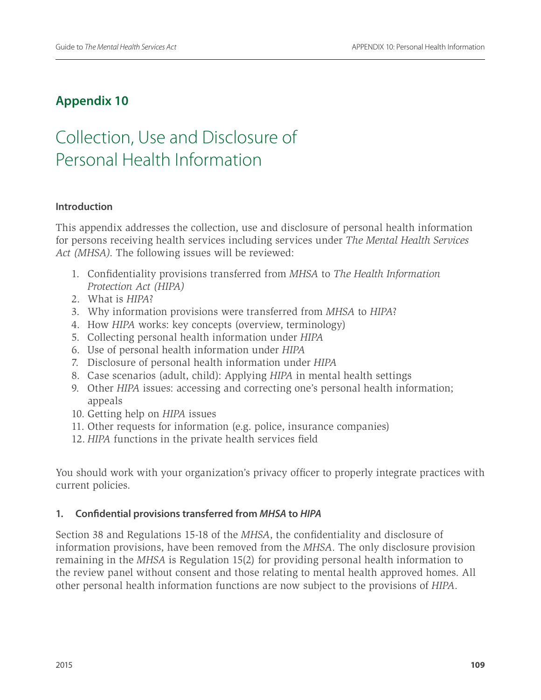# **Appendix 10**

# Collection, Use and Disclosure of Personal Health Information

#### **Introduction**

This appendix addresses the collection, use and disclosure of personal health information for persons receiving health services including services under *The Mental Health Services Act (MHSA)*. The following issues will be reviewed:

- 1. Confidentiality provisions transferred from *MHSA* to *The Health Information Protection Act (HIPA)*
- 2. What is *HIPA*?
- 3. Why information provisions were transferred from *MHSA* to *HIPA*?
- 4. How *HIPA* works: key concepts (overview, terminology)
- 5. Collecting personal health information under *HIPA*
- 6. Use of personal health information under *HIPA*
- 7. Disclosure of personal health information under *HIPA*
- 8. Case scenarios (adult, child): Applying *HIPA* in mental health settings
- 9. Other *HIPA* issues: accessing and correcting one's personal health information; appeals
- 10. Getting help on *HIPA* issues
- 11. Other requests for information (e.g. police, insurance companies)
- 12. *HIPA* functions in the private health services field

You should work with your organization's privacy officer to properly integrate practices with current policies.

# **1. Confidential provisions transferred from** *MHSA* **to** *HIPA*

Section 38 and Regulations 15-18 of the *MHSA*, the confidentiality and disclosure of information provisions, have been removed from the *MHSA*. The only disclosure provision remaining in the *MHSA* is Regulation 15(2) for providing personal health information to the review panel without consent and those relating to mental health approved homes. All other personal health information functions are now subject to the provisions of *HIPA*.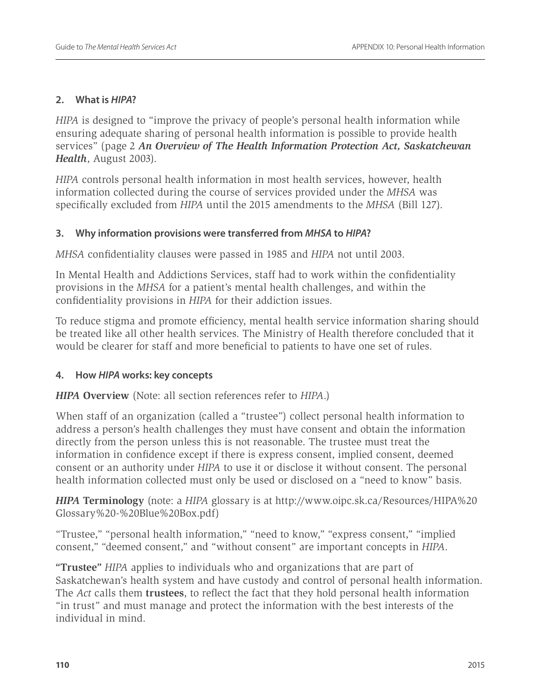#### **2. What is** *HIPA***?**

*HIPA* is designed to "improve the privacy of people's personal health information while ensuring adequate sharing of personal health information is possible to provide health services" (page 2 *An Overview of The Health Information Protection Act, Saskatchewan Health*, August 2003).

*HIPA* controls personal health information in most health services, however, health information collected during the course of services provided under the *MHSA* was specifically excluded from *HIPA* until the 2015 amendments to the *MHSA* (Bill 127).

#### **3. Why information provisions were transferred from** *MHSA* **to** *HIPA***?**

*MHSA* confidentiality clauses were passed in 1985 and *HIPA* not until 2003.

In Mental Health and Addictions Services, staff had to work within the confidentiality provisions in the *MHSA* for a patient's mental health challenges, and within the confidentiality provisions in *HIPA* for their addiction issues.

To reduce stigma and promote efficiency, mental health service information sharing should be treated like all other health services. The Ministry of Health therefore concluded that it would be clearer for staff and more beneficial to patients to have one set of rules.

#### **4. How** *HIPA* **works: key concepts**

*HIPA* **Overview** (Note: all section references refer to *HIPA*.)

When staff of an organization (called a "trustee") collect personal health information to address a person's health challenges they must have consent and obtain the information directly from the person unless this is not reasonable. The trustee must treat the information in confidence except if there is express consent, implied consent, deemed consent or an authority under *HIPA* to use it or disclose it without consent. The personal health information collected must only be used or disclosed on a "need to know" basis.

*HIPA* **Terminology** (note: a *HIPA* glossary is at [http://www.oipc.sk.ca/Resources/HIPA%20](http://www.oipc.sk.ca/Resources/HIPA%20Glossary%20-%20Blue%20Box.pdf) [Glossary%20-%20Blue%20Box.pdf\)](http://www.oipc.sk.ca/Resources/HIPA%20Glossary%20-%20Blue%20Box.pdf)

"Trustee," "personal health information," "need to know," "express consent," "implied consent," "deemed consent," and "without consent" are important concepts in *HIPA*.

**"Trustee"** *HIPA* applies to individuals who and organizations that are part of Saskatchewan's health system and have custody and control of personal health information. The *Act* calls them **trustees**, to reflect the fact that they hold personal health information "in trust" and must manage and protect the information with the best interests of the individual in mind.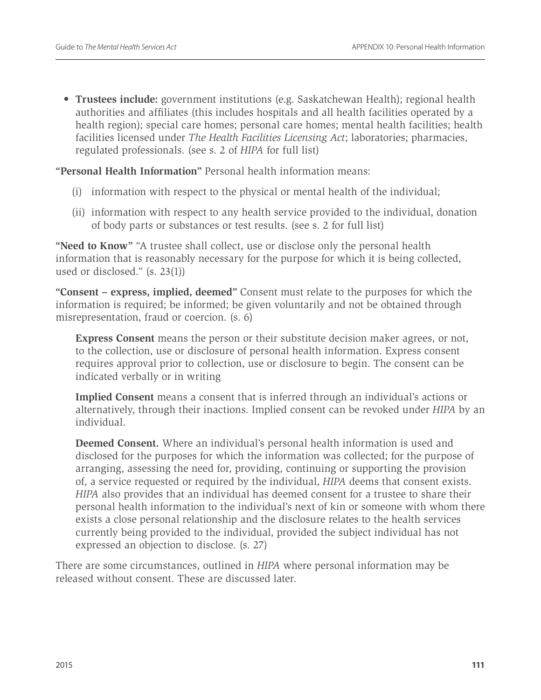• **Trustees include:** government institutions (e.g. Saskatchewan Health); regional health authorities and affiliates (this includes hospitals and all health facilities operated by a health region); special care homes; personal care homes; mental health facilities; health facilities licensed under *The Health Facilities Licensing Act*; laboratories; pharmacies, regulated professionals. (see s. 2 of *HIPA* for full list)

**"Personal Health Information"** Personal health information means:

- (i) information with respect to the physical or mental health of the individual;
- (ii) information with respect to any health service provided to the individual, donation of body parts or substances or test results. (see s. 2 for full list)

**"Need to Know"** "A trustee shall collect, use or disclose only the personal health information that is reasonably necessary for the purpose for which it is being collected, used or disclosed." (s. 23(1))

**"Consent – express, implied, deemed"** Consent must relate to the purposes for which the information is required; be informed; be given voluntarily and not be obtained through misrepresentation, fraud or coercion. (s. 6)

**Express Consent** means the person or their substitute decision maker agrees, or not, to the collection, use or disclosure of personal health information. Express consent requires approval prior to collection, use or disclosure to begin. The consent can be indicated verbally or in writing

**Implied Consent** means a consent that is inferred through an individual's actions or alternatively, through their inactions. Implied consent can be revoked under *HIPA* by an individual.

**Deemed Consent.** Where an individual's personal health information is used and disclosed for the purposes for which the information was collected; for the purpose of arranging, assessing the need for, providing, continuing or supporting the provision of, a service requested or required by the individual, *HIPA* deems that consent exists. *HIPA* also provides that an individual has deemed consent for a trustee to share their personal health information to the individual's next of kin or someone with whom there exists a close personal relationship and the disclosure relates to the health services currently being provided to the individual, provided the subject individual has not expressed an objection to disclose. (s. 27)

There are some circumstances, outlined in *HIPA* where personal information may be released without consent. These are discussed later.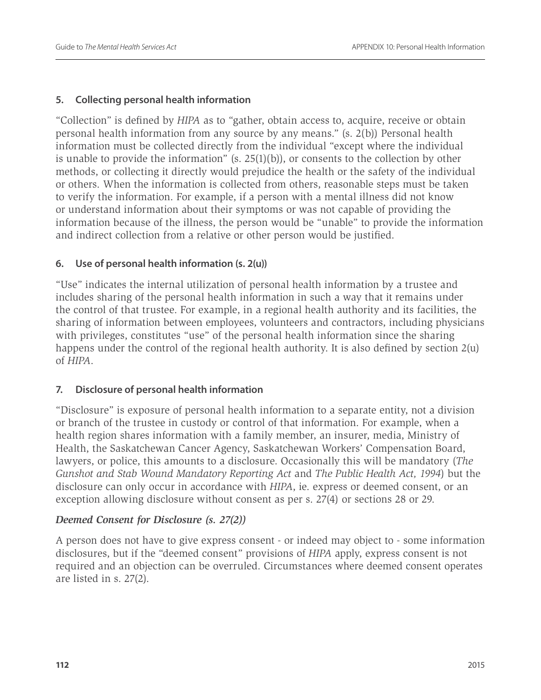#### **5. Collecting personal health information**

"Collection" is defined by *HIPA* as to "gather, obtain access to, acquire, receive or obtain personal health information from any source by any means." (s. 2(b)) Personal health information must be collected directly from the individual "except where the individual is unable to provide the information"  $(s. 25(1)(b))$ , or consents to the collection by other methods, or collecting it directly would prejudice the health or the safety of the individual or others. When the information is collected from others, reasonable steps must be taken to verify the information. For example, if a person with a mental illness did not know or understand information about their symptoms or was not capable of providing the information because of the illness, the person would be "unable" to provide the information and indirect collection from a relative or other person would be justified.

#### **6. Use of personal health information (s. 2(u))**

"Use" indicates the internal utilization of personal health information by a trustee and includes sharing of the personal health information in such a way that it remains under the control of that trustee. For example, in a regional health authority and its facilities, the sharing of information between employees, volunteers and contractors, including physicians with privileges, constitutes "use" of the personal health information since the sharing happens under the control of the regional health authority. It is also defined by section 2(u) of *HIPA*.

# **7. Disclosure of personal health information**

"Disclosure" is exposure of personal health information to a separate entity, not a division or branch of the trustee in custody or control of that information. For example, when a health region shares information with a family member, an insurer, media, Ministry of Health, the Saskatchewan Cancer Agency, Saskatchewan Workers' Compensation Board, lawyers, or police, this amounts to a disclosure. Occasionally this will be mandatory (*The Gunshot and Stab Wound Mandatory Reporting Act* and *The Public Health Act, 1994*) but the disclosure can only occur in accordance with *HIPA*, ie. express or deemed consent, or an exception allowing disclosure without consent as per s. 27(4) or sections 28 or 29.

# *Deemed Consent for Disclosure (s. 27(2))*

A person does not have to give express consent - or indeed may object to - some information disclosures, but if the "deemed consent" provisions of *HIPA* apply, express consent is not required and an objection can be overruled. Circumstances where deemed consent operates are listed in s. 27(2).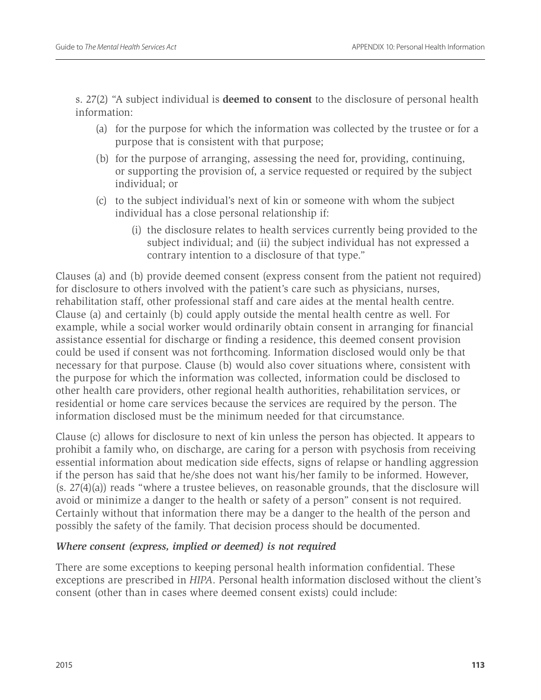s. 27(2) "A subject individual is **deemed to consent** to the disclosure of personal health information:

- (a) for the purpose for which the information was collected by the trustee or for a purpose that is consistent with that purpose;
- (b) for the purpose of arranging, assessing the need for, providing, continuing, or supporting the provision of, a service requested or required by the subject individual; or
- (c) to the subject individual's next of kin or someone with whom the subject individual has a close personal relationship if:
	- (i) the disclosure relates to health services currently being provided to the subject individual; and (ii) the subject individual has not expressed a contrary intention to a disclosure of that type."

Clauses (a) and (b) provide deemed consent (express consent from the patient not required) for disclosure to others involved with the patient's care such as physicians, nurses, rehabilitation staff, other professional staff and care aides at the mental health centre. Clause (a) and certainly (b) could apply outside the mental health centre as well. For example, while a social worker would ordinarily obtain consent in arranging for financial assistance essential for discharge or finding a residence, this deemed consent provision could be used if consent was not forthcoming. Information disclosed would only be that necessary for that purpose. Clause (b) would also cover situations where, consistent with the purpose for which the information was collected, information could be disclosed to other health care providers, other regional health authorities, rehabilitation services, or residential or home care services because the services are required by the person. The information disclosed must be the minimum needed for that circumstance.

Clause (c) allows for disclosure to next of kin unless the person has objected. It appears to prohibit a family who, on discharge, are caring for a person with psychosis from receiving essential information about medication side effects, signs of relapse or handling aggression if the person has said that he/she does not want his/her family to be informed. However, (s. 27(4)(a)) reads "where a trustee believes, on reasonable grounds, that the disclosure will avoid or minimize a danger to the health or safety of a person" consent is not required. Certainly without that information there may be a danger to the health of the person and possibly the safety of the family. That decision process should be documented.

# *Where consent (express, implied or deemed) is not required*

There are some exceptions to keeping personal health information confidential. These exceptions are prescribed in *HIPA*. Personal health information disclosed without the client's consent (other than in cases where deemed consent exists) could include: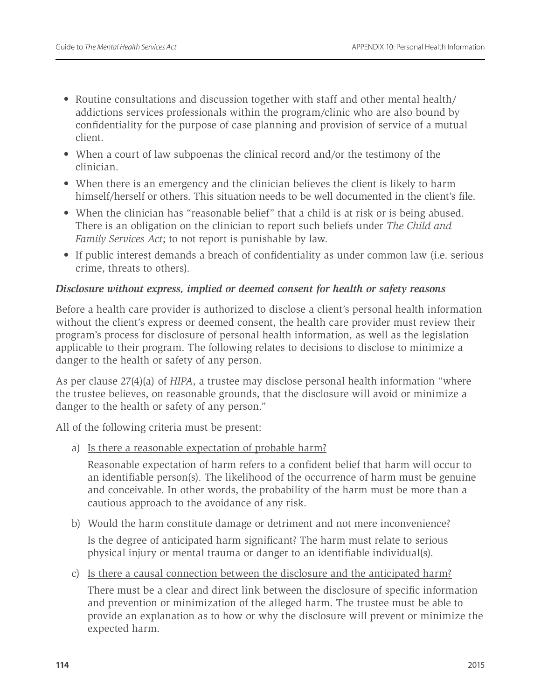- Routine consultations and discussion together with staff and other mental health/ addictions services professionals within the program/clinic who are also bound by confidentiality for the purpose of case planning and provision of service of a mutual client.
- When a court of law subpoenas the clinical record and/or the testimony of the clinician.
- When there is an emergency and the clinician believes the client is likely to harm himself/herself or others. This situation needs to be well documented in the client's file.
- When the clinician has "reasonable belief" that a child is at risk or is being abused. There is an obligation on the clinician to report such beliefs under *The Child and Family Services Act*; to not report is punishable by law.
- If public interest demands a breach of confidentiality as under common law (i.e. serious crime, threats to others).

# *Disclosure without express, implied or deemed consent for health or safety reasons*

Before a health care provider is authorized to disclose a client's personal health information without the client's express or deemed consent, the health care provider must review their program's process for disclosure of personal health information, as well as the legislation applicable to their program. The following relates to decisions to disclose to minimize a danger to the health or safety of any person.

As per clause 27(4)(a) of *HIPA*, a trustee may disclose personal health information "where the trustee believes, on reasonable grounds, that the disclosure will avoid or minimize a danger to the health or safety of any person."

All of the following criteria must be present:

a) Is there a reasonable expectation of probable harm?

Reasonable expectation of harm refers to a confident belief that harm will occur to an identifiable person(s). The likelihood of the occurrence of harm must be genuine and conceivable. In other words, the probability of the harm must be more than a cautious approach to the avoidance of any risk.

- b) Would the harm constitute damage or detriment and not mere inconvenience? Is the degree of anticipated harm significant? The harm must relate to serious physical injury or mental trauma or danger to an identifiable individual(s).
- c) Is there a causal connection between the disclosure and the anticipated harm?

There must be a clear and direct link between the disclosure of specific information and prevention or minimization of the alleged harm. The trustee must be able to provide an explanation as to how or why the disclosure will prevent or minimize the expected harm.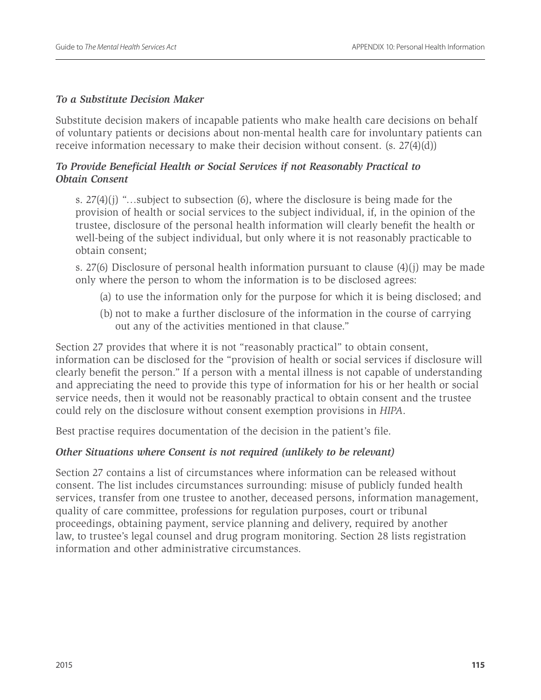#### *To a Substitute Decision Maker*

Substitute decision makers of incapable patients who make health care decisions on behalf of voluntary patients or decisions about non-mental health care for involuntary patients can receive information necessary to make their decision without consent. (s. 27(4)(d))

# *To Provide Beneficial Health or Social Services if not Reasonably Practical to Obtain Consent*

s. 27(4)(j) "…subject to subsection (6), where the disclosure is being made for the provision of health or social services to the subject individual, if, in the opinion of the trustee, disclosure of the personal health information will clearly benefit the health or well-being of the subject individual, but only where it is not reasonably practicable to obtain consent;

s. 27(6) Disclosure of personal health information pursuant to clause (4)(j) may be made only where the person to whom the information is to be disclosed agrees:

- (a) to use the information only for the purpose for which it is being disclosed; and
- (b) not to make a further disclosure of the information in the course of carrying out any of the activities mentioned in that clause."

Section 27 provides that where it is not "reasonably practical" to obtain consent, information can be disclosed for the "provision of health or social services if disclosure will clearly benefit the person." If a person with a mental illness is not capable of understanding and appreciating the need to provide this type of information for his or her health or social service needs, then it would not be reasonably practical to obtain consent and the trustee could rely on the disclosure without consent exemption provisions in *HIPA*.

Best practise requires documentation of the decision in the patient's file.

# *Other Situations where Consent is not required (unlikely to be relevant)*

Section 27 contains a list of circumstances where information can be released without consent. The list includes circumstances surrounding: misuse of publicly funded health services, transfer from one trustee to another, deceased persons, information management, quality of care committee, professions for regulation purposes, court or tribunal proceedings, obtaining payment, service planning and delivery, required by another law, to trustee's legal counsel and drug program monitoring. Section 28 lists registration information and other administrative circumstances.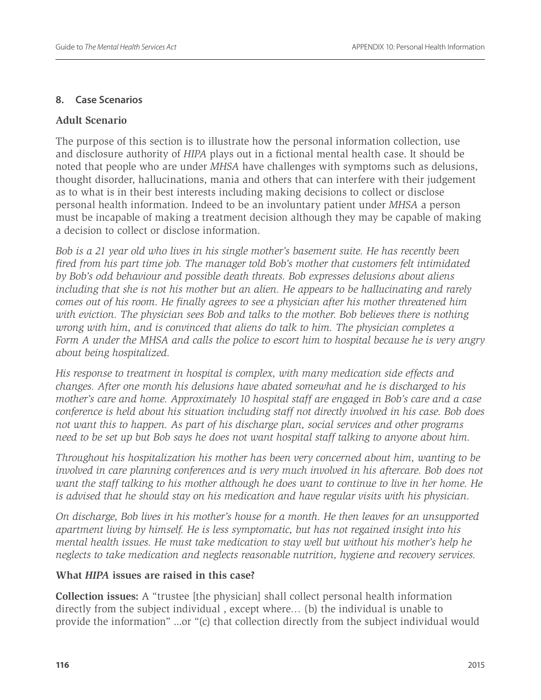### **8. Case Scenarios**

### **Adult Scenario**

The purpose of this section is to illustrate how the personal information collection, use and disclosure authority of *HIPA* plays out in a fictional mental health case. It should be noted that people who are under *MHSA* have challenges with symptoms such as delusions, thought disorder, hallucinations, mania and others that can interfere with their judgement as to what is in their best interests including making decisions to collect or disclose personal health information. Indeed to be an involuntary patient under *MHSA* a person must be incapable of making a treatment decision although they may be capable of making a decision to collect or disclose information.

*Bob is a 21 year old who lives in his single mother's basement suite. He has recently been fired from his part time job. The manager told Bob's mother that customers felt intimidated by Bob's odd behaviour and possible death threats. Bob expresses delusions about aliens including that she is not his mother but an alien. He appears to be hallucinating and rarely comes out of his room. He finally agrees to see a physician after his mother threatened him with eviction. The physician sees Bob and talks to the mother. Bob believes there is nothing wrong with him, and is convinced that aliens do talk to him. The physician completes a Form A under the MHSA and calls the police to escort him to hospital because he is very angry about being hospitalized.* 

*His response to treatment in hospital is complex, with many medication side effects and changes. After one month his delusions have abated somewhat and he is discharged to his mother's care and home. Approximately 10 hospital staff are engaged in Bob's care and a case conference is held about his situation including staff not directly involved in his case. Bob does not want this to happen. As part of his discharge plan, social services and other programs need to be set up but Bob says he does not want hospital staff talking to anyone about him.* 

*Throughout his hospitalization his mother has been very concerned about him, wanting to be involved in care planning conferences and is very much involved in his aftercare. Bob does not want the staff talking to his mother although he does want to continue to live in her home. He is advised that he should stay on his medication and have regular visits with his physician.*

*On discharge, Bob lives in his mother's house for a month. He then leaves for an unsupported apartment living by himself. He is less symptomatic, but has not regained insight into his mental health issues. He must take medication to stay well but without his mother's help he neglects to take medication and neglects reasonable nutrition, hygiene and recovery services.*

# **What** *HIPA* **issues are raised in this case?**

**Collection issues:** A "trustee [the physician] shall collect personal health information directly from the subject individual , except where… (b) the individual is unable to provide the information" ...or "(c) that collection directly from the subject individual would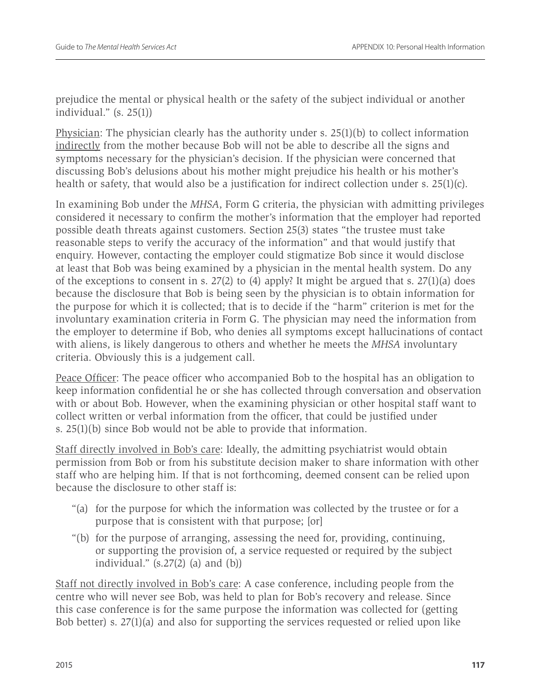prejudice the mental or physical health or the safety of the subject individual or another individual." (s. 25(1))

Physician: The physician clearly has the authority under s. 25(1)(b) to collect information indirectly from the mother because Bob will not be able to describe all the signs and symptoms necessary for the physician's decision. If the physician were concerned that discussing Bob's delusions about his mother might prejudice his health or his mother's health or safety, that would also be a justification for indirect collection under s. 25(1)(c).

In examining Bob under the *MHSA*, Form G criteria, the physician with admitting privileges considered it necessary to confirm the mother's information that the employer had reported possible death threats against customers. Section 25(3) states "the trustee must take reasonable steps to verify the accuracy of the information" and that would justify that enquiry. However, contacting the employer could stigmatize Bob since it would disclose at least that Bob was being examined by a physician in the mental health system. Do any of the exceptions to consent in s. 27(2) to (4) apply? It might be argued that s. 27(1)(a) does because the disclosure that Bob is being seen by the physician is to obtain information for the purpose for which it is collected; that is to decide if the "harm" criterion is met for the involuntary examination criteria in Form G. The physician may need the information from the employer to determine if Bob, who denies all symptoms except hallucinations of contact with aliens, is likely dangerous to others and whether he meets the *MHSA* involuntary criteria. Obviously this is a judgement call.

Peace Officer: The peace officer who accompanied Bob to the hospital has an obligation to keep information confidential he or she has collected through conversation and observation with or about Bob. However, when the examining physician or other hospital staff want to collect written or verbal information from the officer, that could be justified under s. 25(1)(b) since Bob would not be able to provide that information.

Staff directly involved in Bob's care: Ideally, the admitting psychiatrist would obtain permission from Bob or from his substitute decision maker to share information with other staff who are helping him. If that is not forthcoming, deemed consent can be relied upon because the disclosure to other staff is:

- "(a) for the purpose for which the information was collected by the trustee or for a purpose that is consistent with that purpose; [or]
- "(b) for the purpose of arranging, assessing the need for, providing, continuing, or supporting the provision of, a service requested or required by the subject individual."  $(s.27(2)$  (a) and  $(b)$ )

Staff not directly involved in Bob's care: A case conference, including people from the centre who will never see Bob, was held to plan for Bob's recovery and release. Since this case conference is for the same purpose the information was collected for (getting Bob better) s. 27(1)(a) and also for supporting the services requested or relied upon like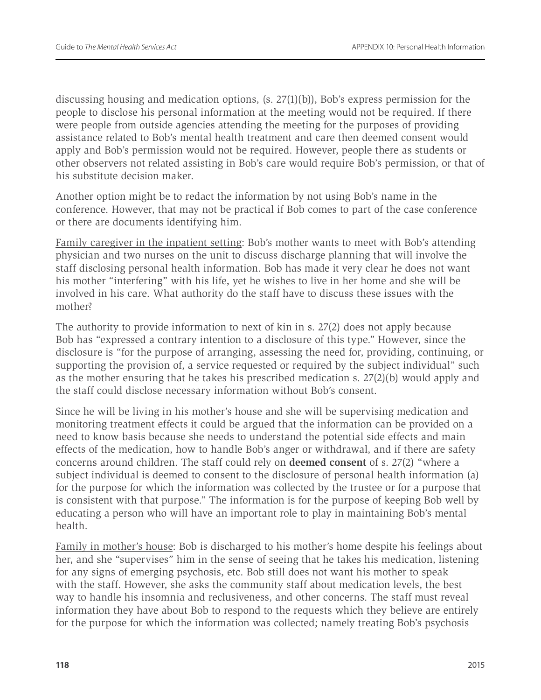discussing housing and medication options, (s. 27(1)(b)), Bob's express permission for the people to disclose his personal information at the meeting would not be required. If there were people from outside agencies attending the meeting for the purposes of providing assistance related to Bob's mental health treatment and care then deemed consent would apply and Bob's permission would not be required. However, people there as students or other observers not related assisting in Bob's care would require Bob's permission, or that of his substitute decision maker.

Another option might be to redact the information by not using Bob's name in the conference. However, that may not be practical if Bob comes to part of the case conference or there are documents identifying him.

Family caregiver in the inpatient setting: Bob's mother wants to meet with Bob's attending physician and two nurses on the unit to discuss discharge planning that will involve the staff disclosing personal health information. Bob has made it very clear he does not want his mother "interfering" with his life, yet he wishes to live in her home and she will be involved in his care. What authority do the staff have to discuss these issues with the mother?

The authority to provide information to next of kin in s. 27(2) does not apply because Bob has "expressed a contrary intention to a disclosure of this type." However, since the disclosure is "for the purpose of arranging, assessing the need for, providing, continuing, or supporting the provision of, a service requested or required by the subject individual" such as the mother ensuring that he takes his prescribed medication s. 27(2)(b) would apply and the staff could disclose necessary information without Bob's consent.

Since he will be living in his mother's house and she will be supervising medication and monitoring treatment effects it could be argued that the information can be provided on a need to know basis because she needs to understand the potential side effects and main effects of the medication, how to handle Bob's anger or withdrawal, and if there are safety concerns around children. The staff could rely on **deemed consent** of s. 27(2) "where a subject individual is deemed to consent to the disclosure of personal health information (a) for the purpose for which the information was collected by the trustee or for a purpose that is consistent with that purpose." The information is for the purpose of keeping Bob well by educating a person who will have an important role to play in maintaining Bob's mental health.

Family in mother's house: Bob is discharged to his mother's home despite his feelings about her, and she "supervises" him in the sense of seeing that he takes his medication, listening for any signs of emerging psychosis, etc. Bob still does not want his mother to speak with the staff. However, she asks the community staff about medication levels, the best way to handle his insomnia and reclusiveness, and other concerns. The staff must reveal information they have about Bob to respond to the requests which they believe are entirely for the purpose for which the information was collected; namely treating Bob's psychosis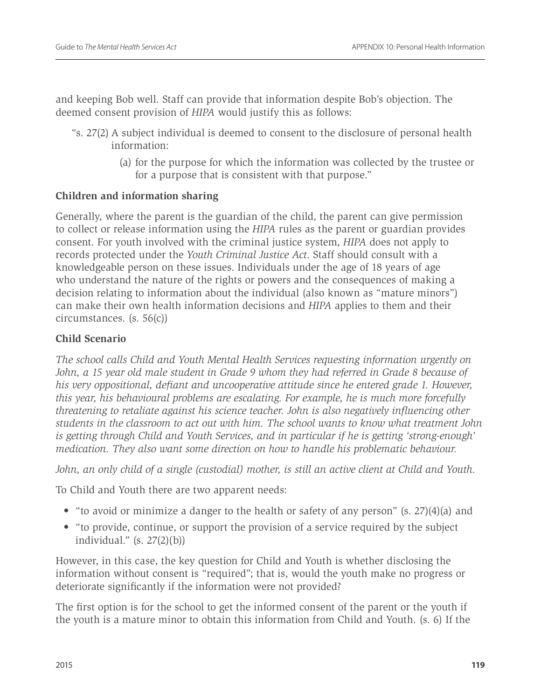and keeping Bob well. Staff can provide that information despite Bob's objection. The deemed consent provision of *HIPA* would justify this as follows:

- "s. 27(2) A subject individual is deemed to consent to the disclosure of personal health information:
	- (a) for the purpose for which the information was collected by the trustee or for a purpose that is consistent with that purpose."

# **Children and information sharing**

Generally, where the parent is the guardian of the child, the parent can give permission to collect or release information using the *HIPA* rules as the parent or guardian provides consent. For youth involved with the criminal justice system, *HIPA* does not apply to records protected under the *Youth Criminal Justice Act*. Staff should consult with a knowledgeable person on these issues. Individuals under the age of 18 years of age who understand the nature of the rights or powers and the consequences of making a decision relating to information about the individual (also known as "mature minors") can make their own health information decisions and *HIPA* applies to them and their circumstances. (s. 56(c))

# **Child Scenario**

*The school calls Child and Youth Mental Health Services requesting information urgently on*  John, a 15 year old male student in Grade 9 whom they had referred in Grade 8 because of *his very oppositional, defiant and uncooperative attitude since he entered grade 1. However, this year, his behavioural problems are escalating. For example, he is much more forcefully threatening to retaliate against his science teacher. John is also negatively influencing other students in the classroom to act out with him. The school wants to know what treatment John is getting through Child and Youth Services, and in particular if he is getting 'strong-enough' medication. They also want some direction on how to handle his problematic behaviour.* 

*John, an only child of a single (custodial) mother, is still an active client at Child and Youth.*

To Child and Youth there are two apparent needs:

- "to avoid or minimize a danger to the health or safety of any person" (s. 27)(4)(a) and
- "to provide, continue, or support the provision of a service required by the subject individual." (s. 27(2)(b))

However, in this case, the key question for Child and Youth is whether disclosing the information without consent is "required"; that is, would the youth make no progress or deteriorate significantly if the information were not provided?

The first option is for the school to get the informed consent of the parent or the youth if the youth is a mature minor to obtain this information from Child and Youth. (s. 6) If the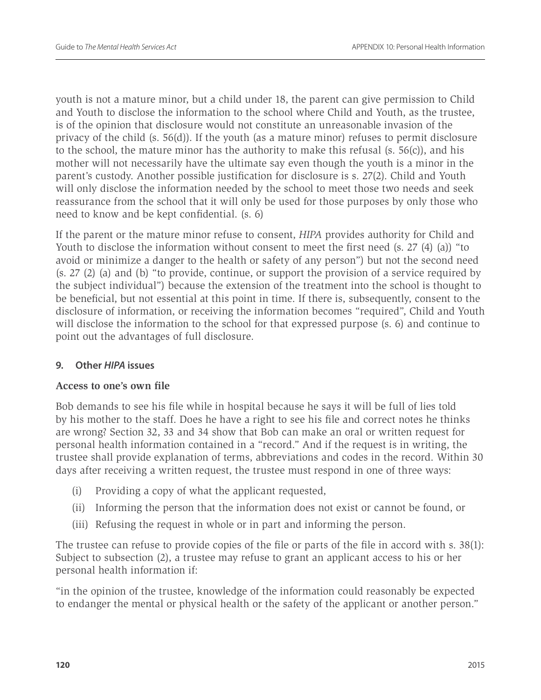youth is not a mature minor, but a child under 18, the parent can give permission to Child and Youth to disclose the information to the school where Child and Youth, as the trustee, is of the opinion that disclosure would not constitute an unreasonable invasion of the privacy of the child (s. 56(d)). If the youth (as a mature minor) refuses to permit disclosure to the school, the mature minor has the authority to make this refusal (s. 56(c)), and his mother will not necessarily have the ultimate say even though the youth is a minor in the parent's custody. Another possible justification for disclosure is s. 27(2). Child and Youth will only disclose the information needed by the school to meet those two needs and seek reassurance from the school that it will only be used for those purposes by only those who need to know and be kept confidential. (s. 6)

If the parent or the mature minor refuse to consent, *HIPA* provides authority for Child and Youth to disclose the information without consent to meet the first need (s. 27 (4) (a)) "to avoid or minimize a danger to the health or safety of any person") but not the second need (s. 27 (2) (a) and (b) "to provide, continue, or support the provision of a service required by the subject individual") because the extension of the treatment into the school is thought to be beneficial, but not essential at this point in time. If there is, subsequently, consent to the disclosure of information, or receiving the information becomes "required", Child and Youth will disclose the information to the school for that expressed purpose (s. 6) and continue to point out the advantages of full disclosure.

# **9. Other** *HIPA* **issues**

# **Access to one's own file**

Bob demands to see his file while in hospital because he says it will be full of lies told by his mother to the staff. Does he have a right to see his file and correct notes he thinks are wrong? Section 32, 33 and 34 show that Bob can make an oral or written request for personal health information contained in a "record." And if the request is in writing, the trustee shall provide explanation of terms, abbreviations and codes in the record. Within 30 days after receiving a written request, the trustee must respond in one of three ways:

- (i) Providing a copy of what the applicant requested,
- (ii) Informing the person that the information does not exist or cannot be found, or
- (iii) Refusing the request in whole or in part and informing the person.

The trustee can refuse to provide copies of the file or parts of the file in accord with s. 38(1): Subject to subsection (2), a trustee may refuse to grant an applicant access to his or her personal health information if:

"in the opinion of the trustee, knowledge of the information could reasonably be expected to endanger the mental or physical health or the safety of the applicant or another person."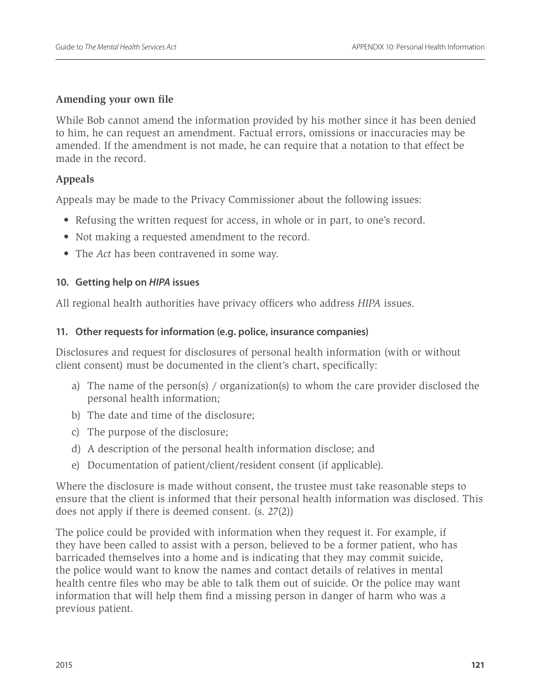#### **Amending your own file**

While Bob cannot amend the information provided by his mother since it has been denied to him, he can request an amendment. Factual errors, omissions or inaccuracies may be amended. If the amendment is not made, he can require that a notation to that effect be made in the record.

# **Appeals**

Appeals may be made to the Privacy Commissioner about the following issues:

- Refusing the written request for access, in whole or in part, to one's record.
- Not making a requested amendment to the record.
- The *Act* has been contravened in some way.

#### **10. Getting help on** *HIPA* **issues**

All regional health authorities have privacy officers who address *HIPA* issues.

#### **11. Other requests for information (e.g. police, insurance companies)**

Disclosures and request for disclosures of personal health information (with or without client consent) must be documented in the client's chart, specifically:

- a) The name of the person(s) / organization(s) to whom the care provider disclosed the personal health information;
- b) The date and time of the disclosure;
- c) The purpose of the disclosure;
- d) A description of the personal health information disclose; and
- e) Documentation of patient/client/resident consent (if applicable).

Where the disclosure is made without consent, the trustee must take reasonable steps to ensure that the client is informed that their personal health information was disclosed. This does not apply if there is deemed consent. (s. 27(2))

The police could be provided with information when they request it. For example, if they have been called to assist with a person, believed to be a former patient, who has barricaded themselves into a home and is indicating that they may commit suicide, the police would want to know the names and contact details of relatives in mental health centre files who may be able to talk them out of suicide. Or the police may want information that will help them find a missing person in danger of harm who was a previous patient.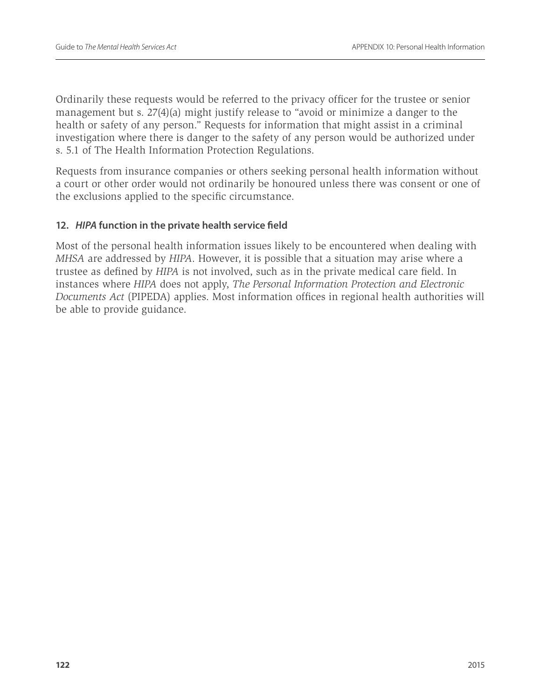Ordinarily these requests would be referred to the privacy officer for the trustee or senior management but s. 27(4)(a) might justify release to "avoid or minimize a danger to the health or safety of any person." Requests for information that might assist in a criminal investigation where there is danger to the safety of any person would be authorized under s. 5.1 of The Health Information Protection Regulations.

Requests from insurance companies or others seeking personal health information without a court or other order would not ordinarily be honoured unless there was consent or one of the exclusions applied to the specific circumstance.

# **12.** *HIPA* **function in the private health service field**

Most of the personal health information issues likely to be encountered when dealing with *MHSA* are addressed by *HIPA*. However, it is possible that a situation may arise where a trustee as defined by *HIPA* is not involved, such as in the private medical care field. In instances where *HIPA* does not apply, *The Personal Information Protection and Electronic Documents Act* (PIPEDA) applies. Most information offices in regional health authorities will be able to provide guidance.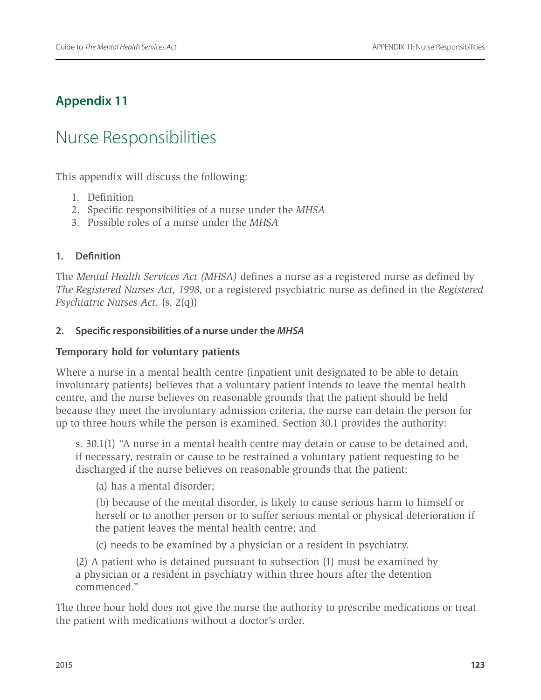# **Appendix 11**

# Nurse Responsibilities

This appendix will discuss the following:

- 1. Definition
- 2. Specific responsibilities of a nurse under the *MHSA*
- 3. Possible roles of a nurse under the *MHSA*

# **1. Definition**

The *Mental Health Services Act (MHSA)* defines a nurse as a registered nurse as defined by *The Registered Nurses Act, 1998*, or a registered psychiatric nurse as defined in the *Registered Psychiatric Nurses Act*. (s. 2(q))

# **2. Specific responsibilities of a nurse under the** *MHSA*

# **Temporary hold for voluntary patients**

Where a nurse in a mental health centre (inpatient unit designated to be able to detain involuntary patients) believes that a voluntary patient intends to leave the mental health centre, and the nurse believes on reasonable grounds that the patient should be held because they meet the involuntary admission criteria, the nurse can detain the person for up to three hours while the person is examined. Section 30.1 provides the authority:

s. 30.1(1) "A nurse in a mental health centre may detain or cause to be detained and, if necessary, restrain or cause to be restrained a voluntary patient requesting to be discharged if the nurse believes on reasonable grounds that the patient:

(a) has a mental disorder;

(b) because of the mental disorder, is likely to cause serious harm to himself or herself or to another person or to suffer serious mental or physical deterioration if the patient leaves the mental health centre; and

(c) needs to be examined by a physician or a resident in psychiatry.

(2) A patient who is detained pursuant to subsection (1) must be examined by a physician or a resident in psychiatry within three hours after the detention commenced."

The three hour hold does not give the nurse the authority to prescribe medications or treat the patient with medications without a doctor's order.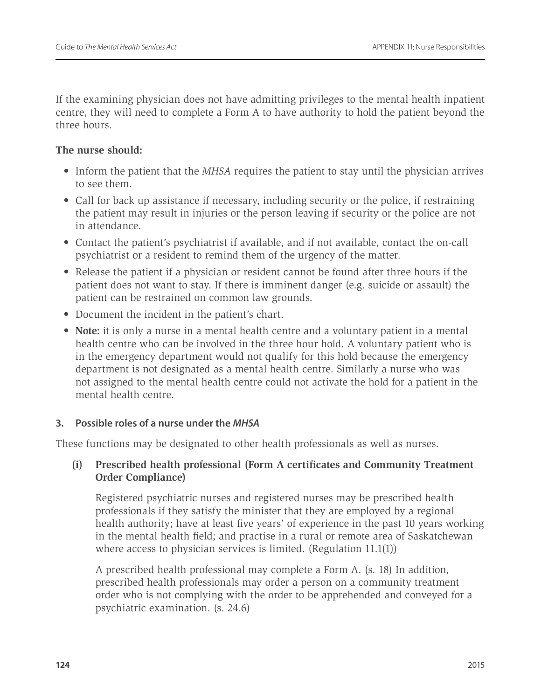If the examining physician does not have admitting privileges to the mental health inpatient centre, they will need to complete a Form A to have authority to hold the patient beyond the three hours.

# **The nurse should:**

- Inform the patient that the *MHSA* requires the patient to stay until the physician arrives to see them.
- Call for back up assistance if necessary, including security or the police, if restraining the patient may result in injuries or the person leaving if security or the police are not in attendance.
- Contact the patient's psychiatrist if available, and if not available, contact the on-call psychiatrist or a resident to remind them of the urgency of the matter.
- Release the patient if a physician or resident cannot be found after three hours if the patient does not want to stay. If there is imminent danger (e.g. suicide or assault) the patient can be restrained on common law grounds.
- Document the incident in the patient's chart.
- **Note:** it is only a nurse in a mental health centre and a voluntary patient in a mental health centre who can be involved in the three hour hold. A voluntary patient who is in the emergency department would not qualify for this hold because the emergency department is not designated as a mental health centre. Similarly a nurse who was not assigned to the mental health centre could not activate the hold for a patient in the mental health centre.

# **3. Possible roles of a nurse under the** *MHSA*

These functions may be designated to other health professionals as well as nurses.

# **(i) Prescribed health professional (Form A certificates and Community Treatment Order Compliance)**

Registered psychiatric nurses and registered nurses may be prescribed health professionals if they satisfy the minister that they are employed by a regional health authority; have at least five years' of experience in the past 10 years working in the mental health field; and practise in a rural or remote area of Saskatchewan where access to physician services is limited. (Regulation 11.1(1))

A prescribed health professional may complete a Form A. (s. 18) In addition, prescribed health professionals may order a person on a community treatment order who is not complying with the order to be apprehended and conveyed for a psychiatric examination. (s. 24.6)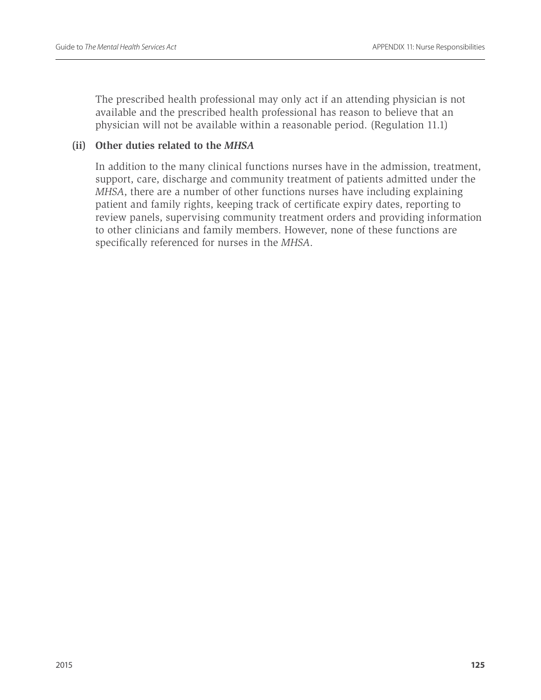The prescribed health professional may only act if an attending physician is not available and the prescribed health professional has reason to believe that an physician will not be available within a reasonable period. (Regulation 11.1)

### **(ii) Other duties related to the** *MHSA*

In addition to the many clinical functions nurses have in the admission, treatment, support, care, discharge and community treatment of patients admitted under the *MHSA*, there are a number of other functions nurses have including explaining patient and family rights, keeping track of certificate expiry dates, reporting to review panels, supervising community treatment orders and providing information to other clinicians and family members. However, none of these functions are specifically referenced for nurses in the *MHSA*.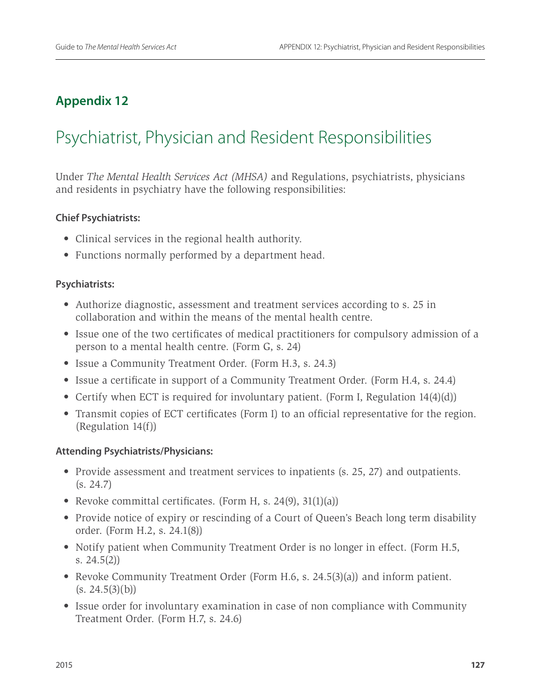# **Appendix 12**

# Psychiatrist, Physician and Resident Responsibilities

Under *The Mental Health Services Act (MHSA)* and Regulations, psychiatrists, physicians and residents in psychiatry have the following responsibilities:

# **Chief Psychiatrists:**

- Clinical services in the regional health authority.
- Functions normally performed by a department head.

# **Psychiatrists:**

- Authorize diagnostic, assessment and treatment services according to s. 25 in collaboration and within the means of the mental health centre.
- Issue one of the two certificates of medical practitioners for compulsory admission of a person to a mental health centre. (Form G, s. 24)
- Issue a Community Treatment Order. (Form H.3, s. 24.3)
- Issue a certificate in support of a Community Treatment Order. (Form H.4, s. 24.4)
- Certify when ECT is required for involuntary patient. (Form I, Regulation 14(4)(d))
- Transmit copies of ECT certificates (Form I) to an official representative for the region. (Regulation 14(f))

# **Attending Psychiatrists/Physicians:**

- Provide assessment and treatment services to inpatients (s. 25, 27) and outpatients. (s. 24.7)
- Revoke committal certificates. (Form H, s. 24(9), 31(1)(a))
- Provide notice of expiry or rescinding of a Court of Queen's Beach long term disability order. (Form H.2, s. 24.1(8))
- Notify patient when Community Treatment Order is no longer in effect. (Form H.5, s. 24.5(2))
- Revoke Community Treatment Order (Form H.6, s. 24.5(3)(a)) and inform patient.  $(s. 24.5(3)(b))$
- Issue order for involuntary examination in case of non compliance with Community Treatment Order. (Form H.7, s. 24.6)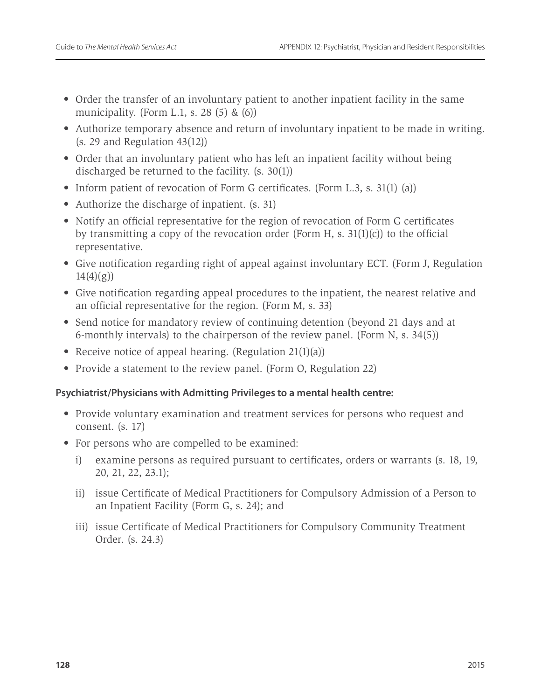- Order the transfer of an involuntary patient to another inpatient facility in the same municipality. (Form L.1, s. 28  $(5)$  &  $(6)$ )
- Authorize temporary absence and return of involuntary inpatient to be made in writing. (s. 29 and Regulation 43(12))
- Order that an involuntary patient who has left an inpatient facility without being discharged be returned to the facility. (s. 30(1))
- Inform patient of revocation of Form G certificates. (Form L.3, s. 31(1) (a))
- Authorize the discharge of inpatient. (s. 31)
- Notify an official representative for the region of revocation of Form G certificates by transmitting a copy of the revocation order (Form H, s. 31(1)(c)) to the official representative.
- Give notification regarding right of appeal against involuntary ECT. (Form J, Regulation  $14(4)(g)$
- Give notification regarding appeal procedures to the inpatient, the nearest relative and an official representative for the region. (Form M, s. 33)
- Send notice for mandatory review of continuing detention (beyond 21 days and at 6-monthly intervals) to the chairperson of the review panel. (Form N, s. 34(5))
- Receive notice of appeal hearing. (Regulation 21(1)(a))
- Provide a statement to the review panel. (Form O, Regulation 22)

# **Psychiatrist/Physicians with Admitting Privileges to a mental health centre:**

- Provide voluntary examination and treatment services for persons who request and consent. (s. 17)
- For persons who are compelled to be examined:
	- i) examine persons as required pursuant to certificates, orders or warrants (s. 18, 19, 20, 21, 22, 23.1);
	- ii) issue Certificate of Medical Practitioners for Compulsory Admission of a Person to an Inpatient Facility (Form G, s. 24); and
	- iii) issue Certificate of Medical Practitioners for Compulsory Community Treatment Order. (s. 24.3)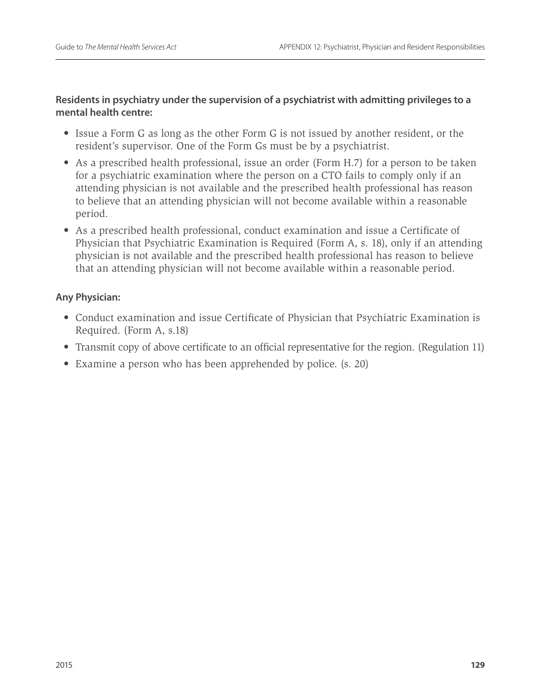# **Residents in psychiatry under the supervision of a psychiatrist with admitting privileges to a mental health centre:**

- Issue a Form G as long as the other Form G is not issued by another resident, or the resident's supervisor. One of the Form Gs must be by a psychiatrist.
- As a prescribed health professional, issue an order (Form H.7) for a person to be taken for a psychiatric examination where the person on a CTO fails to comply only if an attending physician is not available and the prescribed health professional has reason to believe that an attending physician will not become available within a reasonable period.
- As a prescribed health professional, conduct examination and issue a Certificate of Physician that Psychiatric Examination is Required (Form A, s. 18), only if an attending physician is not available and the prescribed health professional has reason to believe that an attending physician will not become available within a reasonable period.

# **Any Physician:**

- Conduct examination and issue Certificate of Physician that Psychiatric Examination is Required. (Form A, s.18)
- Transmit copy of above certificate to an official representative for the region. (Regulation 11)
- Examine a person who has been apprehended by police. (s. 20)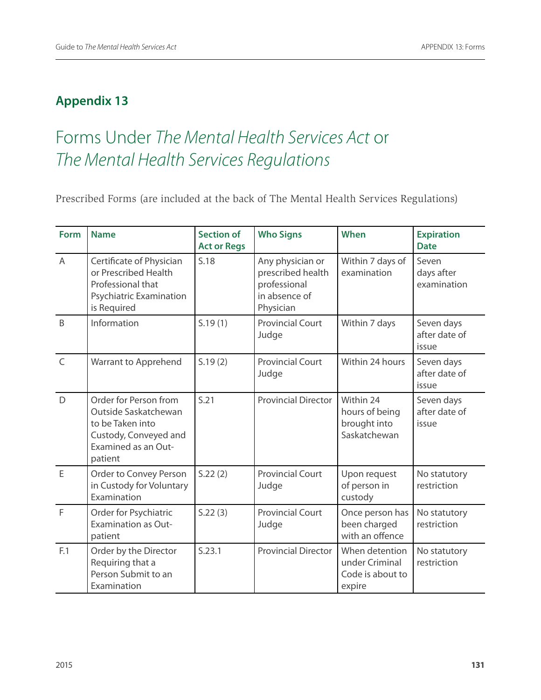# **Appendix 13**

# Forms Under *The Mental Health Services Act* or *The Mental Health Services Regulations*

Prescribed Forms (are included at the back of The Mental Health Services Regulations)

| Form           | <b>Name</b>                                                                                                                  | <b>Section of</b><br><b>Act or Regs</b> | <b>Who Signs</b>                                                                    | When                                                           | <b>Expiration</b><br><b>Date</b>     |
|----------------|------------------------------------------------------------------------------------------------------------------------------|-----------------------------------------|-------------------------------------------------------------------------------------|----------------------------------------------------------------|--------------------------------------|
| $\overline{A}$ | Certificate of Physician<br>or Prescribed Health<br>Professional that<br><b>Psychiatric Examination</b><br>is Required       | S.18                                    | Any physician or<br>prescribed health<br>professional<br>in absence of<br>Physician | Within 7 days of<br>examination                                | Seven<br>days after<br>examination   |
| B              | Information                                                                                                                  | S.19(1)                                 | <b>Provincial Court</b><br>Judge                                                    | Within 7 days                                                  | Seven days<br>after date of<br>issue |
| $\mathsf{C}$   | Warrant to Apprehend                                                                                                         | 5.19(2)                                 | <b>Provincial Court</b><br>Judge                                                    | Within 24 hours                                                | Seven days<br>after date of<br>issue |
| D              | Order for Person from<br>Outside Saskatchewan<br>to be Taken into<br>Custody, Conveyed and<br>Examined as an Out-<br>patient | S.21                                    | <b>Provincial Director</b>                                                          | Within 24<br>hours of being<br>brought into<br>Saskatchewan    | Seven days<br>after date of<br>issue |
| E              | Order to Convey Person<br>in Custody for Voluntary<br>Examination                                                            | 5.22(2)                                 | <b>Provincial Court</b><br>Judge                                                    | Upon request<br>of person in<br>custody                        | No statutory<br>restriction          |
| $\overline{F}$ | Order for Psychiatric<br><b>Examination as Out-</b><br>patient                                                               | 5.22(3)                                 | <b>Provincial Court</b><br>Judge                                                    | Once person has<br>been charged<br>with an offence             | No statutory<br>restriction          |
| F.1            | Order by the Director<br>Requiring that a<br>Person Submit to an<br>Examination                                              | S.23.1                                  | <b>Provincial Director</b>                                                          | When detention<br>under Criminal<br>Code is about to<br>expire | No statutory<br>restriction          |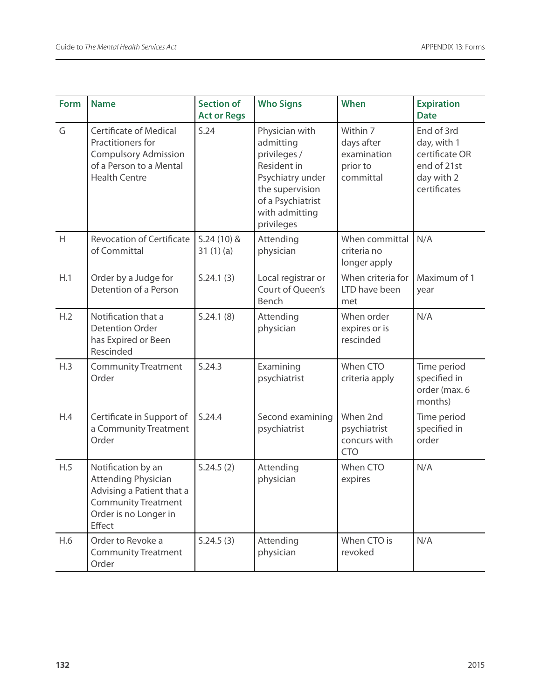| <b>Form</b> | <b>Name</b>                                                                                                                                    | <b>Section of</b><br><b>Act or Regs</b> | <b>Who Signs</b>                                                                                                                                       | <b>When</b>                                                    | <b>Expiration</b><br><b>Date</b>                                                         |
|-------------|------------------------------------------------------------------------------------------------------------------------------------------------|-----------------------------------------|--------------------------------------------------------------------------------------------------------------------------------------------------------|----------------------------------------------------------------|------------------------------------------------------------------------------------------|
| G           | <b>Certificate of Medical</b><br>Practitioners for<br><b>Compulsory Admission</b><br>of a Person to a Mental<br><b>Health Centre</b>           | S.24                                    | Physician with<br>admitting<br>privileges /<br>Resident in<br>Psychiatry under<br>the supervision<br>of a Psychiatrist<br>with admitting<br>privileges | Within 7<br>days after<br>examination<br>prior to<br>committal | End of 3rd<br>day, with 1<br>certificate OR<br>end of 21st<br>day with 2<br>certificates |
| H           | <b>Revocation of Certificate</b><br>of Committal                                                                                               | $S.24(10)$ &<br>31(1)(a)                | Attending<br>physician                                                                                                                                 | When committal<br>criteria no<br>longer apply                  | N/A                                                                                      |
| H.1         | Order by a Judge for<br>Detention of a Person                                                                                                  | S.24.1(3)                               | Local registrar or<br>Court of Queen's<br>Bench                                                                                                        | When criteria for<br>LTD have been<br>met                      | Maximum of 1<br>year                                                                     |
| H.2         | Notification that a<br><b>Detention Order</b><br>has Expired or Been<br>Rescinded                                                              | S.24.1(8)                               | Attending<br>physician                                                                                                                                 | When order<br>expires or is<br>rescinded                       | N/A                                                                                      |
| H.3         | <b>Community Treatment</b><br>Order                                                                                                            | S.24.3                                  | Examining<br>psychiatrist                                                                                                                              | When CTO<br>criteria apply                                     | Time period<br>specified in<br>order (max. 6<br>months)                                  |
| H.4         | Certificate in Support of<br>a Community Treatment<br>Order                                                                                    | S.24.4                                  | Second examining<br>psychiatrist                                                                                                                       | When 2nd<br>psychiatrist<br>concurs with<br><b>CTO</b>         | Time period<br>specified in<br>order                                                     |
| H.5         | Notification by an<br><b>Attending Physician</b><br>Advising a Patient that a<br><b>Community Treatment</b><br>Order is no Longer in<br>Effect | S.24.5(2)                               | Attending<br>physician                                                                                                                                 | When CTO<br>expires                                            | N/A                                                                                      |
| H.6         | Order to Revoke a<br><b>Community Treatment</b><br>Order                                                                                       | S.24.5(3)                               | Attending<br>physician                                                                                                                                 | When CTO is<br>revoked                                         | N/A                                                                                      |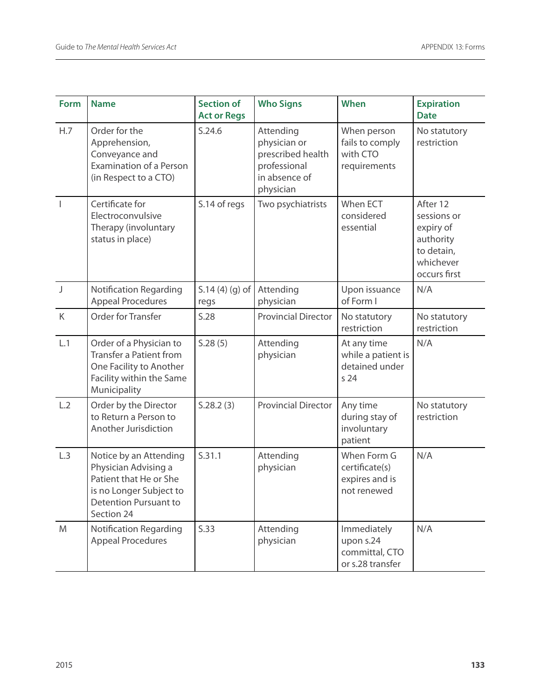| <b>Form</b> | <b>Name</b>                                                                                                                                       | <b>Section of</b><br><b>Act or Regs</b> | <b>Who Signs</b>                                                                             | When                                                           | <b>Expiration</b><br><b>Date</b>                                                             |
|-------------|---------------------------------------------------------------------------------------------------------------------------------------------------|-----------------------------------------|----------------------------------------------------------------------------------------------|----------------------------------------------------------------|----------------------------------------------------------------------------------------------|
| H.7         | Order for the<br>Apprehension,<br>Conveyance and<br><b>Examination of a Person</b><br>(in Respect to a CTO)                                       | S.24.6                                  | Attending<br>physician or<br>prescribed health<br>professional<br>in absence of<br>physician | When person<br>fails to comply<br>with CTO<br>requirements     | No statutory<br>restriction                                                                  |
|             | Certificate for<br>Electroconvulsive<br>Therapy (involuntary<br>status in place)                                                                  | S.14 of regs                            | Two psychiatrists                                                                            | When ECT<br>considered<br>essential                            | After 12<br>sessions or<br>expiry of<br>authority<br>to detain,<br>whichever<br>occurs first |
| J           | <b>Notification Regarding</b><br><b>Appeal Procedures</b>                                                                                         | $S.14(4)(g)$ of<br>regs                 | Attending<br>physician                                                                       | Upon issuance<br>of Form I                                     | N/A                                                                                          |
| K           | Order for Transfer                                                                                                                                | S.28                                    | <b>Provincial Director</b>                                                                   | No statutory<br>restriction                                    | No statutory<br>restriction                                                                  |
| L.1         | Order of a Physician to<br><b>Transfer a Patient from</b><br>One Facility to Another<br>Facility within the Same<br>Municipality                  | 5.28(5)                                 | Attending<br>physician                                                                       | At any time<br>while a patient is<br>detained under<br>s 24    | N/A                                                                                          |
| L.2         | Order by the Director<br>to Return a Person to<br>Another Jurisdiction                                                                            | 5.28.2(3)                               | <b>Provincial Director</b>                                                                   | Any time<br>during stay of<br>involuntary<br>patient           | No statutory<br>restriction                                                                  |
| L.3         | Notice by an Attending<br>Physician Advising a<br>Patient that He or She<br>is no Longer Subject to<br><b>Detention Pursuant to</b><br>Section 24 | S.31.1                                  | Attending<br>physician                                                                       | When Form G<br>certificate(s)<br>expires and is<br>not renewed | N/A                                                                                          |
| M           | <b>Notification Regarding</b><br><b>Appeal Procedures</b>                                                                                         | S.33                                    | Attending<br>physician                                                                       | Immediately<br>upon s.24<br>committal, CTO<br>or s.28 transfer | N/A                                                                                          |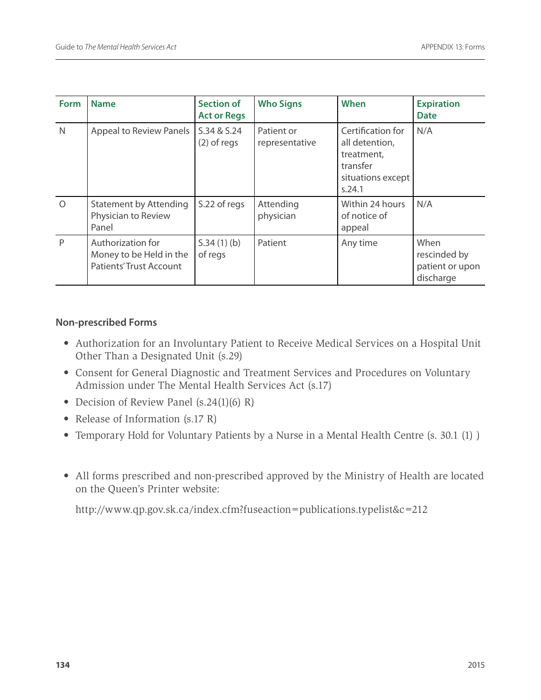| <b>Form</b>  | <b>Name</b>                                                                    | <b>Section of</b><br><b>Act or Regs</b> | <b>Who Signs</b>             | When                                                                                         | <b>Expiration</b><br><b>Date</b>                     |
|--------------|--------------------------------------------------------------------------------|-----------------------------------------|------------------------------|----------------------------------------------------------------------------------------------|------------------------------------------------------|
| $\mathsf{N}$ | <b>Appeal to Review Panels</b>                                                 | S.34 & S.24<br>$(2)$ of regs            | Patient or<br>representative | Certification for<br>all detention,<br>treatment,<br>transfer<br>situations except<br>s.24.1 | N/A                                                  |
| $\Omega$     | <b>Statement by Attending</b><br>Physician to Review<br>Panel                  | S.22 of regs                            | Attending<br>physician       | Within 24 hours<br>of notice of<br>appeal                                                    | N/A                                                  |
| P            | Authorization for<br>Money to be Held in the<br><b>Patients' Trust Account</b> | 5.34(1)(b)<br>of regs                   | Patient                      | Any time                                                                                     | When<br>rescinded by<br>patient or upon<br>discharge |

#### **Non-prescribed Forms**

- Authorization for an Involuntary Patient to Receive Medical Services on a Hospital Unit Other Than a Designated Unit (s.29)
- Consent for General Diagnostic and Treatment Services and Procedures on Voluntary Admission under The Mental Health Services Act (s.17)
- Decision of Review Panel (s.24(1)(6) R)
- Release of Information (s.17 R)
- Temporary Hold for Voluntary Patients by a Nurse in a Mental Health Centre (s. 30.1 (1) )
- All forms prescribed and non-prescribed approved by the Ministry of Health are located on the Queen's Printer website:

http://www.qp.gov.sk.ca/index.cfm?fuseaction=publications.typelist&c=212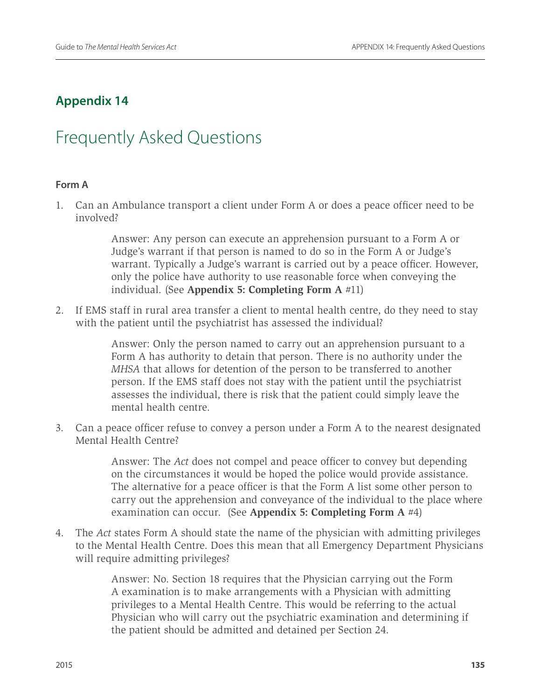# **Appendix 14**

# Frequently Asked Questions

#### **Form A**

1. Can an Ambulance transport a client under Form A or does a peace officer need to be involved?

> Answer: Any person can execute an apprehension pursuant to a Form A or Judge's warrant if that person is named to do so in the Form A or Judge's warrant. Typically a Judge's warrant is carried out by a peace officer. However, only the police have authority to use reasonable force when conveying the individual. (See **Appendix 5: Completing Form A** #11)

2. If EMS staff in rural area transfer a client to mental health centre, do they need to stay with the patient until the psychiatrist has assessed the individual?

> Answer: Only the person named to carry out an apprehension pursuant to a Form A has authority to detain that person. There is no authority under the *MHSA* that allows for detention of the person to be transferred to another person. If the EMS staff does not stay with the patient until the psychiatrist assesses the individual, there is risk that the patient could simply leave the mental health centre.

3. Can a peace officer refuse to convey a person under a Form A to the nearest designated Mental Health Centre?

> Answer: The *Act* does not compel and peace officer to convey but depending on the circumstances it would be hoped the police would provide assistance. The alternative for a peace officer is that the Form A list some other person to carry out the apprehension and conveyance of the individual to the place where examination can occur. (See **Appendix 5: Completing Form A** #4)

4. The *Act* states Form A should state the name of the physician with admitting privileges to the Mental Health Centre. Does this mean that all Emergency Department Physicians will require admitting privileges?

> Answer: No. Section 18 requires that the Physician carrying out the Form A examination is to make arrangements with a Physician with admitting privileges to a Mental Health Centre. This would be referring to the actual Physician who will carry out the psychiatric examination and determining if the patient should be admitted and detained per Section 24.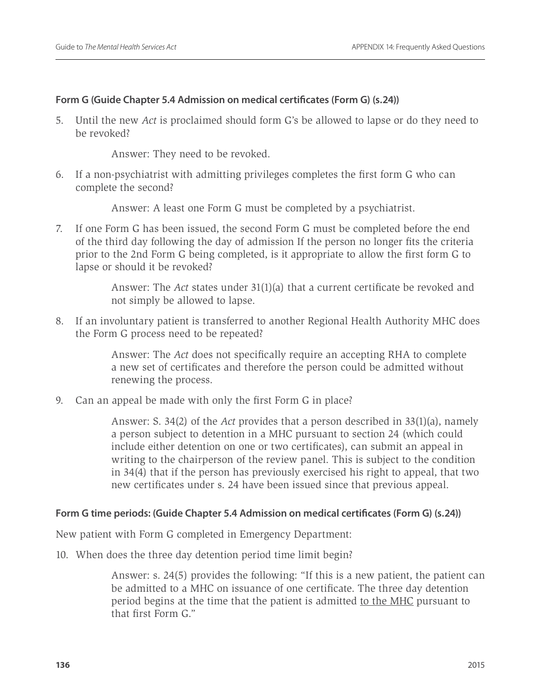#### **Form G (Guide Chapter 5.4 Admission on medical certificates (Form G) (s.24))**

5. Until the new *Act* is proclaimed should form G's be allowed to lapse or do they need to be revoked?

Answer: They need to be revoked.

6. If a non-psychiatrist with admitting privileges completes the first form G who can complete the second?

Answer: A least one Form G must be completed by a psychiatrist.

7. If one Form G has been issued, the second Form G must be completed before the end of the third day following the day of admission If the person no longer fits the criteria prior to the 2nd Form G being completed, is it appropriate to allow the first form G to lapse or should it be revoked?

> Answer: The *Act* states under 31(1)(a) that a current certificate be revoked and not simply be allowed to lapse.

8. If an involuntary patient is transferred to another Regional Health Authority MHC does the Form G process need to be repeated?

> Answer: The *Act* does not specifically require an accepting RHA to complete a new set of certificates and therefore the person could be admitted without renewing the process.

9. Can an appeal be made with only the first Form G in place?

Answer: S. 34(2) of the *Act* provides that a person described in 33(1)(a), namely a person subject to detention in a MHC pursuant to section 24 (which could include either detention on one or two certificates), can submit an appeal in writing to the chairperson of the review panel. This is subject to the condition in 34(4) that if the person has previously exercised his right to appeal, that two new certificates under s. 24 have been issued since that previous appeal.

#### **Form G time periods: (Guide Chapter 5.4 Admission on medical certificates (Form G) (s.24))**

New patient with Form G completed in Emergency Department:

10. When does the three day detention period time limit begin?

Answer: s. 24(5) provides the following: "If this is a new patient, the patient can be admitted to a MHC on issuance of one certificate. The three day detention period begins at the time that the patient is admitted to the MHC pursuant to that first Form G."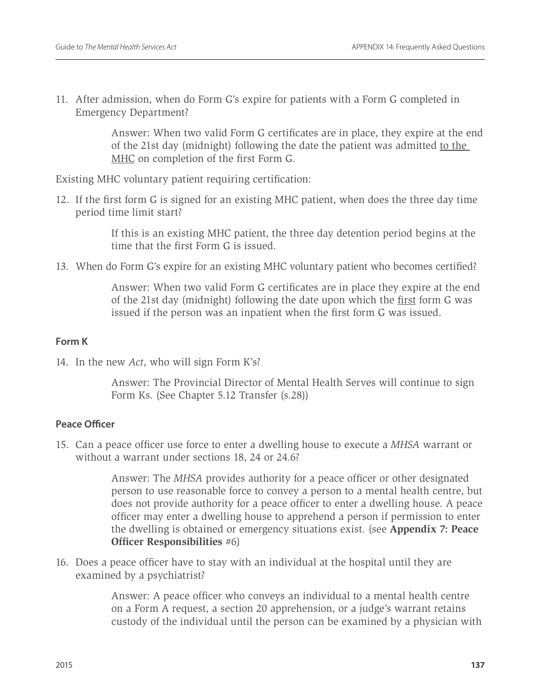11. After admission, when do Form G's expire for patients with a Form G completed in Emergency Department?

> Answer: When two valid Form G certificates are in place, they expire at the end of the 21st day (midnight) following the date the patient was admitted to the MHC on completion of the first Form G.

Existing MHC voluntary patient requiring certification:

12. If the first form G is signed for an existing MHC patient, when does the three day time period time limit start?

> If this is an existing MHC patient, the three day detention period begins at the time that the first Form G is issued.

13. When do Form G's expire for an existing MHC voluntary patient who becomes certified?

Answer: When two valid Form G certificates are in place they expire at the end of the 21st day (midnight) following the date upon which the first form G was issued if the person was an inpatient when the first form G was issued.

#### **Form K**

14. In the new *Act*, who will sign Form K's?

Answer: The Provincial Director of Mental Health Serves will continue to sign Form Ks. (See Chapter 5.12 Transfer (s.28))

#### **Peace Officer**

15. Can a peace officer use force to enter a dwelling house to execute a *MHSA* warrant or without a warrant under sections 18, 24 or 24.6?

> Answer: The *MHSA* provides authority for a peace officer or other designated person to use reasonable force to convey a person to a mental health centre, but does not provide authority for a peace officer to enter a dwelling house. A peace officer may enter a dwelling house to apprehend a person if permission to enter the dwelling is obtained or emergency situations exist. (see **Appendix 7: Peace Officer Responsibilities** #6)

16. Does a peace officer have to stay with an individual at the hospital until they are examined by a psychiatrist?

> Answer: A peace officer who conveys an individual to a mental health centre on a Form A request, a section 20 apprehension, or a judge's warrant retains custody of the individual until the person can be examined by a physician with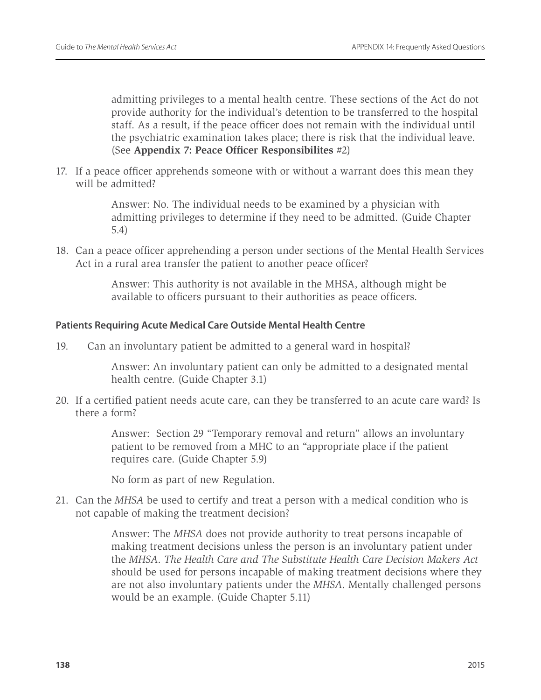admitting privileges to a mental health centre. These sections of the Act do not provide authority for the individual's detention to be transferred to the hospital staff. As a result, if the peace officer does not remain with the individual until the psychiatric examination takes place; there is risk that the individual leave. (See **Appendix 7: Peace Officer Responsibilites** #2)

17. If a peace officer apprehends someone with or without a warrant does this mean they will be admitted?

> Answer: No. The individual needs to be examined by a physician with admitting privileges to determine if they need to be admitted. (Guide Chapter 5.4)

18. Can a peace officer apprehending a person under sections of the Mental Health Services Act in a rural area transfer the patient to another peace officer?

> Answer: This authority is not available in the MHSA, although might be available to officers pursuant to their authorities as peace officers.

#### **Patients Requiring Acute Medical Care Outside Mental Health Centre**

19. Can an involuntary patient be admitted to a general ward in hospital?

Answer: An involuntary patient can only be admitted to a designated mental health centre. (Guide Chapter 3.1)

20. If a certified patient needs acute care, can they be transferred to an acute care ward? Is there a form?

> Answer: Section 29 "Temporary removal and return" allows an involuntary patient to be removed from a MHC to an "appropriate place if the patient requires care. (Guide Chapter 5.9)

No form as part of new Regulation.

21. Can the *MHSA* be used to certify and treat a person with a medical condition who is not capable of making the treatment decision?

> Answer: The *MHSA* does not provide authority to treat persons incapable of making treatment decisions unless the person is an involuntary patient under the *MHSA*. *The Health Care and The Substitute Health Care Decision Makers Act* should be used for persons incapable of making treatment decisions where they are not also involuntary patients under the *MHSA*. Mentally challenged persons would be an example. (Guide Chapter 5.11)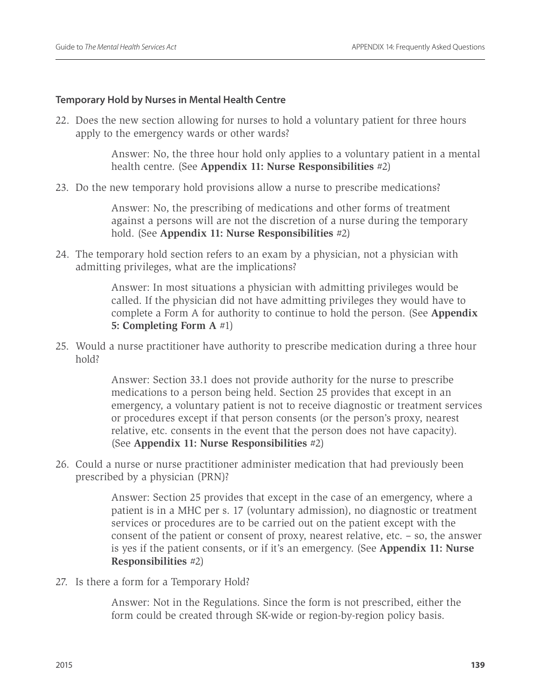## **Temporary Hold by Nurses in Mental Health Centre**

22. Does the new section allowing for nurses to hold a voluntary patient for three hours apply to the emergency wards or other wards?

> Answer: No, the three hour hold only applies to a voluntary patient in a mental health centre. (See **Appendix 11: Nurse Responsibilities** #2)

23. Do the new temporary hold provisions allow a nurse to prescribe medications?

Answer: No, the prescribing of medications and other forms of treatment against a persons will are not the discretion of a nurse during the temporary hold. (See **Appendix 11: Nurse Responsibilities** #2)

24. The temporary hold section refers to an exam by a physician, not a physician with admitting privileges, what are the implications?

> Answer: In most situations a physician with admitting privileges would be called. If the physician did not have admitting privileges they would have to complete a Form A for authority to continue to hold the person. (See **Appendix 5: Completing Form A** #1)

25. Would a nurse practitioner have authority to prescribe medication during a three hour hold?

> Answer: Section 33.1 does not provide authority for the nurse to prescribe medications to a person being held. Section 25 provides that except in an emergency, a voluntary patient is not to receive diagnostic or treatment services or procedures except if that person consents (or the person's proxy, nearest relative, etc. consents in the event that the person does not have capacity). (See **Appendix 11: Nurse Responsibilities** #2)

26. Could a nurse or nurse practitioner administer medication that had previously been prescribed by a physician (PRN)?

> Answer: Section 25 provides that except in the case of an emergency, where a patient is in a MHC per s. 17 (voluntary admission), no diagnostic or treatment services or procedures are to be carried out on the patient except with the consent of the patient or consent of proxy, nearest relative, etc. – so, the answer is yes if the patient consents, or if it's an emergency. (See **Appendix 11: Nurse Responsibilities** #2)

27. Is there a form for a Temporary Hold?

Answer: Not in the Regulations. Since the form is not prescribed, either the form could be created through SK-wide or region-by-region policy basis.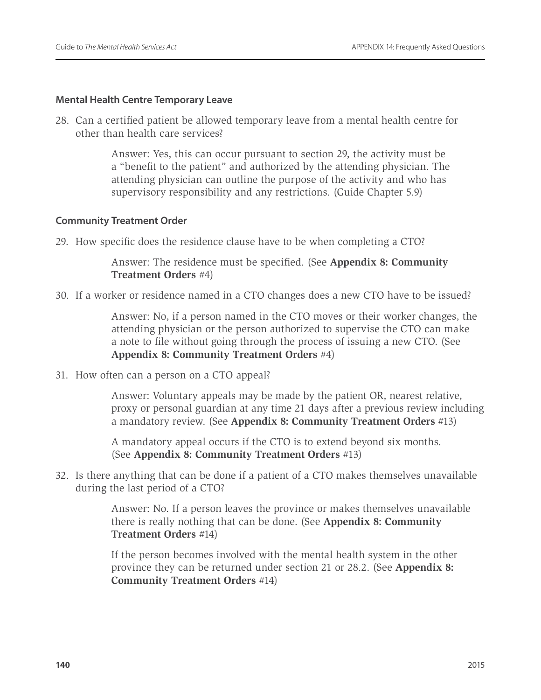### **Mental Health Centre Temporary Leave**

28. Can a certified patient be allowed temporary leave from a mental health centre for other than health care services?

> Answer: Yes, this can occur pursuant to section 29, the activity must be a "benefit to the patient" and authorized by the attending physician. The attending physician can outline the purpose of the activity and who has supervisory responsibility and any restrictions. (Guide Chapter 5.9)

### **Community Treatment Order**

29. How specific does the residence clause have to be when completing a CTO?

Answer: The residence must be specified. (See **Appendix 8: Community Treatment Orders** #4)

30. If a worker or residence named in a CTO changes does a new CTO have to be issued?

Answer: No, if a person named in the CTO moves or their worker changes, the attending physician or the person authorized to supervise the CTO can make a note to file without going through the process of issuing a new CTO. (See **Appendix 8: Community Treatment Orders** #4)

31. How often can a person on a CTO appeal?

Answer: Voluntary appeals may be made by the patient OR, nearest relative, proxy or personal guardian at any time 21 days after a previous review including a mandatory review. (See **Appendix 8: Community Treatment Orders** #13)

A mandatory appeal occurs if the CTO is to extend beyond six months. (See **Appendix 8: Community Treatment Orders** #13)

32. Is there anything that can be done if a patient of a CTO makes themselves unavailable during the last period of a CTO?

> Answer: No. If a person leaves the province or makes themselves unavailable there is really nothing that can be done. (See **Appendix 8: Community Treatment Orders** #14)

If the person becomes involved with the mental health system in the other province they can be returned under section 21 or 28.2. (See **Appendix 8: Community Treatment Orders** #14)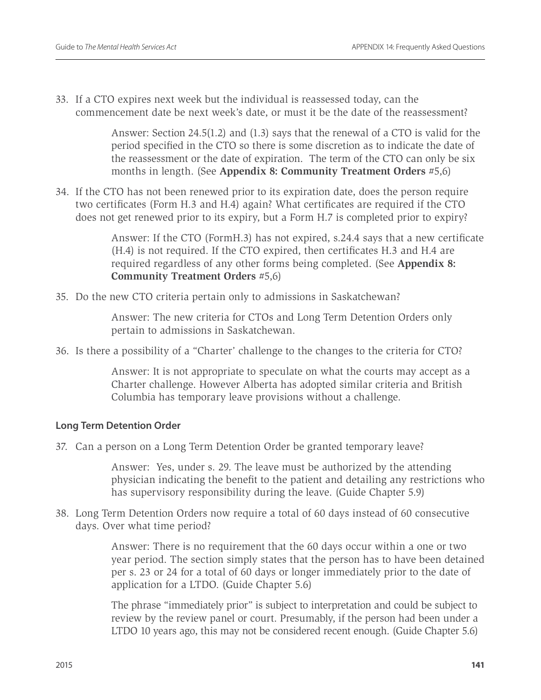33. If a CTO expires next week but the individual is reassessed today, can the commencement date be next week's date, or must it be the date of the reassessment?

> Answer: Section 24.5(1.2) and (1.3) says that the renewal of a CTO is valid for the period specified in the CTO so there is some discretion as to indicate the date of the reassessment or the date of expiration. The term of the CTO can only be six months in length. (See **Appendix 8: Community Treatment Orders** #5,6)

34. If the CTO has not been renewed prior to its expiration date, does the person require two certificates (Form H.3 and H.4) again? What certificates are required if the CTO does not get renewed prior to its expiry, but a Form H.7 is completed prior to expiry?

> Answer: If the CTO (FormH.3) has not expired, s.24.4 says that a new certificate (H.4) is not required. If the CTO expired, then certificates H.3 and H.4 are required regardless of any other forms being completed. (See **Appendix 8: Community Treatment Orders** #5,6)

35. Do the new CTO criteria pertain only to admissions in Saskatchewan?

Answer: The new criteria for CTOs and Long Term Detention Orders only pertain to admissions in Saskatchewan.

36. Is there a possibility of a "Charter' challenge to the changes to the criteria for CTO?

Answer: It is not appropriate to speculate on what the courts may accept as a Charter challenge. However Alberta has adopted similar criteria and British Columbia has temporary leave provisions without a challenge.

## **Long Term Detention Order**

37. Can a person on a Long Term Detention Order be granted temporary leave?

Answer: Yes, under s. 29. The leave must be authorized by the attending physician indicating the benefit to the patient and detailing any restrictions who has supervisory responsibility during the leave. (Guide Chapter 5.9)

38. Long Term Detention Orders now require a total of 60 days instead of 60 consecutive days. Over what time period?

> Answer: There is no requirement that the 60 days occur within a one or two year period. The section simply states that the person has to have been detained per s. 23 or 24 for a total of 60 days or longer immediately prior to the date of application for a LTDO. (Guide Chapter 5.6)

The phrase "immediately prior" is subject to interpretation and could be subject to review by the review panel or court. Presumably, if the person had been under a LTDO 10 years ago, this may not be considered recent enough. (Guide Chapter 5.6)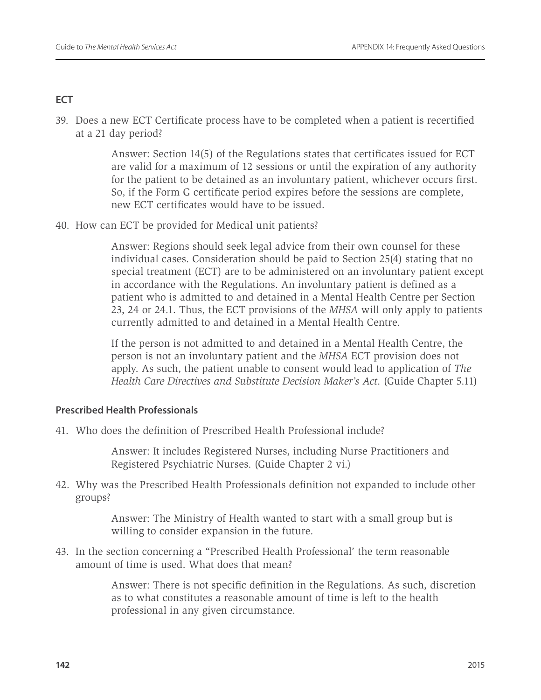## **ECT**

39. Does a new ECT Certificate process have to be completed when a patient is recertified at a 21 day period?

> Answer: Section 14(5) of the Regulations states that certificates issued for ECT are valid for a maximum of 12 sessions or until the expiration of any authority for the patient to be detained as an involuntary patient, whichever occurs first. So, if the Form G certificate period expires before the sessions are complete, new ECT certificates would have to be issued.

40. How can ECT be provided for Medical unit patients?

Answer: Regions should seek legal advice from their own counsel for these individual cases. Consideration should be paid to Section 25(4) stating that no special treatment (ECT) are to be administered on an involuntary patient except in accordance with the Regulations. An involuntary patient is defined as a patient who is admitted to and detained in a Mental Health Centre per Section 23, 24 or 24.1. Thus, the ECT provisions of the *MHSA* will only apply to patients currently admitted to and detained in a Mental Health Centre.

If the person is not admitted to and detained in a Mental Health Centre, the person is not an involuntary patient and the *MHSA* ECT provision does not apply. As such, the patient unable to consent would lead to application of *The Health Care Directives and Substitute Decision Maker's Act*. (Guide Chapter 5.11)

# **Prescribed Health Professionals**

41. Who does the definition of Prescribed Health Professional include?

Answer: It includes Registered Nurses, including Nurse Practitioners and Registered Psychiatric Nurses. (Guide Chapter 2 vi.)

42. Why was the Prescribed Health Professionals definition not expanded to include other groups?

> Answer: The Ministry of Health wanted to start with a small group but is willing to consider expansion in the future.

43. In the section concerning a "Prescribed Health Professional' the term reasonable amount of time is used. What does that mean?

> Answer: There is not specific definition in the Regulations. As such, discretion as to what constitutes a reasonable amount of time is left to the health professional in any given circumstance.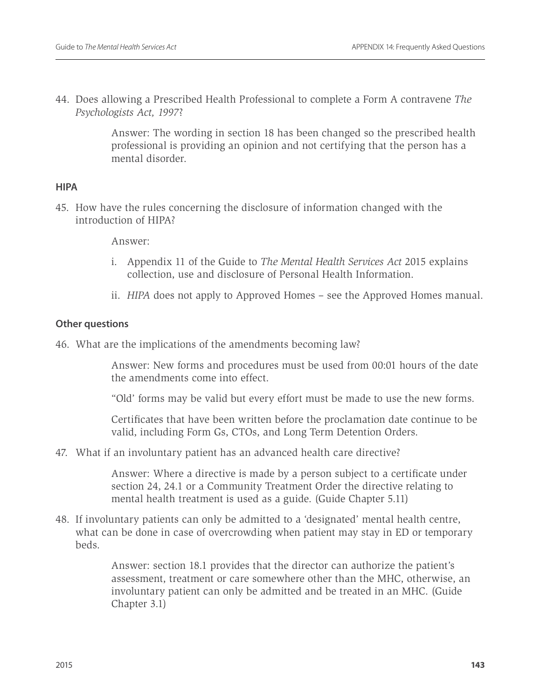44. Does allowing a Prescribed Health Professional to complete a Form A contravene *The Psychologists Act, 1997*?

> Answer: The wording in section 18 has been changed so the prescribed health professional is providing an opinion and not certifying that the person has a mental disorder.

### **HIPA**

45. How have the rules concerning the disclosure of information changed with the introduction of HIPA?

Answer:

- i. Appendix 11 of the Guide to *The Mental Health Services Act* 2015 explains collection, use and disclosure of Personal Health Information.
- ii. *HIPA* does not apply to Approved Homes see the Approved Homes manual.

### **Other questions**

46. What are the implications of the amendments becoming law?

Answer: New forms and procedures must be used from 00:01 hours of the date the amendments come into effect.

"Old' forms may be valid but every effort must be made to use the new forms.

Certificates that have been written before the proclamation date continue to be valid, including Form Gs, CTOs, and Long Term Detention Orders.

47. What if an involuntary patient has an advanced health care directive?

Answer: Where a directive is made by a person subject to a certificate under section 24, 24.1 or a Community Treatment Order the directive relating to mental health treatment is used as a guide. (Guide Chapter 5.11)

48. If involuntary patients can only be admitted to a 'designated' mental health centre, what can be done in case of overcrowding when patient may stay in ED or temporary beds.

> Answer: section 18.1 provides that the director can authorize the patient's assessment, treatment or care somewhere other than the MHC, otherwise, an involuntary patient can only be admitted and be treated in an MHC. (Guide Chapter 3.1)